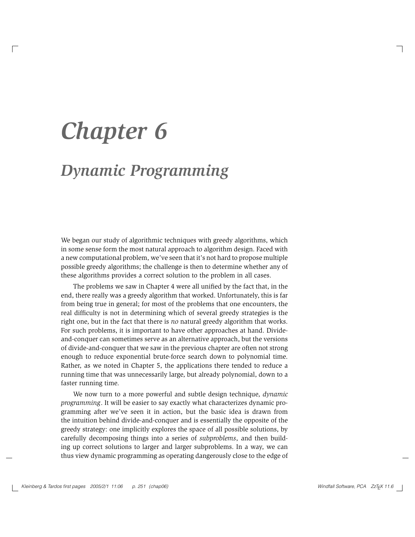# *Chapter 6*

 $\Box$ 

# *Dynamic Programming*

We began our study of algorithmic techniques with greedy algorithms, which in some sense form the most natural approach to algorithm design. Faced with a new computational problem, we've seen that it's not hard to propose multiple possible greedy algorithms; the challenge is then to determine whether any of these algorithms provides a correct solution to the problem in all cases.

The problems we saw in Chapter 4 were all unified by the fact that, in the end, there really was a greedy algorithm that worked. Unfortunately, this is far from being true in general; for most of the problems that one encounters, the real difficulty is not in determining which of several greedy strategies is the right one, but in the fact that there is *no* natural greedy algorithm that works. For such problems, it is important to have other approaches at hand. Divideand-conquer can sometimes serve as an alternative approach, but the versions of divide-and-conquer that we saw in the previous chapter are often not strong enough to reduce exponential brute-force search down to polynomial time. Rather, as we noted in Chapter 5, the applications there tended to reduce a running time that was unnecessarily large, but already polynomial, down to a faster running time.

We now turn to a more powerful and subtle design technique, *dynamic programming*. It will be easier to say exactly what characterizes dynamic programming after we've seen it in action, but the basic idea is drawn from the intuition behind divide-and-conquer and is essentially the opposite of the greedy strategy: one implicitly explores the space of all possible solutions, by carefully decomposing things into a series of *subproblems*, and then building up correct solutions to larger and larger subproblems. In a way, we can thus view dynamic programming as operating dangerously close to the edge of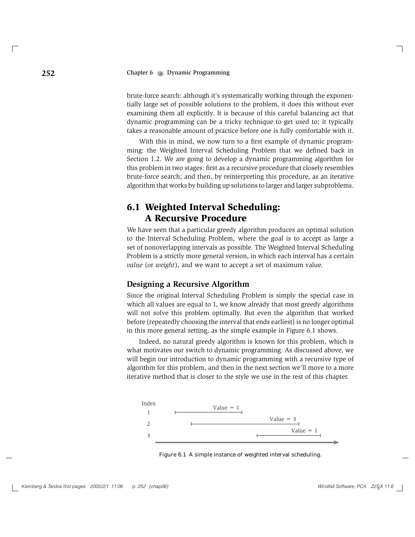brute-force search: although it's systematically working through the exponentially large set of possible solutions to the problem, it does this without ever examining them all explicitly. It is because of this careful balancing act that dynamic programming can be a tricky technique to get used to; it typically takes a reasonable amount of practice before one is fully comfortable with it.

With this in mind, we now turn to a first example of dynamic programming: the Weighted Interval Scheduling Problem that we defined back in Section 1.2. We are going to develop a dynamic programming algorithm for this problem in two stages: first as a recursive procedure that closely resembles brute-force search; and then, by reinterpreting this procedure, as an iterative algorithm that works by building up solutions to larger and larger subproblems.

# **6.1 Weighted Interval Scheduling: A Recursive Procedure**

We have seen that a particular greedy algorithm produces an optimal solution to the Interval Scheduling Problem, where the goal is to accept as large a set of nonoverlapping intervals as possible. The Weighted Interval Scheduling Problem is a strictly more general version, in which each interval has a certain *value* (or *weight*), and we want to accept a set of maximum value.

#### **Designing a Recursive Algorithm**

Since the original Interval Scheduling Problem is simply the special case in which all values are equal to 1, we know already that most greedy algorithms will not solve this problem optimally. But even the algorithm that worked before (repeatedly choosing the interval that ends earliest) is no longer optimal in this more general setting, as the simple example in Figure 6.1 shows.

Indeed, no natural greedy algorithm is known for this problem, which is what motivates our switch to dynamic programming. As discussed above, we will begin our introduction to dynamic programming with a recursive type of algorithm for this problem, and then in the next section we'll move to a more iterative method that is closer to the style we use in the rest of this chapter.



Figure 6.1 A simple instance of weighted interval scheduling.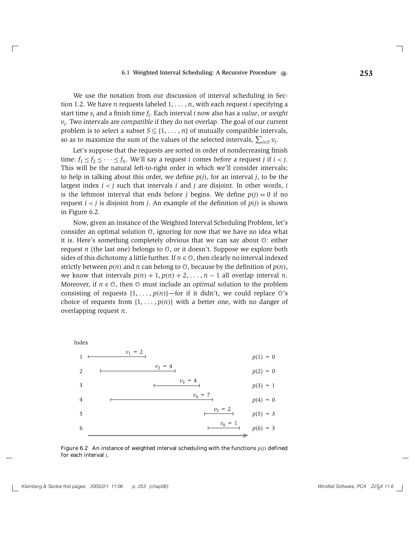#### 6.1 Weighted Interval Scheduling: A Recursive Procedure **253**

We use the notation from our discussion of interval scheduling in Section 1.2. We have *n* requests labeled 1, . . . , *n*, with each request *i* specifying a start time *si* and a finish time *fi*. Each interval *i* now also has a *value*, or *weight vi*. Two intervals are *compatible* if they do not overlap. The goal of our current problem is to select a subset  $S \subseteq \{1, \ldots, n\}$  of mutually compatible intervals, so as to maximize the sum of the values of the selected intervals,  $\sum_{i \in S} v_i$ .

Let's suppose that the requests are sorted in order of nondecreasing finish time:  $f_1 \le f_2 \le \cdots \le f_n$ . We'll say a request *i* comes *before* a request *j* if  $i < j$ . This will be the natural left-to-right order in which we'll consider intervals; to help in talking about this order, we define  $p(i)$ , for an interval *j*, to be the largest index *i* < *j* such that intervals *i* and *j* are disjoint. In other words, *i* is the leftmost interval that ends before *j* begins. We define  $p(i) = 0$  if no request  $i < j$  is disjoint from *j*. An example of the definition of  $p(j)$  is shown in Figure 6.2.

Now, given an instance of the Weighted Interval Scheduling Problem, let's consider an optimal solution O, ignoring for now that we have no idea what it is. Here's something completely obvious that we can say about O: either request *n* (the last one) belongs to O, or it doesn't. Suppose we explore both sides of this dichotomy a little further. If  $n \in \mathcal{O}$ , then clearly no interval indexed strictly between  $p(n)$  and  $n$  can belong to  $\emptyset$ , because by the definition of  $p(n)$ , we know that intervals  $p(n) + 1$ ,  $p(n) + 2$ , ...,  $n - 1$  all overlap interval *n*. Moreover, if  $n \in \mathcal{O}$ , then  $\mathcal O$  must include an *optimal* solution to the problem consisting of requests  $\{1, \ldots, p(n)\}$ —for if it didn't, we could replace O's choice of requests from  $\{1, \ldots, p(n)\}$  with a better one, with no danger of overlapping request *n*.



Figure 6.2 An instance of weighted interval scheduling with the functions *p*(*j*) defined for each interval *j*.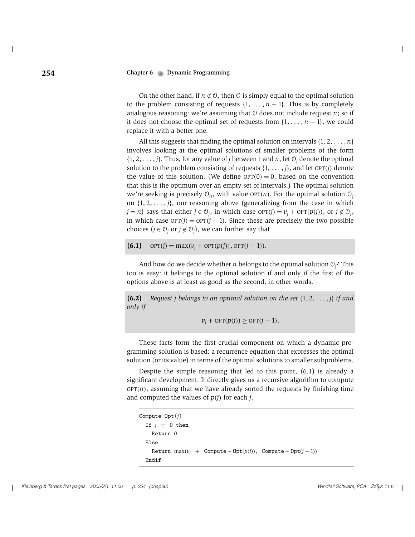On the other hand, if  $n \notin \mathcal{O}$ , then  $\mathcal O$  is simply equal to the optimal solution to the problem consisting of requests  $\{1, \ldots, n-1\}$ . This is by completely analogous reasoning: we're assuming that  $\theta$  does not include request  $n$ ; so if it does not choose the optimal set of requests from  $\{1, \ldots, n-1\}$ , we could replace it with a better one.

All this suggests that finding the optimal solution on intervals  $\{1, 2, \ldots, n\}$ involves looking at the optimal solutions of smaller problems of the form  $\{1, 2, \ldots, j\}$ . Thus, for any value of *j* between 1 and *n*, let  $\mathcal{O}_i$  denote the optimal solution to the problem consisting of requests  $\{1, \ldots, j\}$ , and let OPT $(j)$  denote the value of this solution. (We define  $OPT(0) = 0$ , based on the convention that this is the optimum over an empty set of intervals.) The optimal solution we're seeking is precisely  $\mathcal{O}_n$ , with value  $\mathcal{O}_T(n)$ . For the optimal solution  $\mathcal{O}_i$ on  $\{1, 2, \ldots, j\}$ , our reasoning above (generalizing from the case in which *j* = *n*) says that either *j* ∈  $\mathcal{O}_i$ , in which case  $\text{OPT}(j) = v_j + \text{OPT}(p(j))$ , or *j* ∉  $\mathcal{O}_i$ , in which case  $OPT(j) = OPT(j - 1)$ . Since these are precisely the two possible choices ( $j \in \mathcal{O}_i$  or  $j \notin \mathcal{O}_i$ ), we can further say that

**(6.1)**  $OPT(j) = max(v_j + OPT(p(j)), OPT(j - 1)).$ 

And how do we decide whether *n* belongs to the optimal solution  $\mathcal{O}_i$ ? This too is easy: it belongs to the optimal solution if and only if the first of the options above is at least as good as the second; in other words,

**(6.2)** *Request j belongs to an optimal solution on the set* {1, 2, . . . , *j*} *if and only if*

 $v_j + \text{OPT}(p(j)) \ge \text{OPT}(j-1).$ 

These facts form the first crucial component on which a dynamic programming solution is based: a recurrence equation that expresses the optimal solution (or its value) in terms of the optimal solutions to smaller subproblems.

Despite the simple reasoning that led to this point, (6.1) is already a significant development. It directly gives us a recursive algorithm to compute  $OPT(n)$ , assuming that we have already sorted the requests by finishing time and computed the values of *p*(*j*) for each *j*.

```
Compute-Opt(j)
  If j = 0 then
    Return 0
  Else
    Return max(v_i + Compute – Opt(p(j)), Compute – Opt(j - 1))
  Endif
```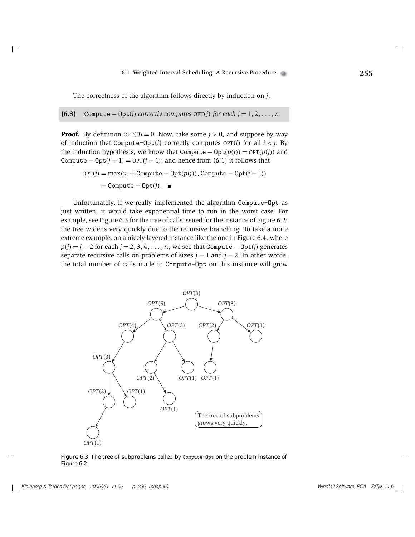The correctness of the algorithm follows directly by induction on *j*:

 $\Box$ 

**(6.3)** Compute – Opt(*j*) *correctly computes*  $\text{OPT}(j)$  *for each j* = 1, 2, ..., *n*.

**Proof.** By definition  $OPT(0) = 0$ . Now, take some  $j > 0$ , and suppose by way of induction that Compute-Opt(*i*) correctly computes  $\text{OPT}(i)$  for all  $i < j$ . By the induction hypothesis, we know that Compute  $-$  Opt $(p(j)) = \text{OPT}(p(j))$  and Compute  $-$  Opt $(j - 1)$  = OPT $(j - 1)$ ; and hence from (6.1) it follows that

$$
OPT(j) = \max(v_j + \text{Compute} - \text{Opt}(p(j)), \text{Compute} - \text{Opt}(j-1))
$$

$$
= \text{Compute} - \text{Opt}(j). \quad \blacksquare
$$

Unfortunately, if we really implemented the algorithm Compute-Opt as just written, it would take exponential time to run in the worst case. For example, see Figure 6.3 for the tree of calls issued for the instance of Figure 6.2: the tree widens very quickly due to the recursive branching. To take a more extreme example, on a nicely layered instance like the one in Figure 6.4, where  $p(i) = j - 2$  for each  $j = 2, 3, 4, \ldots, n$ , we see that Compute  $-$  Opt(*j*) generates separate recursive calls on problems of sizes  $j - 1$  and  $j - 2$ . In other words, the total number of calls made to Compute-Opt on this instance will grow



Figure 6.3 The tree of subproblems called by Compute-Opt on the problem instance of Figure 6.2.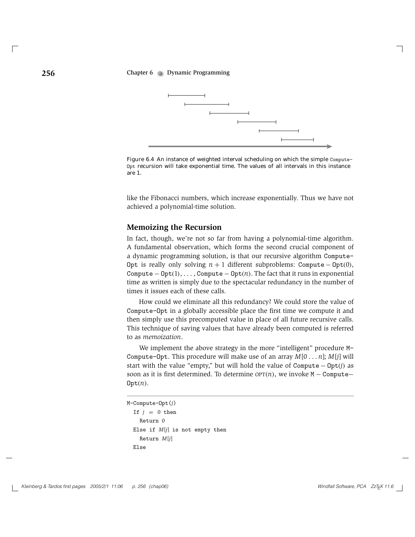

Figure 6.4 An instance of weighted interval scheduling on which the simple Compute-Opt recursion will take exponential time. The values of all intervals in this instance are 1.

like the Fibonacci numbers, which increase exponentially. Thus we have not achieved a polynomial-time solution.

#### **Memoizing the Recursion**

In fact, though, we're not so far from having a polynomial-time algorithm. A fundamental observation, which forms the second crucial component of a dynamic programming solution, is that our recursive algorithm Compute-Opt is really only solving  $n + 1$  different subproblems: Compute – Opt(0), Compute  $-\text{Opt}(1), \ldots, \text{Compute} - \text{Opt}(n)$ . The fact that it runs in exponential time as written is simply due to the spectacular redundancy in the number of times it issues each of these calls.

How could we eliminate all this redundancy? We could store the value of Compute-Opt in a globally accessible place the first time we compute it and then simply use this precomputed value in place of all future recursive calls. This technique of saving values that have already been computed is referred to as *memoization*.

We implement the above strategy in the more "intelligent" procedure M-Compute-Opt. This procedure will make use of an array *M*[0 . . . *n*]; *M*[*j*] will start with the value "empty," but will hold the value of Compute − Opt(*j*) as soon as it is first determined. To determine OPT(*n*), we invoke M – Compute− Opt(*n*).

```
M-Compute-Opt(j)
  If j = 0 then
    Return 0
  Else if M[j] is not empty then
    Return M[j]
  Else
```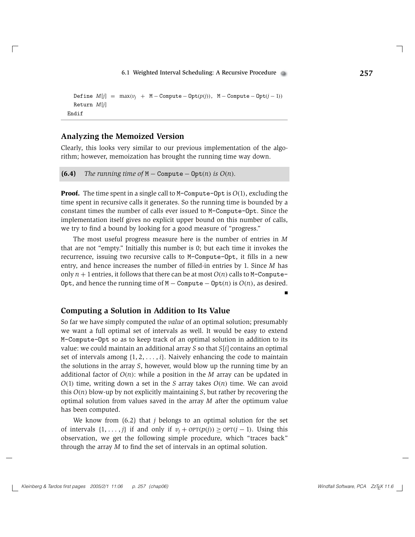```
\text{Define } M[j] = \max(v_i + M - \text{Compute} - \text{Opt}(p(i)), M - \text{Compute} - \text{Opt}(j-1))Return M[j]
Endif
```
#### **Analyzing the Memoized Version**

 $\Box$ 

Clearly, this looks very similar to our previous implementation of the algorithm; however, memoization has brought the running time way down.

**(6.4)** *The running time of*  $M -$  Compute  $-Dpt(n)$  *is O(n)*.

**Proof.** The time spent in a single call to M-Compute-Opt is *O*(1), excluding the time spent in recursive calls it generates. So the running time is bounded by a constant times the number of calls ever issued to M-Compute-Opt. Since the implementation itself gives no explicit upper bound on this number of calls, we try to find a bound by looking for a good measure of "progress."

The most useful progress measure here is the number of entries in *M* that are not "empty." Initially this number is 0; but each time it invokes the recurrence, issuing two recursive calls to M-Compute-Opt, it fills in a new entry, and hence increases the number of filled-in entries by 1. Since *M* has only  $n + 1$  entries, it follows that there can be at most  $O(n)$  calls to M-Compute-Opt, and hence the running time of  $M -$  Compute  $-$  Opt $(n)$  is  $O(n)$ , as desired.

**Computing a Solution in Addition to Its Value**

So far we have simply computed the *value* of an optimal solution; presumably we want a full optimal set of intervals as well. It would be easy to extend M-Compute-Opt so as to keep track of an optimal solution in addition to its value: we could maintain an additional array *S* so that *S*[*i*]contains an optimal set of intervals among {1, 2, . . . , *i*}. Naively enhancing the code to maintain the solutions in the array *S*, however, would blow up the running time by an additional factor of  $O(n)$ : while a position in the *M* array can be updated in *O*(1) time, writing down a set in the *S* array takes *O*(*n*) time. We can avoid this  $O(n)$  blow-up by not explicitly maintaining *S*, but rather by recovering the optimal solution from values saved in the array *M* after the optimum value has been computed.

We know from (6.2) that *j* belongs to an optimal solution for the set of intervals  $\{1, \ldots, j\}$  if and only if  $v_j + \text{OPT}(p(j)) \ge \text{OPT}(j-1)$ . Using this observation, we get the following simple procedure, which "traces back" through the array *M* to find the set of intervals in an optimal solution.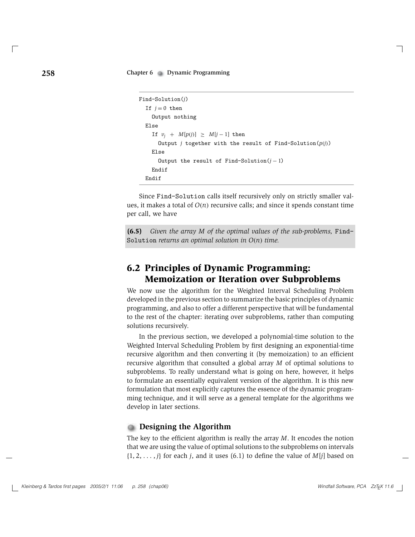```
Find-Solution(j)
  If j = 0 then
    Output nothing
  Else
    If vj + M[p(j)] ≥ M[j − 1] then
      Output j together with the result of Find-Solution(p(j))
    Else
      Output the result of Find-Solution(j − 1)
    Endif
  Endif
```
Since Find-Solution calls itself recursively only on strictly smaller values, it makes a total of *O*(*n*) recursive calls; and since it spends constant time per call, we have

**(6.5)** *Given the array M of the optimal values of the sub-problems,* Find-Solution *returns an optimal solution in O*(*n*) *time.*

# **6.2 Principles of Dynamic Programming: Memoization or Iteration over Subproblems**

We now use the algorithm for the Weighted Interval Scheduling Problem developed in the previous section to summarize the basic principles of dynamic programming, and also to offer a different perspective that will be fundamental to the rest of the chapter: iterating over subproblems, rather than computing solutions recursively.

In the previous section, we developed a polynomial-time solution to the Weighted Interval Scheduling Problem by first designing an exponential-time recursive algorithm and then converting it (by memoization) to an efficient recursive algorithm that consulted a global array *M* of optimal solutions to subproblems. To really understand what is going on here, however, it helps to formulate an essentially equivalent version of the algorithm. It is this new formulation that most explicitly captures the essence of the dynamic programming technique, and it will serve as a general template for the algorithms we develop in later sections.

# **Designing the Algorithm**

The key to the efficient algorithm is really the array *M*. It encodes the notion that we are using the value of optimal solutions to the subproblems on intervals  $\{1, 2, \ldots, j\}$  for each *j*, and it uses (6.1) to define the value of *M*[*j*] based on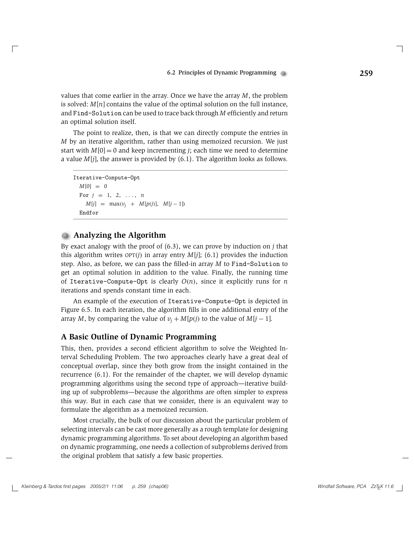values that come earlier in the array. Once we have the array *M*, the problem is solved: *M*[*n*] contains the value of the optimal solution on the full instance, and Find-Solution can be used to trace back through *M* efficiently and return an optimal solution itself.

The point to realize, then, is that we can directly compute the entries in *M* by an iterative algorithm, rather than using memoized recursion. We just start with  $M[0]=0$  and keep incrementing *j*; each time we need to determine a value  $M[i]$ , the answer is provided by  $(6.1)$ . The algorithm looks as follows.

```
Iterative-Compute-Opt
 M[0] = 0For j = 1, 2, ..., nM[j] = \max(v_j + M[p(j)], M[j-1])Endfor
```
# **Analyzing the Algorithm**

 $\Box$ 

By exact analogy with the proof of (6.3), we can prove by induction on *j* that this algorithm writes  $OPT(j)$  in array entry  $M[j]$ ; (6.1) provides the induction step. Also, as before, we can pass the filled-in array *M* to Find-Solution to get an optimal solution in addition to the value. Finally, the running time of Iterative-Compute-Opt is clearly *O*(*n*), since it explicitly runs for *n* iterations and spends constant time in each.

An example of the execution of Iterative-Compute-Opt is depicted in Figure 6.5. In each iteration, the algorithm fills in one additional entry of the array *M*, by comparing the value of  $v_i + M[p(j)]$  to the value of  $M[j-1]$ .

#### **A Basic Outline of Dynamic Programming**

This, then, provides a second efficient algorithm to solve the Weighted Interval Scheduling Problem. The two approaches clearly have a great deal of conceptual overlap, since they both grow from the insight contained in the recurrence (6.1). For the remainder of the chapter, we will develop dynamic programming algorithms using the second type of approach—iterative building up of subproblems—because the algorithms are often simpler to express this way. But in each case that we consider, there is an equivalent way to formulate the algorithm as a memoized recursion.

Most crucially, the bulk of our discussion about the particular problem of selecting intervals can be cast more generally as a rough template for designing dynamic programming algorithms. To set about developing an algorithm based on dynamic programming, one needs a collection of subproblems derived from the original problem that satisfy a few basic properties.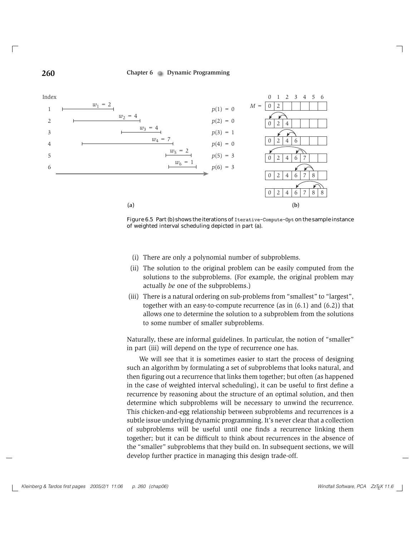

Figure 6.5 Part (b) shows the iterations of Iterative-Compute-Opt on the sample instance of weighted interval scheduling depicted in part (a).

- (i) There are only a polynomial number of subproblems.
- (ii) The solution to the original problem can be easily computed from the solutions to the subproblems. (For example, the original problem may actually *be* one of the subproblems.)
- (iii) There is a natural ordering on sub-problems from "smallest" to "largest", together with an easy-to-compute recurrence (as in (6.1) and (6.2)) that allows one to determine the solution to a subproblem from the solutions to some number of smaller subproblems.

Naturally, these are informal guidelines. In particular, the notion of "smaller" in part (iii) will depend on the type of recurrence one has.

We will see that it is sometimes easier to start the process of designing such an algorithm by formulating a set of subproblems that looks natural, and then figuring out a recurrence that links them together; but often (as happened in the case of weighted interval scheduling), it can be useful to first define a recurrence by reasoning about the structure of an optimal solution, and then determine which subproblems will be necessary to unwind the recurrence. This chicken-and-egg relationship between subproblems and recurrences is a subtle issue underlying dynamic programming. It's never clear that a collection of subproblems will be useful until one finds a recurrence linking them together; but it can be difficult to think about recurrences in the absence of the "smaller" subproblems that they build on. In subsequent sections, we will develop further practice in managing this design trade-off.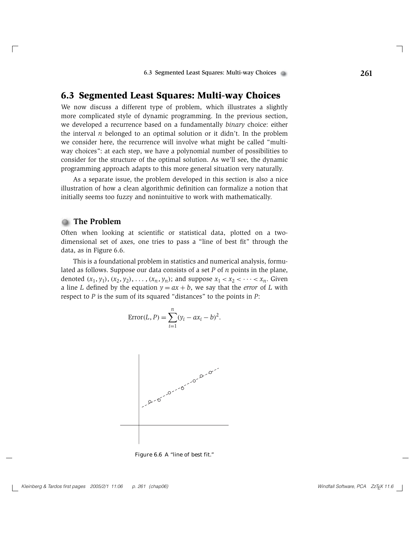# **6.3 Segmented Least Squares: Multi-way Choices**

We now discuss a different type of problem, which illustrates a slightly more complicated style of dynamic programming. In the previous section, we developed a recurrence based on a fundamentally *binary* choice: either the interval *n* belonged to an optimal solution or it didn't. In the problem we consider here, the recurrence will involve what might be called "multiway choices": at each step, we have a polynomial number of possibilities to consider for the structure of the optimal solution. As we'll see, the dynamic programming approach adapts to this more general situation very naturally.

As a separate issue, the problem developed in this section is also a nice illustration of how a clean algorithmic definition can formalize a notion that initially seems too fuzzy and nonintuitive to work with mathematically.

# **The Problem**

 $\Box$ 

Often when looking at scientific or statistical data, plotted on a twodimensional set of axes, one tries to pass a "line of best fit" through the data, as in Figure 6.6.

This is a foundational problem in statistics and numerical analysis, formulated as follows. Suppose our data consists of a set *P* of *n* points in the plane, denoted  $(x_1, y_1)$ ,  $(x_2, y_2)$ , ...,  $(x_n, y_n)$ ; and suppose  $x_1 < x_2 < \cdots < x_n$ . Given a line *L* defined by the equation  $y = ax + b$ , we say that the *error* of *L* with respect to *P* is the sum of its squared "distances" to the points in *P*:

$$
Error(L, P) = \sum_{i=1}^{n} (y_i - ax_i - b)^2.
$$



Figure 6.6 A "line of best fit."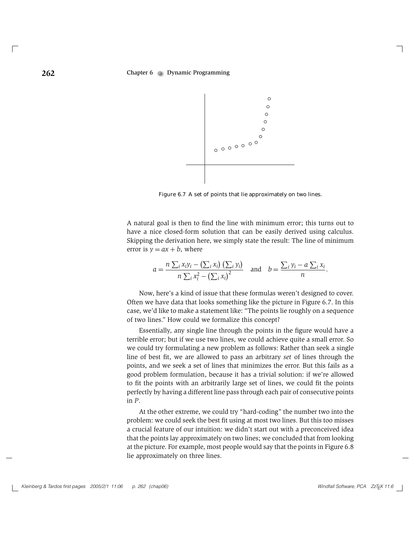

Figure 6.7 A set of points that lie approximately on two lines.

A natural goal is then to find the line with minimum error; this turns out to have a nice closed-form solution that can be easily derived using calculus. Skipping the derivation here, we simply state the result: The line of minimum error is  $y = ax + b$ , where

$$
a = \frac{n \sum_i x_i y_i - (\sum_i x_i) (\sum_i y_i)}{n \sum_i x_i^2 - (\sum_i x_i)^2} \quad \text{and} \quad b = \frac{\sum_i y_i - a \sum_i x_i}{n}.
$$

Now, here's a kind of issue that these formulas weren't designed to cover. Often we have data that looks something like the picture in Figure 6.7. In this case, we'd like to make a statement like: "The points lie roughly on a sequence of two lines." How could we formalize this concept?

Essentially, any single line through the points in the figure would have a terrible error; but if we use two lines, we could achieve quite a small error. So we could try formulating a new problem as follows: Rather than seek a single line of best fit, we are allowed to pass an arbitrary *set* of lines through the points, and we seek a set of lines that minimizes the error. But this fails as a good problem formulation, because it has a trivial solution: if we're allowed to fit the points with an arbitrarily large set of lines, we could fit the points perfectly by having a different line pass through each pair of consecutive points in *P*.

At the other extreme, we could try "hard-coding" the number two into the problem: we could seek the best fit using at most two lines. But this too misses a crucial feature of our intuition: we didn't start out with a preconceived idea that the points lay approximately on two lines; we concluded that from looking at the picture. For example, most people would say that the points in Figure 6.8 lie approximately on three lines.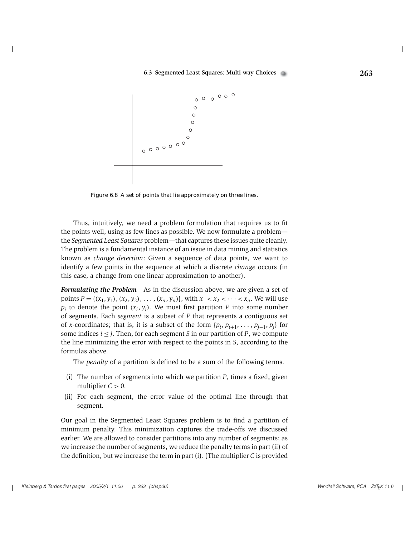

Figure 6.8 A set of points that lie approximately on three lines.

Thus, intuitively, we need a problem formulation that requires us to fit the points well, using as few lines as possible. We now formulate a problem the *Segmented Least Squares* problem—that captures these issues quite cleanly. The problem is a fundamental instance of an issue in data mining and statistics known as *change detection*: Given a sequence of data points, we want to identify a few points in the sequence at which a discrete *change* occurs (in this case, a change from one linear approximation to another).

*Formulating the Problem* As in the discussion above, we are given a set of points  $P = \{(x_1, y_1), (x_2, y_2), \ldots, (x_n, y_n)\}\$ , with  $x_1 < x_2 < \cdots < x_n$ . We will use  $p_i$  to denote the point  $(x_i, y_i)$ . We must first partition *P* into some number of segments. Each *segment* is a subset of *P* that represents a contiguous set of *x*-coordinates; that is, it is a subset of the form  $\{p_i, p_{i+1}, \ldots, p_{i-1}, p_i\}$  for some indices  $i \leq j$ . Then, for each segment *S* in our partition of *P*, we compute the line minimizing the error with respect to the points in *S*, according to the formulas above.

The *penalty* of a partition is defined to be a sum of the following terms.

- (i) The number of segments into which we partition *P*, times a fixed, given multiplier  $C > 0$ .
- (ii) For each segment, the error value of the optimal line through that segment.

Our goal in the Segmented Least Squares problem is to find a partition of minimum penalty. This minimization captures the trade-offs we discussed earlier. We are allowed to consider partitions into any number of segments; as we increase the number of segments, we reduce the penalty terms in part (ii) of the definition, but we increase the term in part (i). (The multiplier *C* is provided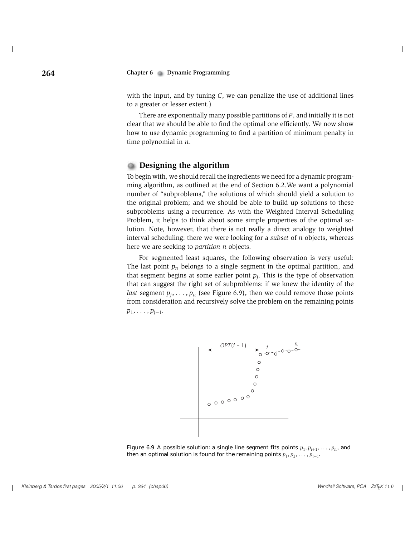with the input, and by tuning *C*, we can penalize the use of additional lines to a greater or lesser extent.)

There are exponentially many possible partitions of *P*, and initially it is not clear that we should be able to find the optimal one efficiently. We now show how to use dynamic programming to find a partition of minimum penalty in time polynomial in *n*.

# **Designing the algorithm**

To begin with, we should recall the ingredients we need for a dynamic programming algorithm, as outlined at the end of Section 6.2.We want a polynomial number of "subproblems," the solutions of which should yield a solution to the original problem; and we should be able to build up solutions to these subproblems using a recurrence. As with the Weighted Interval Scheduling Problem, it helps to think about some simple properties of the optimal solution. Note, however, that there is not really a direct analogy to weighted interval scheduling: there we were looking for a *subset* of *n* objects, whereas here we are seeking to *partition n* objects.

For segmented least squares, the following observation is very useful: The last point  $p_n$  belongs to a single segment in the optimal partition, and that segment begins at some earlier point  $p_j$ . This is the type of observation that can suggest the right set of subproblems: if we knew the identity of the *last* segment  $p_i$ ,...,  $p_n$  (see Figure 6.9), then we could remove those points from consideration and recursively solve the problem on the remaining points  $p_1, \ldots, p_{j-1}.$ 



Figure 6.9 A possible solution: a single line segment fits points  $p_1, p_{i+1}, \ldots, p_n$ , and then an optimal solution is found for the remaining points  $p_1, p_2, \ldots, p_{i-1}$ .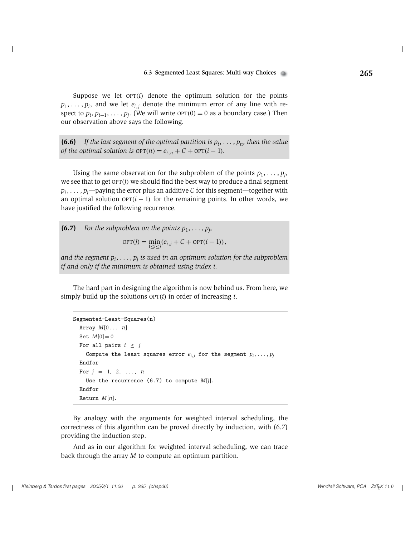Suppose we let  $OPT(i)$  denote the optimum solution for the points  $p_1, \ldots, p_i$ , and we let  $e_{i,i}$  denote the minimum error of any line with respect to  $p_i, p_{i+1}, \ldots, p_j$ . (We will write  $\text{OPT}(0) = 0$  as a boundary case.) Then our observation above says the following.

**(6.6)** If the last segment of the optimal partition is  $p_i, \ldots, p_n$ , then the value *of the optimal solution is*  $\text{OPT}(n) = e_{i,n} + C + \text{OPT}(i-1)$ *.* 

Using the same observation for the subproblem of the points  $p_1, \ldots, p_i$ , we see that to get OPT(*j*) we should find the best way to produce a final segment  $p_i$ ,...,  $p_i$ —paying the error plus an additive *C* for this segment—together with an optimal solution  $OPT(i - 1)$  for the remaining points. In other words, we have justified the following recurrence.

**(6.7)** For the subproblem on the points  $p_1, \ldots, p_i$ ,

 $\Box$ 

 $OPT(j) = \min_{1 \le i \le j} (e_{i,j} + C + OPT(i-1)),$ 

and the segment  $p_i$ ,  $\ldots$ ,  $p_i$  *is used in an optimum solution for the subproblem if and only if the minimum is obtained using index i.*

The hard part in designing the algorithm is now behind us. From here, we simply build up the solutions OPT(*i*) in order of increasing *i*.

```
Segmented-Least-Squares(n)
  Array M[0 . . . n]
  Set M[0] = 0For all pairs i \leq jCompute the least squares error e_{i,j} for the segment p_i, \ldots, p_jEndfor
  For j = 1, 2, ..., nUse the recurrence (6.7) to compute M[j].
  Endfor
  Return M[n].
```
By analogy with the arguments for weighted interval scheduling, the correctness of this algorithm can be proved directly by induction, with (6.7) providing the induction step.

And as in our algorithm for weighted interval scheduling, we can trace back through the array *M* to compute an optimum partition.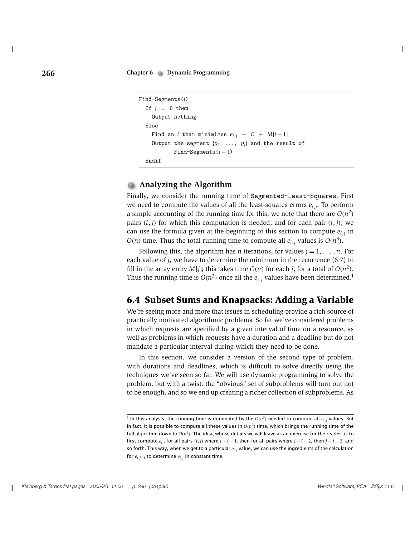```
Find-Segments(j)
  If j = 0 then
    Output nothing
  Else
    Find an i that minimizes e_{i,j} + C + M[i-1]Output the segment \{p_i, \ldots, p_i\} and the result of
            Find-Segments(i − 1)
  Endif
```
#### **Analyzing the Algorithm**

Finally, we consider the running time of Segmented-Least-Squares. First we need to compute the values of all the least-squares errors  $e_{i,j}$ . To perform a simple accounting of the running time for this, we note that there are  $O(n^2)$ pairs  $(i, j)$  for which this computation is needed; and for each pair  $(i, j)$ , we can use the formula given at the beginning of this section to compute *ei*,*<sup>j</sup>* in *O*(*n*) time. Thus the total running time to compute all  $e_{i,j}$  values is  $O(n^3)$ .

Following this, the algorithm has *n* iterations, for values  $j = 1, \ldots, n$ . For each value of *j*, we have to determine the minimum in the recurrence (6.7) to fill in the array entry *M*[*j*]; this takes time  $O(n)$  for each *j*, for a total of  $O(n^2)$ . Thus the running time is  $O(n^2)$  once all the  $e_{i,j}$  values have been determined.<sup>1</sup>

# **6.4 Subset Sums and Knapsacks: Adding a Variable**

We're seeing more and more that issues in scheduling provide a rich source of practically motivated algorithmic problems. So far we've considered problems in which requests are specified by a given interval of time on a resource, as well as problems in which requests have a duration and a deadline but do not mandate a particular interval during which they need to be done.

In this section, we consider a version of the second type of problem, with durations and deadlines, which is difficult to solve directly using the techniques we've seen so far. We will use dynamic programming to solve the problem, but with a twist: the "obvious" set of subproblems will turn out not to be enough, and so we end up creating a richer collection of subproblems. As

<sup>&</sup>lt;sup>1</sup> In this analysis, the running time is dominated by the  $O(n^3)$  needed to compute all  $e_{i,j}$  values. But in fact, it is possible to compute all these values in  $O(n^2)$  time, which brings the running time of the full algorithm down to *O*(*n*2). The idea, whose details we will leave as an exercise for the reader, is to first compute  $e_{i,j}$  for all pairs  $(i, j)$  where  $j - i = 1$ , then for all pairs where  $j - i = 2$ , then  $j - i = 3$ , and so forth. This way, when we get to a particular *ei*,*<sup>j</sup>* value, we can use the ingredients of the calculation for  $e_{i,j-1}$  to determine  $e_{i,j}$  in constant time.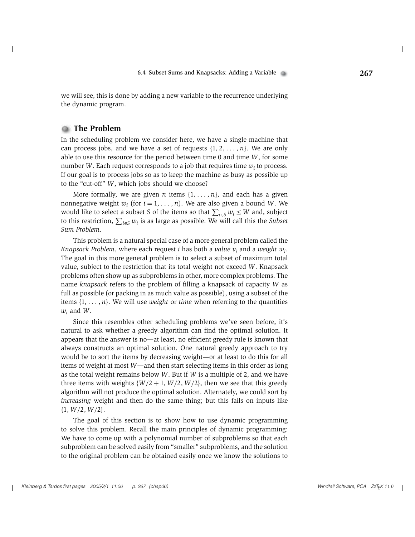we will see, this is done by adding a new variable to the recurrence underlying the dynamic program.

#### **The Problem**

 $\Box$ 

In the scheduling problem we consider here, we have a single machine that can process jobs, and we have a set of requests  $\{1, 2, \ldots, n\}$ . We are only able to use this resource for the period between time 0 and time *W*, for some number *W*. Each request corresponds to a job that requires time  $w_i$  to process. If our goal is to process jobs so as to keep the machine as busy as possible up to the "cut-off" *W*, which jobs should we choose?

More formally, we are given *n* items  $\{1, \ldots, n\}$ , and each has a given nonnegative weight  $w_i$  (for  $i = 1, \ldots, n$ ). We are also given a bound *W*. We would like to select a subset *S* of the items so that  $\sum_{i \in S} w_i \leq W$  and, subject to this restriction,  $\sum_{i \in S} w_i$  is as large as possible. We will call this the *Subset Sum Problem*.

This problem is a natural special case of a more general problem called the *Knapsack Problem*, where each request *i* has both a *value vi* and a *weight wi*. The goal in this more general problem is to select a subset of maximum total value, subject to the restriction that its total weight not exceed *W*. Knapsack problems often show up as subproblems in other, more complex problems. The name *knapsack* refers to the problem of filling a knapsack of capacity *W* as full as possible (or packing in as much value as possible), using a subset of the items {1, . . . , *n*}. We will use *weight* or *time* when referring to the quantities  $w_i$  and  $W$ .

Since this resembles other scheduling problems we've seen before, it's natural to ask whether a greedy algorithm can find the optimal solution. It appears that the answer is no—at least, no efficient greedy rule is known that always constructs an optimal solution. One natural greedy approach to try would be to sort the items by decreasing weight—or at least to do this for all items of weight at most *W*—and then start selecting items in this order as long as the total weight remains below *W*. But if *W* is a multiple of 2, and we have three items with weights  $\{W/2 + 1, W/2, W/2\}$ , then we see that this greedy algorithm will not produce the optimal solution. Alternately, we could sort by *increasing* weight and then do the same thing; but this fails on inputs like {1, *W*/2, *W*/2}.

The goal of this section is to show how to use dynamic programming to solve this problem. Recall the main principles of dynamic programming: We have to come up with a polynomial number of subproblems so that each subproblem can be solved easily from "smaller" subproblems, and the solution to the original problem can be obtained easily once we know the solutions to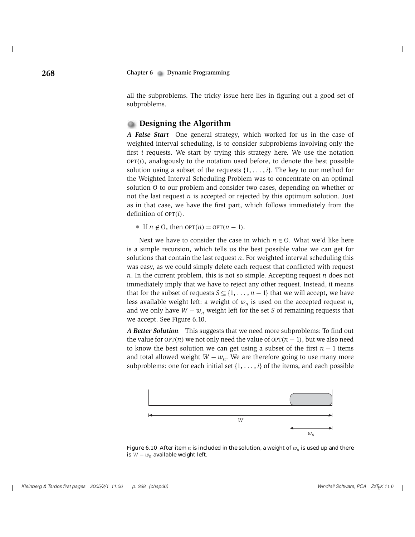all the subproblems. The tricky issue here lies in figuring out a good set of subproblems.

# **Designing the Algorithm**

*A False Start* One general strategy, which worked for us in the case of weighted interval scheduling, is to consider subproblems involving only the first *i* requests. We start by trying this strategy here. We use the notation OPT(*i*), analogously to the notation used before, to denote the best possible solution using a subset of the requests {1, . . . , *i*}. The key to our method for the Weighted Interval Scheduling Problem was to concentrate on an optimal solution O to our problem and consider two cases, depending on whether or not the last request *n* is accepted or rejected by this optimum solution. Just as in that case, we have the first part, which follows immediately from the definition of OPT(*i*).

 $\bullet$  If *n* ∉ 0, then  $OPT(n) = OPT(n-1)$ .

Next we have to consider the case in which  $n \in \mathcal{O}$ . What we'd like here is a simple recursion, which tells us the best possible value we can get for solutions that contain the last request *n*. For weighted interval scheduling this was easy, as we could simply delete each request that conflicted with request *n*. In the current problem, this is not so simple. Accepting request *n* does not immediately imply that we have to reject any other request. Instead, it means that for the subset of requests *S* ⊆ {1, . . . , *n* − 1} that we will accept, we have less available weight left: a weight of  $w_n$  is used on the accepted request  $n$ , and we only have  $W - w_n$  weight left for the set *S* of remaining requests that we accept. See Figure 6.10.

*A Better Solution* This suggests that we need more subproblems: To find out the value for  $OPT(n)$  we not only need the value of  $OPT(n - 1)$ , but we also need to know the best solution we can get using a subset of the first  $n - 1$  items and total allowed weight  $W - w_n$ . We are therefore going to use many more subproblems: one for each initial set  $\{1, \ldots, i\}$  of the items, and each possible



Figure 6.10 After item  $n$  is included in the solution, a weight of  $w_n$  is used up and there is  $W - w_n$  available weight left.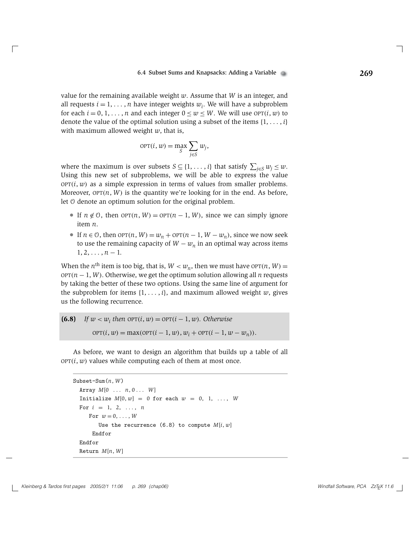value for the remaining available weight *w*. Assume that *W* is an integer, and all requests  $i = 1, \ldots, n$  have integer weights  $w_i$ . We will have a subproblem for each  $i = 0, 1, \ldots, n$  and each integer  $0 \le w \le W$ . We will use  $OPT(i, w)$  to denote the value of the optimal solution using a subset of the items  $\{1, \ldots, i\}$ with maximum allowed weight *w*, that is,

$$
\text{OPT}(i, w) = \max_{S} \sum_{j \in S} w_j,
$$

where the maximum is over subsets *S*  $\subseteq$  {1, . . . , *i*} that satisfy  $\sum_{j \in S} w_j \leq w$ . Using this new set of subproblems, we will be able to express the value  $OPT(i, w)$  as a simple expression in terms of values from smaller problems. Moreover,  $OPT(n, W)$  is the quantity we're looking for in the end. As before, let O denote an optimum solution for the original problem.

- $\bullet$  If *n* ∉ 0, then  $OPT(n, W) = OPT(n 1, W)$ , since we can simply ignore item *n*.
- If  $n \in \mathcal{O}$ , then  $\text{OPT}(n, W) = w_n + \text{OPT}(n-1, W w_n)$ , since we now seek to use the remaining capacity of  $W - w_n$  in an optimal way across items  $1, 2, \ldots, n-1.$

When the  $n^{\text{th}}$  item is too big, that is,  $W < w_n$ , then we must have  $\text{OPT}(n, W) =$ OPT(*n* − 1, *W*). Otherwise, we get the optimum solution allowing all *n* requests by taking the better of these two options. Using the same line of argument for the subproblem for items  $\{1, \ldots, i\}$ , and maximum allowed weight  $w$ , gives us the following recurrence.

(6.8) If 
$$
w < w_i
$$
 then  $\text{OPT}(i, w) = \text{OPT}(i - 1, w)$ . Otherwise\n
$$
\text{OPT}(i, w) = \max(\text{OPT}(i - 1, w), w_i + \text{OPT}(i - 1, w - w_n)).
$$

As before, we want to design an algorithm that builds up a table of all  $OPT(i, w)$  values while computing each of them at most once.

```
Subset-Sum(n, W)
 Array M[0 . . . n,0... W]
 Initialize M[0, w] = 0 for each w = 0, 1, ..., WFor i = 1, 2, ..., nFor w = 0, \ldots, WUse the recurrence (6.8) to compute M[i, w]Endfor
  Endfor
  Return M[n, W]
```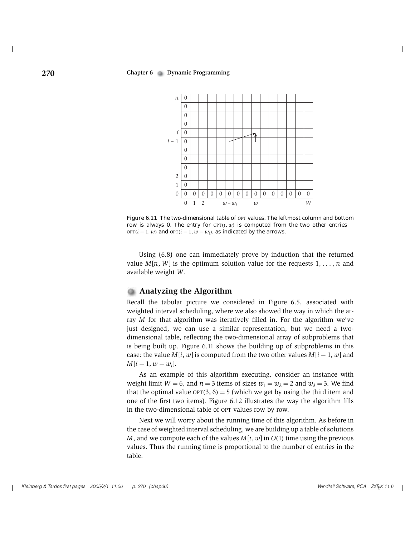

Figure 6.11 The two-dimensional table of OPT values. The leftmost column and bottom row is always 0. The entry for  $OPT(i, w)$  is computed from the two other entries  $OPT(i - 1, w)$  and  $OPT(i - 1, w - w_i)$ , as indicated by the arrows.

Using (6.8) one can immediately prove by induction that the returned value  $M[n, W]$  is the optimum solution value for the requests  $1, \ldots, n$  and available weight *W*.

# **Analyzing the Algorithm**

Recall the tabular picture we considered in Figure 6.5, associated with weighted interval scheduling, where we also showed the way in which the array *M* for that algorithm was iteratively filled in. For the algorithm we've just designed, we can use a similar representation, but we need a twodimensional table, reflecting the two-dimensional array of subproblems that is being built up. Figure 6.11 shows the building up of subproblems in this case: the value  $M[i, w]$  is computed from the two other values  $M[i - 1, w]$  and  $M[i - 1, w - w_i].$ 

As an example of this algorithm executing, consider an instance with weight limit  $W = 6$ , and  $n = 3$  items of sizes  $w_1 = w_2 = 2$  and  $w_3 = 3$ . We find that the optimal value  $OPT(3, 6) = 5$  (which we get by using the third item and one of the first two items). Figure 6.12 illustrates the way the algorithm fills in the two-dimensional table of OPT values row by row.

Next we will worry about the running time of this algorithm. As before in the case of weighted interval scheduling, we are building up a table of solutions *M*, and we compute each of the values  $M[i, w]$  in  $O(1)$  time using the previous values. Thus the running time is proportional to the number of entries in the table.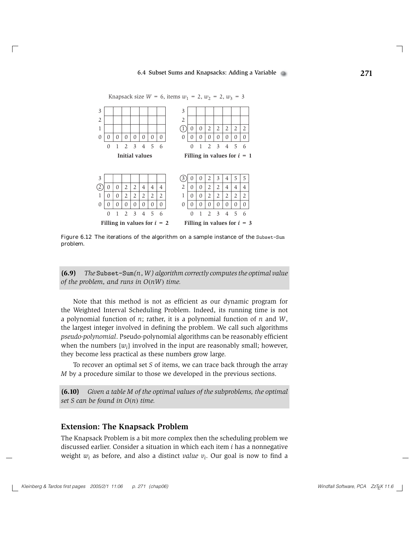

Figure 6.12 The iterations of the algorithm on a sample instance of the Subset-Sum problem.

**(6.9)** *The* Subset-Sum*(n*, *W) algorithm correctly computes the optimal value of the problem, and runs in O*(*nW*) *time.*

Note that this method is not as efficient as our dynamic program for the Weighted Interval Scheduling Problem. Indeed, its running time is not a polynomial function of *n*; rather, it is a polynomial function of *n* and *W*, the largest integer involved in defining the problem. We call such algorithms *pseudo-polynomial*. Pseudo-polynomial algorithms can be reasonably efficient when the numbers {*wi*} involved in the input are reasonably small; however, they become less practical as these numbers grow large.

To recover an optimal set *S* of items, we can trace back through the array *M* by a procedure similar to those we developed in the previous sections.

**(6.10)** *Given a table M of the optimal values of the subproblems, the optimal set S can be found in O*(*n*) *time.*

# **Extension: The Knapsack Problem**

The Knapsack Problem is a bit more complex then the scheduling problem we discussed earlier. Consider a situation in which each item *i* has a nonnegative weight  $w_i$  as before, and also a distinct *value*  $v_i$ . Our goal is now to find a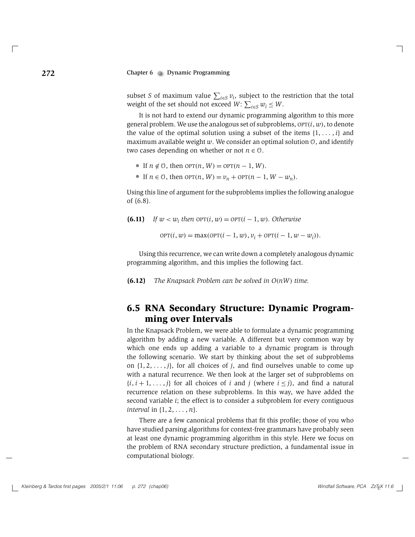subset *S* of maximum value  $\sum_{i \in S} v_i$ , subject to the restriction that the total weight of the set should not exceed  $W: \sum_{i \in S} w_i \leq W$ .

It is not hard to extend our dynamic programming algorithm to this more general problem. We use the analogous set of subproblems, OPT(*i*, *w*), to denote the value of the optimal solution using a subset of the items  $\{1, \ldots, i\}$  and maximum available weight *w*. We consider an optimal solution  $\theta$ , and identify two cases depending on whether or not  $n \in \mathcal{O}$ .

- $\bullet$  If *n* ∉ ①, then OPT(*n*, *W*) = OPT(*n* − 1, *W*).
- $\bullet$  If *n* ∈ 0, then OPT(*n*, *W*) =  $v_n$  + OPT(*n* − 1, *W* −  $w_n$ ).

Using this line of argument for the subproblems implies the following analogue of (6.8).

**(6.11)** *If*  $w < w_i$  *then*  $\text{OPT}(i, w) = \text{OPT}(i - 1, w)$ *. Otherwise* 

 $OPT(i, w) = max(OPT(i - 1, w), v_i + OPT(i - 1, w - w_i)).$ 

Using this recurrence, we can write down a completely analogous dynamic programming algorithm, and this implies the following fact.

**(6.12)** *The Knapsack Problem can be solved in O*(*nW*) *time.*

# **6.5 RNA Secondary Structure: Dynamic Programming over Intervals**

In the Knapsack Problem, we were able to formulate a dynamic programming algorithm by adding a new variable. A different but very common way by which one ends up adding a variable to a dynamic program is through the following scenario. We start by thinking about the set of subproblems on  $\{1, 2, \ldots, j\}$ , for all choices of *j*, and find ourselves unable to come up with a natural recurrence. We then look at the larger set of subproblems on  $\{i, i+1, \ldots, j\}$  for all choices of *i* and *j* (where  $i \leq j$ ), and find a natural recurrence relation on these subproblems. In this way, we have added the second variable *i*; the effect is to consider a subproblem for every contiguous *interval* in {1, 2, . . . , *n*}.

There are a few canonical problems that fit this profile; those of you who have studied parsing algorithms for context-free grammars have probably seen at least one dynamic programming algorithm in this style. Here we focus on the problem of RNA secondary structure prediction, a fundamental issue in computational biology.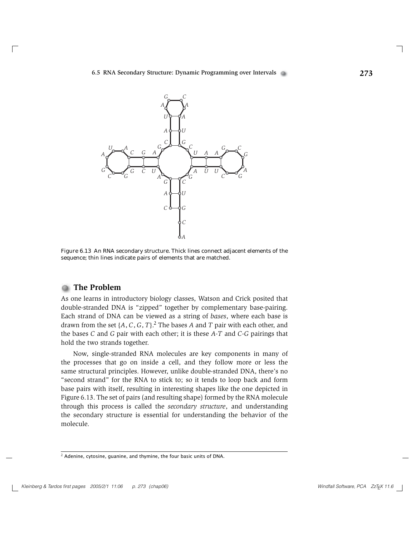6.5 RNA Secondary Structure: Dynamic Programming over Intervals **273**



Figure 6.13 An RNA secondary structure. Thick lines connect adjacent elements of the sequence; thin lines indicate pairs of elements that are matched.

#### **The Problem**

 $\Box$ 

As one learns in introductory biology classes, Watson and Crick posited that double-stranded DNA is "zipped" together by complementary base-pairing. Each strand of DNA can be viewed as a string of *bases*, where each base is drawn from the set {*A*, *C*, *G*, *T*}. <sup>2</sup> The bases *A* and *T* pair with each other, and the bases *C* and *G* pair with each other; it is these *A*-*T* and *C*-*G* pairings that hold the two strands together.

Now, single-stranded RNA molecules are key components in many of the processes that go on inside a cell, and they follow more or less the same structural principles. However, unlike double-stranded DNA, there's no "second strand" for the RNA to stick to; so it tends to loop back and form base pairs with itself, resulting in interesting shapes like the one depicted in Figure 6.13. The set of pairs (and resulting shape) formed by the RNA molecule through this process is called the *secondary structure*, and understanding the secondary structure is essential for understanding the behavior of the molecule.

<sup>2</sup> Adenine, cytosine, guanine, and thymine, the four basic units of DNA.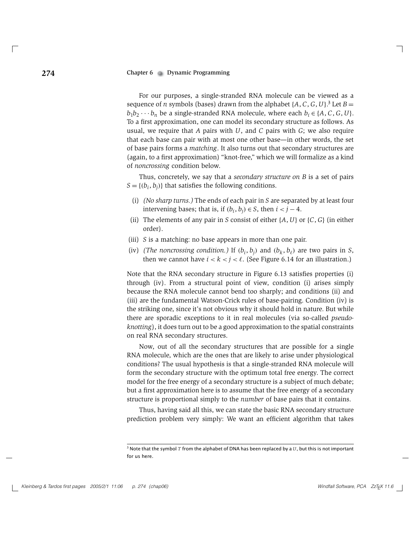For our purposes, a single-stranded RNA molecule can be viewed as a sequence of *n* symbols (bases) drawn from the alphabet  $\{A, C, G, U\}$ .<sup>3</sup> Let  $B =$  $b_1b_2 \cdots b_n$  be a single-stranded RNA molecule, where each  $b_i \in \{A, C, G, U\}$ . To a first approximation, one can model its secondary structure as follows. As usual, we require that *A* pairs with *U*, and *C* pairs with *G*; we also require that each base can pair with at most one other base—in other words, the set of base pairs forms a *matching*. It also turns out that secondary structures are (again, to a first approximation) "knot-free," which we will formalize as a kind of *noncrossing* condition below.

Thus, concretely, we say that a *secondary structure on B* is a set of pairs  $S = \{(b_i, b_j)\}\$ that satisfies the following conditions.

- (i) *(No sharp turns.)* The ends of each pair in *S* are separated by at least four intervening bases; that is, if  $(b_i, b_i) \in S$ , then  $i < j - 4$ .
- (ii) The elements of any pair in *S* consist of either {*A*, *U*} or {*C*, *G*} (in either order).
- (iii) *S* is a matching: no base appears in more than one pair.
- (iv) *(The noncrossing condition.)* If  $(b_i, b_j)$  and  $(b_k, b_\ell)$  are two pairs in *S*, then we cannot have  $i < k < j < \ell$ . (See Figure 6.14 for an illustration.)

Note that the RNA secondary structure in Figure 6.13 satisfies properties (i) through (iv). From a structural point of view, condition (i) arises simply because the RNA molecule cannot bend too sharply; and conditions (ii) and (iii) are the fundamental Watson-Crick rules of base-pairing. Condition (iv) is the striking one, since it's not obvious why it should hold in nature. But while there are sporadic exceptions to it in real molecules (via so-called *pseudoknotting*), it does turn out to be a good approximation to the spatial constraints on real RNA secondary structures.

Now, out of all the secondary structures that are possible for a single RNA molecule, which are the ones that are likely to arise under physiological conditions? The usual hypothesis is that a single-stranded RNA molecule will form the secondary structure with the optimum total free energy. The correct model for the free energy of a secondary structure is a subject of much debate; but a first approximation here is to assume that the free energy of a secondary structure is proportional simply to the *number* of base pairs that it contains.

Thus, having said all this, we can state the basic RNA secondary structure prediction problem very simply: We want an efficient algorithm that takes

 $3$  Note that the symbol  $T$  from the alphabet of DNA has been replaced by a  $U$ , but this is not important for us here.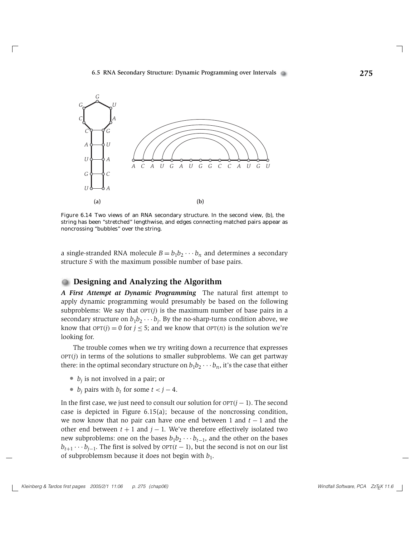6.5 RNA Secondary Structure: Dynamic Programming over Intervals **275**



Figure 6.14 Two views of an RNA secondary structure. In the second view, (b), the string has been "stretched" lengthwise, and edges connecting matched pairs appear as noncrossing "bubbles" over the string.

a single-stranded RNA molecule  $B = b_1 b_2 \cdots b_n$  and determines a secondary structure *S* with the maximum possible number of base pairs.

# **Designing and Analyzing the Algorithm**

*A First Attempt at Dynamic Programming* The natural first attempt to apply dynamic programming would presumably be based on the following subproblems: We say that  $OPT(j)$  is the maximum number of base pairs in a secondary structure on  $b_1b_2 \cdots b_j$ . By the no-sharp-turns condition above, we know that  $OPT(j) = 0$  for  $j \leq 5$ ; and we know that  $OPT(n)$  is the solution we're looking for.

The trouble comes when we try writing down a recurrence that expresses OPT(*j*) in terms of the solutions to smaller subproblems. We can get partway there: in the optimal secondary structure on  $b_1b_2 \cdots b_n$ , it's the case that either

- $\bullet$  *b<sub>i</sub>* is not involved in a pair; or
- *b<sub>i</sub>* pairs with *b<sub>t</sub>* for some  $t < j 4$ .

In the first case, we just need to consult our solution for  $\text{OPT}(j-1)$ . The second case is depicted in Figure 6.15(a); because of the noncrossing condition, we now know that no pair can have one end between 1 and *t* − 1 and the other end between  $t + 1$  and  $j - 1$ . We've therefore effectively isolated two new subproblems: one on the bases  $b_1b_2 \cdots b_{t-1}$ , and the other on the bases  $b_{t+1} \cdots b_{i-1}$ . The first is solved by  $\text{OPT}(t-1)$ , but the second is not on our list of subproblemsm because it does not begin with  $b_1$ .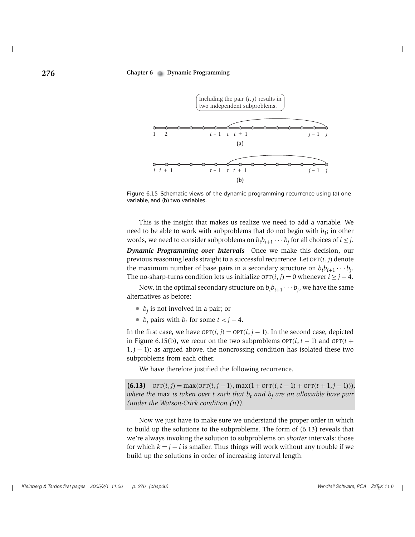

Figure 6.15 Schematic views of the dynamic programming recurrence using (a) one variable, and (b) two variables.

This is the insight that makes us realize we need to add a variable. We need to be able to work with subproblems that do not begin with  $b<sub>1</sub>$ ; in other words, we need to consider subproblems on  $b_i b_{i+1} \cdots b_j$  for all choices of  $i \leq j$ . *Dynamic Programming over Intervals* Once we make this decision, our previous reasoning leads straight to a successful recurrence. Let OPT(*i*, *j*) denote the maximum number of base pairs in a secondary structure on  $b_i b_{i+1} \cdots b_j$ . The no-sharp-turns condition lets us initialize  $\text{OPT}(i, j) = 0$  whenever  $i \geq j - 4$ .

Now, in the optimal secondary structure on  $b_i b_{i+1} \cdots b_i$ , we have the same alternatives as before:

- $\bullet$  *b<sub>j</sub>* is not involved in a pair; or
- *b<sub>i</sub>* pairs with *b<sub>t</sub>* for some  $t < j 4$ .

In the first case, we have  $OPT(i, j) = OPT(i, j - 1)$ . In the second case, depicted in Figure 6.15(b), we recur on the two subproblems  $\text{OPT}(i, t-1)$  and  $\text{OPT}(t+1)$  $1, j - 1$ ); as argued above, the noncrossing condition has isolated these two subproblems from each other.

We have therefore justified the following recurrence.

**(6.13)**  $\text{OPT}(i, j) = \max(\text{OPT}(i, j - 1), \max(1 + \text{OPT}(i, t - 1) + \text{OPT}(t + 1, j - 1))),$ *where the* max *is taken over t such that*  $b_t$  *and*  $b_i$  *are an allowable base pair (under the Watson-Crick condition (ii)).*

Now we just have to make sure we understand the proper order in which to build up the solutions to the subproblems. The form of (6.13) reveals that we're always invoking the solution to subproblems on *shorter* intervals: those for which  $k = j - i$  is smaller. Thus things will work without any trouble if we build up the solutions in order of increasing interval length.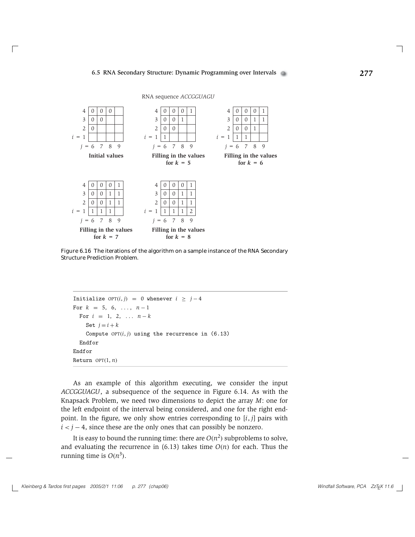#### 6.5 RNA Secondary Structure: Dynamic Programming over Intervals **277**



Figure 6.16 The iterations of the algorithm on a sample instance of the RNA Secondary Structure Prediction Problem.

```
Initialize OPT(i, j) = 0 whenever i \geq j-4For k = 5, 6, \ldots, n-1For i = 1, 2, ... n-kSet j = i + kCompute OPT(i, j) using the recurrence in (6.13)Endfor
Endfor
Return OPT(1, n)
```
As an example of this algorithm executing, we consider the input *ACCGGUAGU*, a subsequence of the sequence in Figure 6.14. As with the Knapsack Problem, we need two dimensions to depict the array *M*: one for the left endpoint of the interval being considered, and one for the right endpoint. In the figure, we only show entries corresponding to [*i*, *j*] pairs with  $i < j - 4$ , since these are the only ones that can possibly be nonzero.

It is easy to bound the running time: there are  $O(n^2)$  subproblems to solve, and evaluating the recurrence in  $(6.13)$  takes time  $O(n)$  for each. Thus the running time is  $O(n^3)$ .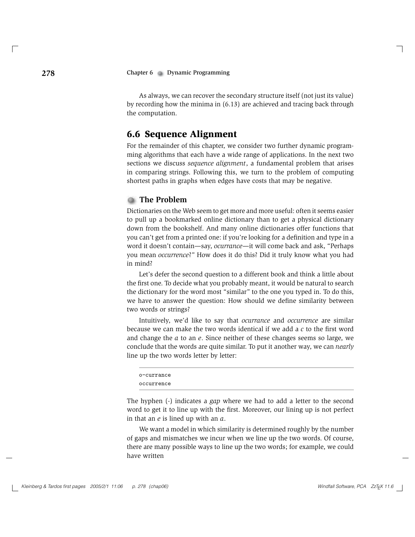As always, we can recover the secondary structure itself (not just its value) by recording how the minima in (6.13) are achieved and tracing back through the computation.

# **6.6 Sequence Alignment**

For the remainder of this chapter, we consider two further dynamic programming algorithms that each have a wide range of applications. In the next two sections we discuss *sequence alignment*, a fundamental problem that arises in comparing strings. Following this, we turn to the problem of computing shortest paths in graphs when edges have costs that may be negative.

#### **The Problem**

Dictionaries on the Web seem to get more and more useful: often it seems easier to pull up a bookmarked online dictionary than to get a physical dictionary down from the bookshelf. And many online dictionaries offer functions that you can't get from a printed one: if you're looking for a definition and type in a word it doesn't contain—say, *ocurrance*—it will come back and ask, "Perhaps you mean *occurrence*?" How does it do this? Did it truly know what you had in mind?

Let's defer the second question to a different book and think a little about the first one. To decide what you probably meant, it would be natural to search the dictionary for the word most "similar" to the one you typed in. To do this, we have to answer the question: How should we define similarity between two words or strings?

Intuitively, we'd like to say that *ocurrance* and *occurrence* are similar because we can make the two words identical if we add a *c* to the first word and change the *a* to an *e*. Since neither of these changes seems so large, we conclude that the words are quite similar. To put it another way, we can *nearly* line up the two words letter by letter:

| o-currance |  |  |
|------------|--|--|
| occurrence |  |  |

The hyphen (-) indicates a *gap* where we had to add a letter to the second word to get it to line up with the first. Moreover, our lining up is not perfect in that an *e* is lined up with an *a*.

We want a model in which similarity is determined roughly by the number of gaps and mismatches we incur when we line up the two words. Of course, there are many possible ways to line up the two words; for example, we could have written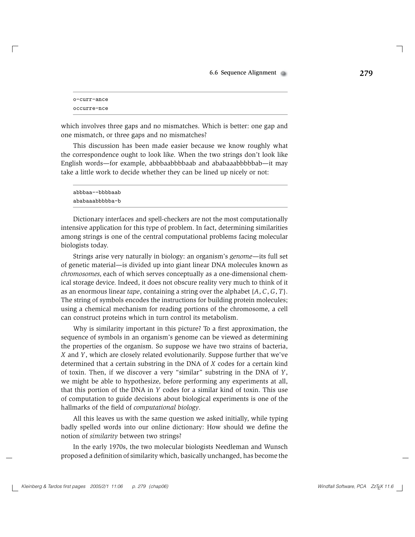```
o-curr-ance
occurre-nce
```
which involves three gaps and no mismatches. Which is better: one gap and one mismatch, or three gaps and no mismatches?

This discussion has been made easier because we know roughly what the correspondence ought to look like. When the two strings don't look like English words—for example, abbbaabbbbaab and ababaaabbbbbab—it may take a little work to decide whether they can be lined up nicely or not:

| abbbaa--bbbbaab |  |  |  |
|-----------------|--|--|--|
| ababaaabbbbba-b |  |  |  |

Dictionary interfaces and spell-checkers are not the most computationally intensive application for this type of problem. In fact, determining similarities among strings is one of the central computational problems facing molecular biologists today.

Strings arise very naturally in biology: an organism's *genome*—its full set of genetic material—is divided up into giant linear DNA molecules known as *chromosomes,* each of which serves conceptually as a one-dimensional chemical storage device. Indeed, it does not obscure reality very much to think of it as an enormous linear *tape*, containing a string over the alphabet {*A*, *C*, *G*, *T*}. The string of symbols encodes the instructions for building protein molecules; using a chemical mechanism for reading portions of the chromosome, a cell can construct proteins which in turn control its metabolism.

Why is similarity important in this picture? To a first approximation, the sequence of symbols in an organism's genome can be viewed as determining the properties of the organism. So suppose we have two strains of bacteria, *X* and *Y*, which are closely related evolutionarily. Suppose further that we've determined that a certain substring in the DNA of *X* codes for a certain kind of toxin. Then, if we discover a very "similar" substring in the DNA of *Y*, we might be able to hypothesize, before performing any experiments at all, that this portion of the DNA in *Y* codes for a similar kind of toxin. This use of computation to guide decisions about biological experiments is one of the hallmarks of the field of *computational biology*.

All this leaves us with the same question we asked initially, while typing badly spelled words into our online dictionary: How should we define the notion of *similarity* between two strings?

In the early 1970s, the two molecular biologists Needleman and Wunsch proposed a definition of similarity which, basically unchanged, has become the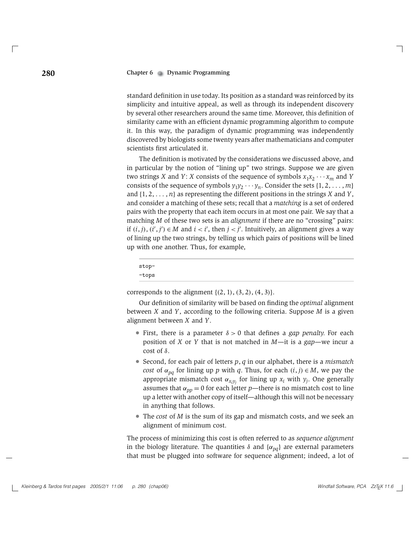standard definition in use today. Its position as a standard was reinforced by its simplicity and intuitive appeal, as well as through its independent discovery by several other researchers around the same time. Moreover, this definition of similarity came with an efficient dynamic programming algorithm to compute it. In this way, the paradigm of dynamic programming was independently discovered by biologists some twenty years after mathematicians and computer scientists first articulated it.

The definition is motivated by the considerations we discussed above, and in particular by the notion of "lining up" two strings. Suppose we are given two strings *X* and *Y*: *X* consists of the sequence of symbols  $x_1x_2 \cdots x_m$  and *Y* consists of the sequence of symbols  $y_1y_2 \cdots y_n$ . Consider the sets  $\{1, 2, \ldots, m\}$ and {1, 2, . . . , *n*} as representing the different positions in the strings *X* and *Y*, and consider a matching of these sets; recall that a *matching* is a set of ordered pairs with the property that each item occurs in at most one pair. We say that a matching *M* of these two sets is an *alignment* if there are no "crossing" pairs: if  $(i, j)$ ,  $(i', j') \in M$  and  $i < i'$ , then  $j < j'$ . Intuitively, an alignment gives a way of lining up the two strings, by telling us which pairs of positions will be lined up with one another. Thus, for example,

| stop- |  |  |  |
|-------|--|--|--|
| -tops |  |  |  |

corresponds to the alignment  $\{(2, 1), (3, 2), (4, 3)\}.$ 

Our definition of similarity will be based on finding the *optimal* alignment between *X* and *Y*, according to the following criteria. Suppose *M* is a given alignment between *X* and *Y*.

- First, there is a parameter  $\delta > 0$  that defines a *gap penalty*. For each position of *X* or *Y* that is not matched in *M*—it is a *gap*—we incur a cost of  $\delta$ .
- . Second, for each pair of letters *p*, *q* in our alphabet, there is a *mismatch cost* of  $\alpha_{pq}$  for lining up *p* with *q*. Thus, for each  $(i, j) \in M$ , we pay the appropriate mismatch cost  $\alpha_{x_iy_i}$  for lining up  $x_i$  with  $y_j$ . One generally assumes that  $\alpha_{pp} = 0$  for each letter *p*—there is no mismatch cost to line up a letter with another copy of itself—although this will not be necessary in anything that follows.
- . The *cost* of *M* is the sum of its gap and mismatch costs, and we seek an alignment of minimum cost.

The process of minimizing this cost is often referred to as *sequence alignment* in the biology literature. The quantities  $\delta$  and  $\{\alpha_{pq}\}$  are external parameters that must be plugged into software for sequence alignment; indeed, a lot of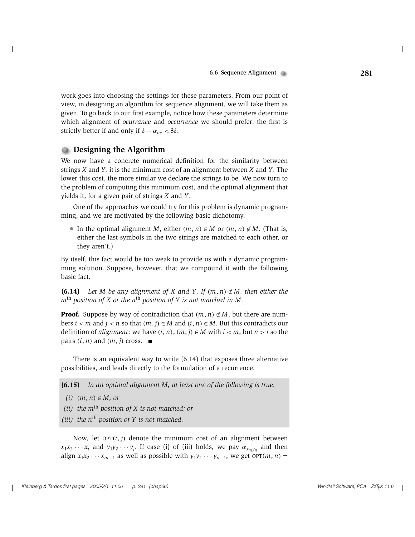work goes into choosing the settings for these parameters. From our point of view, in designing an algorithm for sequence alignment, we will take them as given. To go back to our first example, notice how these parameters determine which alignment of *ocurrance* and *occurrence* we should prefer: the first is strictly better if and only if  $\delta + \alpha_{ae} < 3\delta$ .

#### **Designing the Algorithm**

 $\Box$ 

We now have a concrete numerical definition for the similarity between strings *X* and *Y*: it is the minimum cost of an alignment between *X* and *Y*. The lower this cost, the more similar we declare the strings to be. We now turn to the problem of computing this minimum cost, and the optimal alignment that yields it, for a given pair of strings *X* and *Y*.

One of the approaches we could try for this problem is dynamic programming, and we are motivated by the following basic dichotomy.

■ In the optimal alignment *M*, either  $(m, n) \in M$  or  $(m, n) \notin M$ . (That is, either the last symbols in the two strings are matched to each other, or they aren't.)

By itself, this fact would be too weak to provide us with a dynamic programming solution. Suppose, however, that we compound it with the following basic fact.

**(6.14)** *Let M be any alignment of X and Y. If*  $(m, n) \notin M$ , then either the *m*th *position of X or the n*th *position of Y is not matched in M.*

**Proof.** Suppose by way of contradiction that  $(m, n) \notin M$ , but there are numbers  $i < m$  and  $j < n$  so that  $(m, j) \in M$  and  $(i, n) \in M$ . But this contradicts our definition of *alignment*: we have  $(i, n)$ ,  $(m, j) \in M$  with  $i < m$ , but  $n > i$  so the pairs  $(i, n)$  and  $(m, j)$  cross.  $\blacksquare$ 

There is an equivalent way to write (6.14) that exposes three alternative possibilities, and leads directly to the formulation of a recurrence.

**(6.15)** *In an optimal alignment M, at least one of the following is true:*

- $(i)$   $(m, n) \in M$ ; or
- *(ii) the m*th *position of X is not matched; or*
- *(iii) the n*th *position of Y is not matched.*

Now, let OPT(*i*, *j*) denote the minimum cost of an alignment between  $x_1x_2 \cdots x_i$  and  $y_1y_2 \cdots y_j$ . If case (i) of (iii) holds, we pay  $\alpha_{x_m y_n}$  and then align  $x_1x_2 \cdots x_{m-1}$  as well as possible with  $y_1y_2 \cdots y_{n-1}$ ; we get OPT(*m*, *n*) =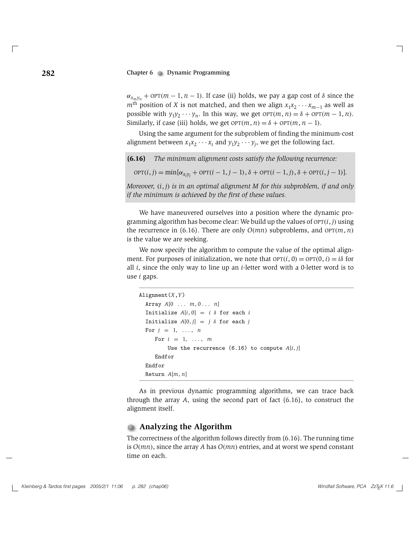$\alpha_{x_m y_n}$  +  $\text{OPT}(m-1, n-1)$ . If case (ii) holds, we pay a gap cost of  $\delta$  since the *m*<sup>th</sup> position of *X* is not matched, and then we align  $x_1x_2 \cdots x_{m-1}$  as well as possible with  $y_1y_2 \cdots y_n$ . In this way, we get  $\text{OPT}(m, n) = \delta + \text{OPT}(m - 1, n)$ . Similarly, if case (iii) holds, we get  $OPT(m, n) = \delta + OPT(m, n - 1)$ .

Using the same argument for the subproblem of finding the minimum-cost alignment between  $x_1x_2 \cdots x_i$  and  $y_1y_2 \cdots y_i$ , we get the following fact.

**(6.16)** *The minimum alignment costs satisfy the following recurrence:*

 $\text{OPT}(i, j) = \min[\alpha_{\chi, \nu_i} + \text{OPT}(i-1, j-1), \delta + \text{OPT}(i-1, j), \delta + \text{OPT}(i, j-1)].$ 

*Moreover,* (*i*, *j*) *is in an optimal alignment M for this subproblem, if and only if the minimum is achieved by the first of these values.*

We have maneuvered ourselves into a position where the dynamic programming algorithm has become clear: We build up the values of  $\text{OPT}(i, j)$  using the recurrence in (6.16). There are only  $O(mn)$  subproblems, and  $OPT(m, n)$ is the value we are seeking.

We now specify the algorithm to compute the value of the optimal alignment. For purposes of initialization, we note that  $OPT(i, 0) = OPT(0, i) = i\delta$  for all *i*, since the only way to line up an *i*-letter word with a 0-letter word is to use *i* gaps.

```
Alignment(X,Y)
  Array A[0 . . . m,0... n]
  Initialize A[i, 0] = i \delta for each i
  Initialize A[0, j] = j \delta for each j
  For j = 1, ..., nFor i = 1, ..., mUse the recurrence (6.16) to compute A[i, j]Endfor
  Endfor
  Return A[m, n]
```
As in previous dynamic programming algorithms, we can trace back through the array *A*, using the second part of fact (6.16), to construct the alignment itself.

# **Analyzing the Algorithm**

The correctness of the algorithm follows directly from (6.16). The running time is *O*(*mn*), since the array *A* has *O*(*mn*) entries, and at worst we spend constant time on each.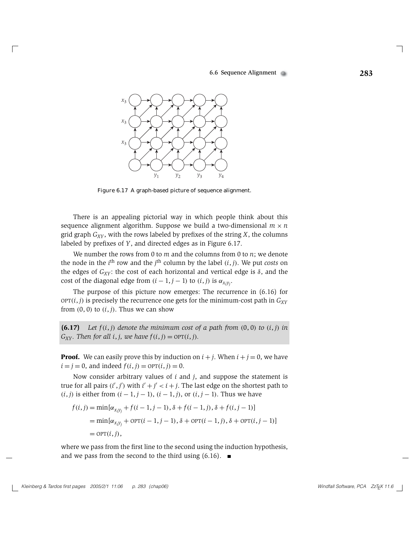6.6 Sequence Alignment **283**



Figure 6.17 A graph-based picture of sequence alignment.

There is an appealing pictorial way in which people think about this sequence alignment algorithm. Suppose we build a two-dimensional  $m \times n$ grid graph  $G_{XY}$ , with the rows labeled by prefixes of the string  $X$ , the columns labeled by prefixes of *Y*, and directed edges as in Figure 6.17.

We number the rows from 0 to *m* and the columns from 0 to *n*; we denote the node in the  $i^{\text{th}}$  row and the  $j^{\text{th}}$  column by the label  $(i, j)$ . We put *costs* on the edges of  $G_{XY}$ : the cost of each horizontal and vertical edge is  $\delta$ , and the cost of the diagonal edge from  $(i - 1, j - 1)$  to  $(i, j)$  is  $\alpha_{x_i y_j}$ .

The purpose of this picture now emerges: The recurrence in (6.16) for  $OPT(i, j)$  is precisely the recurrence one gets for the minimum-cost path in  $G_{XY}$ from  $(0, 0)$  to  $(i, j)$ . Thus we can show

**(6.17)** *Let*  $f(i, j)$  *denote the minimum cost of a path from*  $(0, 0)$  *to*  $(i, j)$  *in G<sub>xy</sub>*. *Then for all i, j, we have*  $f(i, j) = \text{OPT}(i, j)$ *.* 

**Proof.** We can easily prove this by induction on  $i + j$ . When  $i + j = 0$ , we have  $i = j = 0$ , and indeed  $f(i, j) = \text{OPT}(i, j) = 0$ .

Now consider arbitrary values of *i* and *j*, and suppose the statement is true for all pairs  $(i', j')$  with  $i' + j' < i + j$ . The last edge on the shortest path to  $(i, j)$  is either from  $(i − 1, j − 1)$ ,  $(i − 1, j)$ , or  $(i, j − 1)$ . Thus we have

$$
f(i, j) = \min[\alpha_{x_i y_j} + f(i - 1, j - 1), \delta + f(i - 1, j), \delta + f(i, j - 1)]
$$
  
=  $\min[\alpha_{x_i y_j} + \text{OPT}(i - 1, j - 1), \delta + \text{OPT}(i - 1, j), \delta + \text{OPT}(i, j - 1)]$   
=  $\text{OPT}(i, j),$ 

where we pass from the first line to the second using the induction hypothesis, and we pass from the second to the third using  $(6.16)$ .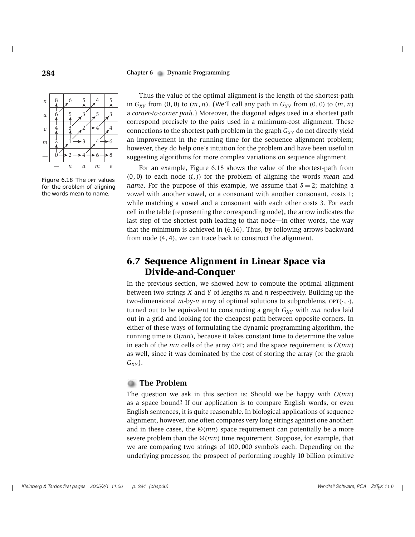

 $\Box$ 

Figure 6.18 The OPT values for the problem of aligning the words *mean* to *name*.

Thus the value of the optimal alignment is the length of the shortest-path in  $G_{XY}$  from (0, 0) to  $(m, n)$ . (We'll call any path in  $G_{XY}$  from (0, 0) to  $(m, n)$ a *corner-to-corner path*.) Moreover, the diagonal edges used in a shortest path correspond precisely to the pairs used in a minimum-cost alignment. These connections to the shortest path problem in the graph  $G_{XY}$  do not directly yield an improvement in the running time for the sequence alignment problem; however, they do help one's intuition for the problem and have been useful in suggesting algorithms for more complex variations on sequence alignment.

For an example, Figure 6.18 shows the value of the shortest-path from (0, 0) to each node (*i*, *j*) for the problem of aligning the words *mean* and *name*. For the purpose of this example, we assume that  $\delta = 2$ ; matching a vowel with another vowel, or a consonant with another consonant, costs 1; while matching a vowel and a consonant with each other costs 3. For each cell in the table (representing the corresponding node), the arrow indicates the last step of the shortest path leading to that node—in other words, the way that the minimum is achieved in (6.16). Thus, by following arrows backward from node (4, 4), we can trace back to construct the alignment.

# **6.7 Sequence Alignment in Linear Space via Divide-and-Conquer**

In the previous section, we showed how to compute the optimal alignment between two strings *X* and *Y* of lengths *m* and *n* respectively. Building up the two-dimensional *m*-by-*n* array of optimal solutions to subproblems, OPT(·, ·), turned out to be equivalent to constructing a graph  $G_{XY}$  with  $mn$  nodes laid out in a grid and looking for the cheapest path between opposite corners. In either of these ways of formulating the dynamic programming algorithm, the running time is *O*(*mn*), because it takes constant time to determine the value in each of the *mn* cells of the array OPT; and the space requirement is *O*(*mn*) as well, since it was dominated by the cost of storing the array (or the graph *GXY*).

#### **The Problem**

The question we ask in this section is: Should we be happy with *O*(*mn*) as a space bound? If our application is to compare English words, or even English sentences, it is quite reasonable. In biological applications of sequence alignment, however, one often compares very long strings against one another; and in these cases, the  $\Theta(mn)$  space requirement can potentially be a more severe problem than the  $\Theta(mn)$  time requirement. Suppose, for example, that we are comparing two strings of 100, 000 symbols each. Depending on the underlying processor, the prospect of performing roughly 10 billion primitive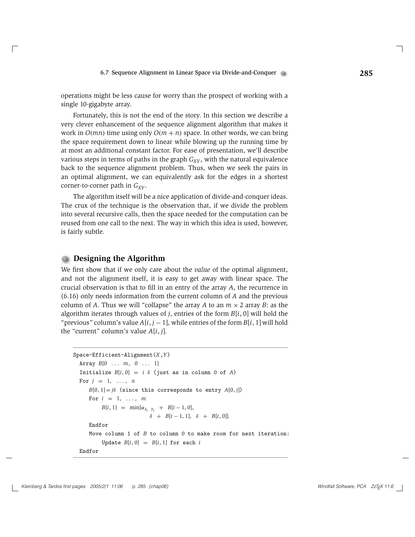operations might be less cause for worry than the prospect of working with a single 10-gigabyte array.

Fortunately, this is not the end of the story. In this section we describe a very clever enhancement of the sequence alignment algorithm that makes it work in  $O(mn)$  time using only  $O(m + n)$  space. In other words, we can bring the space requirement down to linear while blowing up the running time by at most an additional constant factor. For ease of presentation, we'll describe various steps in terms of paths in the graph  $G_{XY}$ , with the natural equivalence back to the sequence alignment problem. Thus, when we seek the pairs in an optimal alignment, we can equivalently ask for the edges in a shortest corner-to-corner path in  $G_{XY}$ .

The algorithm itself will be a nice application of divide-and-conquer ideas. The crux of the technique is the observation that, if we divide the problem into several recursive calls, then the space needed for the computation can be reused from one call to the next. The way in which this idea is used, however, is fairly subtle.

# **Designing the Algorithm**

 $\Box$ 

We first show that if we only care about the *value* of the optimal alignment, and not the alignment itself, it is easy to get away with linear space. The crucial observation is that to fill in an entry of the array *A*, the recurrence in (6.16) only needs information from the current column of *A* and the previous column of *A*. Thus we will "collapse" the array *A* to an  $m \times 2$  array *B*: as the algorithm iterates through values of *j*, entries of the form *B*[*i*, 0] will hold the "previous" column's value  $A[i, j - 1]$ , while entries of the form  $B[i, 1]$  will hold the "current" column's value  $A[i, j]$ .

```
Space-Efficient-Alignment(X,Y)
  Array B[0 \ldots m, 0 \ldots 1]Initialize B[i, 0] = i \delta (just as in column 0 of A)
  For j = 1, ..., nB[0, 1] = j\delta (since this corresponds to entry A[0, j])
     For i = 1, ..., mB[i, 1] = \min[\alpha_{x_i} \quad y_i + B[i-1, 0],\delta + B[i – 1, 1], \delta + B[i, 0]].
     Endfor
     Move column 1 of B to column 0 to make room for next iteration:
          Update B[i, 0] = B[i, 1] for each i
  Endfor
```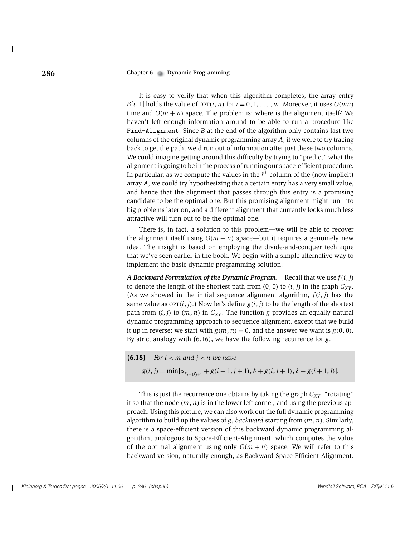It is easy to verify that when this algorithm completes, the array entry *B*[ $i$ , 1] holds the value of  $OPT(i, n)$  for  $i = 0, 1, ..., m$ . Moreover, it uses  $O(mn)$ time and  $O(m + n)$  space. The problem is: where is the alignment itself? We haven't left enough information around to be able to run a procedure like Find-Alignment. Since *B* at the end of the algorithm only contains last two columns of the original dynamic programming array *A*, if we were to try tracing back to get the path, we'd run out of information after just these two columns. We could imagine getting around this difficulty by trying to "predict" what the alignment is going to be in the process of running our space-efficient procedure. In particular, as we compute the values in the  $j<sup>th</sup>$  column of the (now implicit) array *A*, we could try hypothesizing that a certain entry has a very small value, and hence that the alignment that passes through this entry is a promising candidate to be the optimal one. But this promising alignment might run into big problems later on, and a different alignment that currently looks much less attractive will turn out to be the optimal one.

There is, in fact, a solution to this problem—we will be able to recover the alignment itself using  $O(m + n)$  space—but it requires a genuinely new idea. The insight is based on employing the divide-and-conquer technique that we've seen earlier in the book. We begin with a simple alternative way to implement the basic dynamic programming solution.

*A Backward Formulation of the Dynamic Program.* Recall that we use  $f(i, j)$ to denote the length of the shortest path from  $(0, 0)$  to  $(i, j)$  in the graph  $G_{XY}$ . (As we showed in the initial sequence alignment algorithm,  $f(i, j)$  has the same value as  $OPT(i, j)$ .) Now let's define  $g(i, j)$  to be the length of the shortest path from  $(i, j)$  to  $(m, n)$  in  $G_{XY}$ . The function *g* provides an equally natural dynamic programming approach to sequence alignment, except that we build it up in reverse: we start with  $g(m, n) = 0$ , and the answer we want is  $g(0, 0)$ . By strict analogy with (6.16), we have the following recurrence for *g*.

**(6.18)** *For*  $i < m$  *and*  $j < n$  *we have*  $g(i, j) = \min[\alpha_{x_{i+1}y_{i+1}} + g(i+1, j+1), \delta + g(i, j+1), \delta + g(i+1, j)].$ 

This is just the recurrence one obtains by taking the graph  $G_{XY}$ , "rotating" it so that the node  $(m, n)$  is in the lower left corner, and using the previous approach. Using this picture, we can also work out the full dynamic programming algorithm to build up the values of *g*, *backward* starting from (*m*, *n*). Similarly, there is a space-efficient version of this backward dynamic programming algorithm, analogous to Space-Efficient-Alignment, which computes the value of the optimal alignment using only  $O(m + n)$  space. We will refer to this backward version, naturally enough, as Backward-Space-Efficient-Alignment.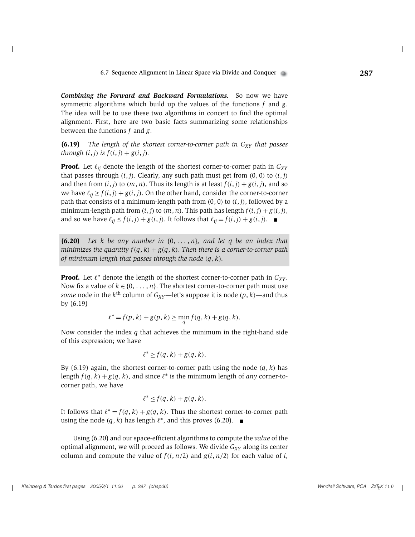*Combining the Forward and Backward Formulations.* So now we have symmetric algorithms which build up the values of the functions *f* and *g*. The idea will be to use these two algorithms in concert to find the optimal alignment. First, here are two basic facts summarizing some relationships between the functions *f* and *g*.

**(6.19)** *The length of the shortest corner-to-corner path in G<sub>XY</sub> that passes through*  $(i, j)$  *is*  $f(i, j) + g(i, j)$ .

**Proof.** Let  $\ell_{ij}$  denote the length of the shortest corner-to-corner path in  $G_{XY}$ that passes through  $(i, j)$ . Clearly, any such path must get from  $(0, 0)$  to  $(i, j)$ and then from  $(i, j)$  to  $(m, n)$ . Thus its length is at least  $f(i, j) + g(i, j)$ , and so we have  $\ell_{ij} \ge f(i, j) + g(i, j)$ . On the other hand, consider the corner-to-corner path that consists of a minimum-length path from (0, 0) to (*i*, *j*), followed by a minimum-length path from  $(i, j)$  to  $(m, n)$ . This path has length  $f(i, j) + g(i, j)$ , and so we have  $\ell_{ij}$  ≤ *f*(*i*, *j*) + *g*(*i*, *j*). It follows that  $\ell_{ij}$  = *f*(*i*, *j*) + *g*(*i*, *j*). ■

**(6.20)** *Let k be any number in* {0, . . . , *n*}*, and let q be an index that minimizes the quantity*  $f(q, k) + g(q, k)$ . *Then there is a corner-to-corner path of minimum length that passes through the node* (*q*, *k*)*.*

**Proof.** Let  $\ell^*$  denote the length of the shortest corner-to-corner path in  $G_{XY}$ . Now fix a value of  $k \in \{0, \ldots, n\}$ . The shortest corner-to-corner path must use *some* node in the  $k^{\text{th}}$  column of  $G_{XY}$ —let's suppose it is node  $(p, k)$ —and thus by (6.19)

$$
\ell^* = f(p, k) + g(p, k) \ge \min_{q} f(q, k) + g(q, k).
$$

Now consider the index  $q$  that achieves the minimum in the right-hand side of this expression; we have

$$
\ell^* \ge f(q, k) + g(q, k).
$$

By  $(6.19)$  again, the shortest corner-to-corner path using the node  $(q, k)$  has length  $f(q, k) + g(q, k)$ , and since  $\ell^*$  is the minimum length of *any* corner-tocorner path, we have

$$
\ell^* \le f(q, k) + g(q, k).
$$

It follows that  $\ell^* = f(q, k) + g(q, k)$ . Thus the shortest corner-to-corner path using the node  $(q, k)$  has length  $\ell^*$ , and this proves (6.20). ■

Using (6.20) and our space-efficient algorithms to compute the *value* of the optimal alignment, we will proceed as follows. We divide G<sub>XY</sub> along its center column and compute the value of  $f(i, n/2)$  and  $g(i, n/2)$  for each value of *i*,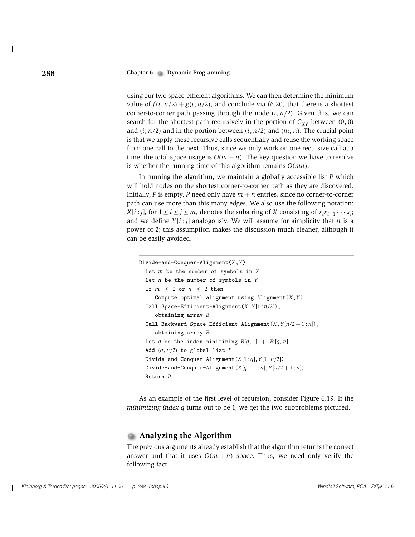using our two space-efficient algorithms. We can then determine the minimum value of  $f(i, n/2) + g(i, n/2)$ , and conclude via (6.20) that there is a shortest corner-to-corner path passing through the node  $(i, n/2)$ . Given this, we can search for the shortest path recursively in the portion of  $G_{XY}$  between  $(0, 0)$ and  $(i, n/2)$  and in the portion between  $(i, n/2)$  and  $(m, n)$ . The crucial point is that we apply these recursive calls sequentially and reuse the working space from one call to the next. Thus, since we only work on one recursive call at a time, the total space usage is  $O(m + n)$ . The key question we have to resolve is whether the running time of this algorithm remains *O*(*mn*).

In running the algorithm, we maintain a globally accessible list *P* which will hold nodes on the shortest corner-to-corner path as they are discovered. Initially, *P* is empty. *P* need only have  $m + n$  entries, since no corner-to-corner path can use more than this many edges. We also use the following notation: *X*[*i* : *j*], for  $1 \le i \le j \le m$ , denotes the substring of *X* consisting of  $x_i x_{i+1} \cdots x_i$ ; and we define  $Y[i : j]$  analogously. We will assume for simplicity that  $n$  is a power of 2; this assumption makes the discussion much cleaner, although it can be easily avoided.

```
Divide-and-Conquer-Alignment(X,Y)
  Let m be the number of symbols in X
  Let n be the number of symbols in Y
  If m \leq 2 or n \leq 2 then
     Compute optimal alignment using Alignment(X,Y)
  Call Space-Efficient-Alignment(X,Y[1 : n/2]),
     obtaining array B
  Call Backward-Space-Efficient-Alignment(X,Y[n/2 + 1 : n]),
     obtaining array B
  Let q be the index minimizing B[q, 1] + B'[q, n]Add (q, n/2) to global list P
  Divide-and-Conquer-Alignment(X[1 : q],Y[1 : n/2])
  Divide-and-Conquer-Alignment(X[q + 1:n], Y[n/2 + 1:n])
  Return P
```
As an example of the first level of recursion, consider Figure 6.19. If the *minimizing index q* turns out to be 1, we get the two subproblems pictured.

# **Analyzing the Algorithm**

The previous arguments already establish that the algorithm returns the correct answer and that it uses  $O(m + n)$  space. Thus, we need only verify the following fact.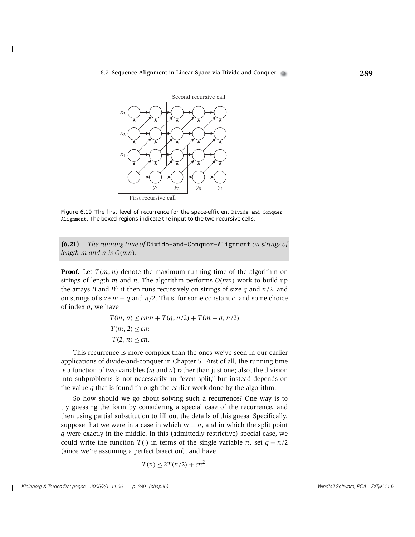6.7 Sequence Alignment in Linear Space via Divide-and-Conquer **289**



Figure 6.19 The first level of recurrence for the space-efficient Divide-and-Conquer-Alignment. The boxed regions indicate the input to the two recursive cells.

**(6.21)** *The running time of* Divide-and-Conquer-Alignment *on strings of length m and n is O*(*mn*)*.*

**Proof.** Let  $T(m, n)$  denote the maximum running time of the algorithm on strings of length *m* and *n*. The algorithm performs *O*(*mn*) work to build up the arrays *B* and *B*<sup> $\prime$ </sup>; it then runs recursively on strings of size *q* and  $n/2$ , and on strings of size  $m - q$  and  $n/2$ . Thus, for some constant *c*, and some choice of index *q*, we have

> $T(m, n) \leq cmn + T(q, n/2) + T(m - q, n/2)$  $T(m, 2) \leq cm$  $T(2, n) \leq cn$ .

This recurrence is more complex than the ones we've seen in our earlier applications of divide-and-conquer in Chapter 5. First of all, the running time is a function of two variables (*m* and *n*) rather than just one; also, the division into subproblems is not necessarily an "even split," but instead depends on the value *q* that is found through the earlier work done by the algorithm.

So how should we go about solving such a recurrence? One way is to try guessing the form by considering a special case of the recurrence, and then using partial substitution to fill out the details of this guess. Specifically, suppose that we were in a case in which  $m = n$ , and in which the split point *q* were exactly in the middle. In this (admittedly restrictive) special case, we could write the function  $T(\cdot)$  in terms of the single variable *n*, set  $q = n/2$ (since we're assuming a perfect bisection), and have

$$
T(n) \le 2T(n/2) + cn^2.
$$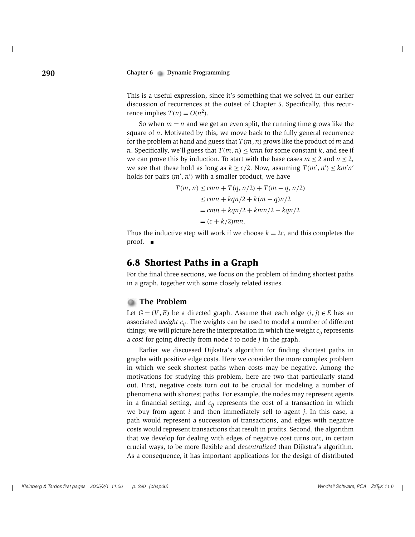This is a useful expression, since it's something that we solved in our earlier discussion of recurrences at the outset of Chapter 5. Specifically, this recurrence implies  $T(n) = O(n^2)$ .

So when  $m = n$  and we get an even split, the running time grows like the square of *n*. Motivated by this, we move back to the fully general recurrence for the problem at hand and guess that *T*(*m*, *n*) grows like the product of *m* and *n*. Specifically, we'll guess that  $T(m, n) < kmn$  for some constant *k*, and see if we can prove this by induction. To start with the base cases  $m \le 2$  and  $n \le 2$ , we see that these hold as long as  $k \ge c/2$ . Now, assuming  $T(m', n') \le km'n'$ holds for pairs (*m* , *n* ) with a smaller product, we have

> $T(m, n) \leq cmn + T(q, n/2) + T(m - q, n/2)$  $<$ *cmn* + *kgn*/2 + *k*(*m* – *g*)*n*/2 = *cmn* + *kqn*/2 + *kmn*/2 − *kqn*/2  $= (c + k/2)mn$ .

Thus the inductive step will work if we choose  $k = 2c$ , and this completes the proof.  $\blacksquare$ 

# **6.8 Shortest Paths in a Graph**

For the final three sections, we focus on the problem of finding shortest paths in a graph, together with some closely related issues.

### **The Problem**

Let  $G = (V, E)$  be a directed graph. Assume that each edge  $(i, j) \in E$  has an associated *weight cij*. The weights can be used to model a number of different things; we will picture here the interpretation in which the weight *cij* represents a *cost* for going directly from node *i* to node *j* in the graph.

Earlier we discussed Dijkstra's algorithm for finding shortest paths in graphs with positive edge costs. Here we consider the more complex problem in which we seek shortest paths when costs may be negative. Among the motivations for studying this problem, here are two that particularly stand out. First, negative costs turn out to be crucial for modeling a number of phenomena with shortest paths. For example, the nodes may represent agents in a financial setting, and  $c_{ij}$  represents the cost of a transaction in which we buy from agent *i* and then immediately sell to agent *j*. In this case, a path would represent a succession of transactions, and edges with negative costs would represent transactions that result in profits. Second, the algorithm that we develop for dealing with edges of negative cost turns out, in certain crucial ways, to be more flexible and *decentralized* than Dijkstra's algorithm. As a consequence, it has important applications for the design of distributed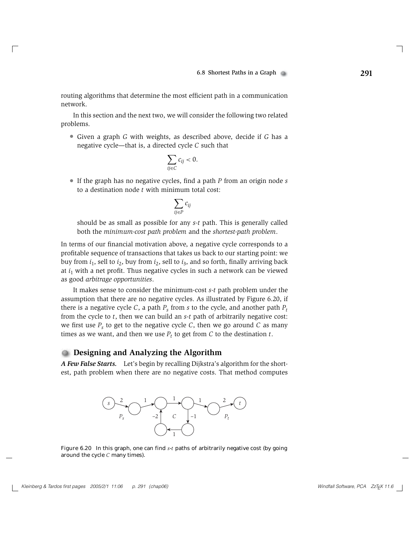routing algorithms that determine the most efficient path in a communication network.

In this section and the next two, we will consider the following two related problems.

. Given a graph *G* with weights, as described above, decide if *G* has a negative cycle—that is, a directed cycle *C* such that

$$
\sum_{ij\in C}c_{ij}<0.
$$

. If the graph has no negative cycles, find a path *P* from an origin node *s* to a destination node *t* with minimum total cost:

$$
\sum_{ij\in P} c_{ij}
$$

should be as small as possible for any *s*-*t* path. This is generally called both the *minimum-cost path problem* and the *shortest-path problem*.

In terms of our financial motivation above, a negative cycle corresponds to a profitable sequence of transactions that takes us back to our starting point: we buy from  $i_1$ , sell to  $i_2$ , buy from  $i_2$ , sell to  $i_3$ , and so forth, finally arriving back at *i*<sup>1</sup> with a net profit. Thus negative cycles in such a network can be viewed as good *arbitrage opportunities*.

It makes sense to consider the minimum-cost *s*-*t* path problem under the assumption that there are no negative cycles. As illustrated by Figure 6.20, if there is a negative cycle *C*, a path  $P_s$  from *s* to the cycle, and another path  $P_t$ from the cycle to *t*, then we can build an *s*-*t* path of arbitrarily negative cost: we first use  $P_s$  to get to the negative cycle  $C$ , then we go around  $C$  as many times as we want, and then we use  $P_t$  to get from  $C$  to the destination  $t$ .

# **Designing and Analyzing the Algorithm**

*A Few False Starts.* Let's begin by recalling Dijkstra's algorithm for the shortest, path problem when there are no negative costs. That method computes



Figure 6.20 In this graph, one can find *s*-*t* paths of arbitrarily negative cost (by going around the cycle *C* many times).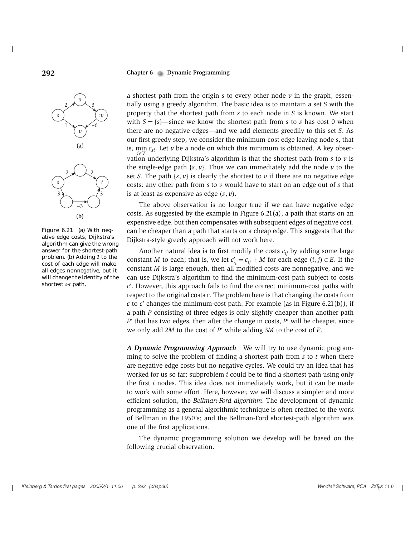

Figure 6.21 (a) With negative edge costs, Dijkstra's algorithm can give the wrong answer for the shortest-path problem. (b) Adding 3 to the cost of each edge will make all edges nonnegative, but it will change the identity of the shortest *s*-*t* path.

a shortest path from the origin *s* to every other node *v* in the graph, essentially using a greedy algorithm. The basic idea is to maintain a set *S* with the property that the shortest path from *s* to each node in *S* is known. We start with  $S = \{s\}$ —since we know the shortest path from *s* to *s* has cost 0 when there are no negative edges—and we add elements greedily to this set *S*. As our first greedy step, we consider the minimum-cost edge leaving node *s*, that is,  $\min_{i \in V} c_{si}$ . Let *v* be a node on which this minimum is obtained. A key obser*i*∈*V* vation underlying Dijkstra's algorithm is that the shortest path from *s* to *v* is the single-edge path  $\{s, v\}$ . Thus we can immediately add the node  $v$  to the set *S*. The path  $\{s, v\}$  is clearly the shortest to *v* if there are no negative edge costs: any other path from *s* to *v* would have to start on an edge out of *s* that is at least as expensive as edge (*s*, *v*).

The above observation is no longer true if we can have negative edge costs. As suggested by the example in Figure 6.21(a), a path that starts on an expensive edge, but then compensates with subsequent edges of negative cost, can be cheaper than a path that starts on a cheap edge. This suggests that the Dijkstra-style greedy approach will not work here.

Another natural idea is to first modify the costs  $c_{ij}$  by adding some large constant *M* to each; that is, we let  $c'_{ij} = c_{ij} + M$  for each edge  $(i, j) \in E$ . If the constant *M* is large enough, then all modified costs are nonnegative, and we can use Dijkstra's algorithm to find the minimum-cost path subject to costs *c* . However, this approach fails to find the correct minimum-cost paths with respect to the original costs *c*. The problem here is that changing the costs from *c* to *c'* changes the minimum-cost path. For example (as in Figure 6.21(b)), if a path *P* consisting of three edges is only slightly cheaper than another path  $P'$  that has two edges, then after the change in costs,  $P'$  will be cheaper, since we only add 2*M* to the cost of *P* while adding 3*M* to the cost of *P*.

*A Dynamic Programming Approach* We will try to use dynamic programming to solve the problem of finding a shortest path from *s* to *t* when there are negative edge costs but no negative cycles. We could try an idea that has worked for us so far: subproblem *i* could be to find a shortest path using only the first *i* nodes. This idea does not immediately work, but it can be made to work with some effort. Here, however, we will discuss a simpler and more efficient solution, the *Bellman-Ford algorithm.* The development of dynamic programming as a general algorithmic technique is often credited to the work of Bellman in the 1950's; and the Bellman-Ford shortest-path algorithm was one of the first applications.

The dynamic programming solution we develop will be based on the following crucial observation.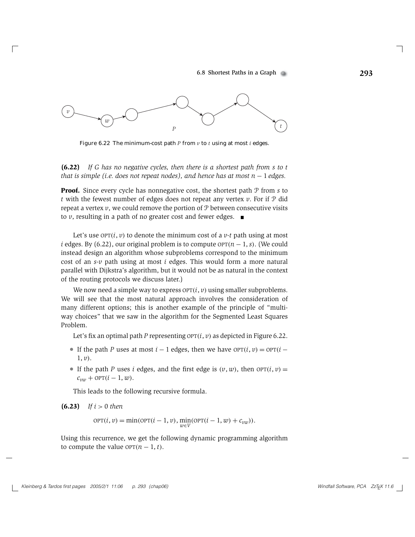

Figure 6.22 The minimum-cost path *P* from *v* to *t* using at most *i* edges.

**(6.22)** *If G has no negative cycles, then there is a shortest path from s to t that is simple (i.e. does not repeat nodes), and hence has at most n* − 1 *edges.*

**Proof.** Since every cycle has nonnegative cost, the shortest path  $P$  from *s* to *t* with the fewest number of edges does not repeat any vertex *v*. For if P did repeat a vertex  $v$ , we could remove the portion of  $P$  between consecutive visits to  $v$ , resulting in a path of no greater cost and fewer edges.  $\blacksquare$ 

Let's use  $OPT(i, v)$  to denote the minimum cost of a  $v$ -*t* path using at most  $i$  edges. By (6.22), our original problem is to compute  $\text{OPT}(n-1, s)$ . (We could instead design an algorithm whose subproblems correspond to the minimum cost of an *s*-*v* path using at most *i* edges. This would form a more natural parallel with Dijkstra's algorithm, but it would not be as natural in the context of the routing protocols we discuss later.)

We now need a simple way to express  $OPT(i, v)$  using smaller subproblems. We will see that the most natural approach involves the consideration of many different options; this is another example of the principle of "multiway choices" that we saw in the algorithm for the Segmented Least Squares Problem.

Let's fix an optimal path  $P$  representing  $\text{OPT}(i, v)$  as depicted in Figure 6.22.

- $\bullet$  If the path *P* uses at most *i* − 1 edges, then we have  $OPT(i, v) = OPT(i v)$  $1, v$ ).
- If the path *P* uses *i* edges, and the first edge is  $(v, w)$ , then  $OPT(i, v) =$  $c_{vw}$  + OPT( $i$  – 1, *w*).

This leads to the following recursive formula.

**(6.23)** *If i* > 0 *then*

 $\Box$ 

$$
\text{OPT}(i, v) = \min(\text{OPT}(i-1, v), \min_{w \in V} (\text{OPT}(i-1, w) + c_{vw})).
$$

Using this recurrence, we get the following dynamic programming algorithm to compute the value  $\text{OPT}(n-1, t)$ .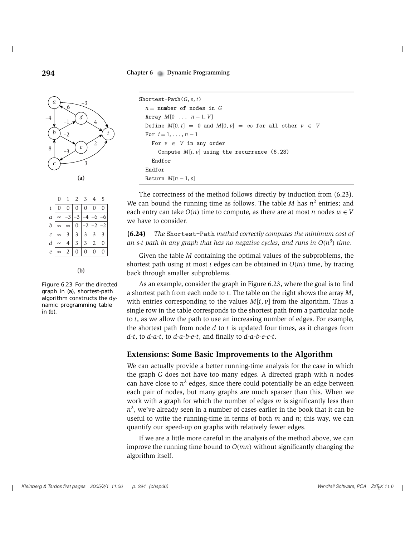we have to consider.



Shortest-Path(*G*, *s*, *t*)  $n =$  number of nodes in  $G$ Array *M*[0 . . . *n* − 1, *V*] Define  $M[0, t] = 0$  and  $M[0, v] = \infty$  for all other  $v \in V$ For  $i = 1, \ldots, n - 1$ For  $v \in V$  in any order Compute *M*[*i*, *v*] using the recurrence (6.23) Endfor Endfor Return *M*[*n* − 1, *s*]

 $\infty$  4 3320 ∞  $|$  ∞  $|0$  |-2|-2|-2  $\infty$  3 3333  $0 0 0 0 0 0 0$  $0 \quad 1 \quad 2 \quad 3 \quad 4$ ∞  $\vert -3 \vert -3 \vert -4 \vert -6 \vert -6$  $\infty$  2 0 0 0 0 *d b c t a e*

**(b)**

Figure 6.23 For the directed graph in (a), shortest-path algorithm constructs the dynamic programming table in (b).

#### Kleinberg & Tardos first pages 2005/2/1 11:06 p. 294 (chap06) Windfall Software, PCA ZzTEX 11.6

Given the table *M* containing the optimal values of the subproblems, the shortest path using at most  $i$  edges can be obtained in  $O(in)$  time, by tracing back through smaller subproblems.

**(6.24)** *The* Shortest-Path *method correctly computes the minimum cost of an s-t path in any graph that has no negative cycles, and runs in*  $O(n^3)$  *time.* 

The correctness of the method follows directly by induction from (6.23). We can bound the running time as follows. The table  $M$  has  $n^2$  entries; and each entry can take  $O(n)$  time to compute, as there are at most *n* nodes  $w \in V$ 

As an example, consider the graph in Figure 6.23, where the goal is to find a shortest path from each node to *t*. The table on the right shows the array *M*, with entries corresponding to the values  $M[i, v]$  from the algorithm. Thus a single row in the table corresponds to the shortest path from a particular node to *t*, as we allow the path to use an increasing number of edges. For example, the shortest path from node *d* to *t* is updated four times, as it changes from *d*-*t*, to *d*-*a*-*t*, to *d*-*a*-*b*-*e*-*t*, and finally to *d*-*a*-*b*-*e*-*c*-*t*.

# **Extensions: Some Basic Improvements to the Algorithm**

We can actually provide a better running-time analysis for the case in which the graph *G* does not have too many edges. A directed graph with *n* nodes can have close to  $n^2$  edges, since there could potentially be an edge between each pair of nodes, but many graphs are much sparser than this. When we work with a graph for which the number of edges *m* is significantly less than  $n^2$ , we've already seen in a number of cases earlier in the book that it can be useful to write the running-time in terms of both  $m$  and  $n$ ; this way, we can quantify our speed-up on graphs with relatively fewer edges.

If we are a little more careful in the analysis of the method above, we can improve the running time bound to *O*(*mn*) without significantly changing the algorithm itself.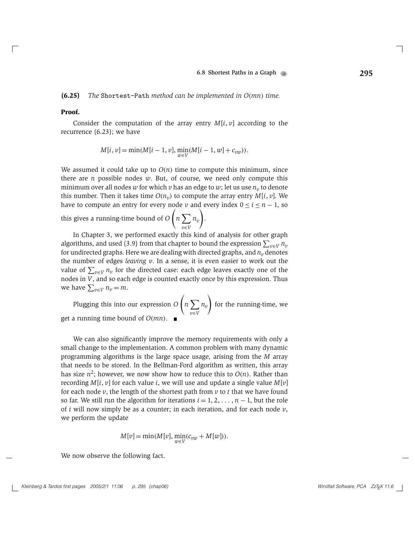**Proof.**

 $\Box$ 

Consider the computation of the array entry *M*[*i*, *v*] according to the recurrence (6.23); we have

$$
M[i, v] = \min(M[i - 1, v], \min_{w \in V} (M[i - 1, w] + c_{vw})).
$$

We assumed it could take up to  $O(n)$  time to compute this minimum, since there are *n* possible nodes *w*. But, of course, we need only compute this minimum over all nodes  $w$  for which  $v$  has an edge to  $w$ ; let us use  $n<sub>v</sub>$  to denote this number. Then it takes time  $O(n_v)$  to compute the array entry  $M[i, v]$ . We have to compute an entry for every node *v* and every index  $0 \le i \le n - 1$ , so  $\setminus$ 

.

this gives a running-time bound of *O*  $\sqrt{ }$ *n*  $\sum$ *v*∈*V nv*

In Chapter 3, we performed exactly this kind of analysis for other graph algorithms, and used (3.9) from that chapter to bound the expression  $\sum_{v \in V} n_v$ for undirected graphs. Here we are dealing with directed graphs, and  $n<sub>v</sub>$  denotes the number of edges *leaving v*. In a sense, it is even easier to work out the value of  $\sum_{v \in V} n_v$  for the directed case: each edge leaves exactly one of the nodes in *V*, and so each edge is counted exactly once by this expression. Thus we have  $\sum_{v \in V} n_v = m$ .

Plugging this into our expression *O*  $\sqrt{ }$  $n \sum$ *v*∈*V nv*  $\setminus$ for the running-time, we get a running time bound of *O*(*mn*).

We can also significantly improve the memory requirements with only a small change to the implementation. A common problem with many dynamic programming algorithms is the large space usage, arising from the *M* array that needs to be stored. In the Bellman-Ford algorithm as written, this array has size  $n^2$ ; however, we now show how to reduce this to  $O(n)$ . Rather than recording  $M[i, v]$  for each value *i*, we will use and update a single value  $M[v]$ for each node *v*, the length of the shortest path from *v* to *t* that we have found so far. We still run the algorithm for iterations  $i = 1, 2, \ldots, n - 1$ , but the role of *i* will now simply be as a counter; in each iteration, and for each node *v*, we perform the update

$$
M[v] = \min(M[v], \min_{w \in V} (c_{vw} + M[w]).
$$

We now observe the following fact.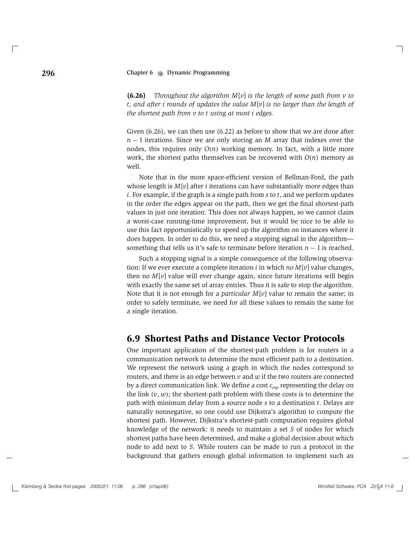**(6.26)** *Throughout the algorithm M*[*v*] *is the length of some path from v to t, and after i rounds of updates the value M*[*v*] *is no larger than the length of the shortest path from v to t using at most i edges.*

Given (6.26), we can then use (6.22) as before to show that we are done after *n* − 1 iterations. Since we are only storing an *M* array that indexes over the nodes, this requires only *O*(*n*) working memory. In fact, with a little more work, the shortest paths themselves can be recovered with  $O(n)$  memory as well.

Note that in the more space-efficient version of Bellman-Ford, the path whose length is *M*[*v*] after *i* iterations can have substantially more edges than *i*. For example, if the graph is a single path from *s* to *t*, and we perform updates in the order the edges appear on the path, then we get the final shortest-path values in just one iteration. This does not always happen, so we cannot claim a worst-case running-time improvement, but it would be nice to be able to use this fact opportunistically to speed up the algorithm on instances where it does happen. In order to do this, we need a stopping signal in the algorithm something that tells us it's safe to terminate before iteration  $n - 1$  is reached.

Such a stopping signal is a simple consequence of the following observation: If we ever execute a complete iteration  $i$  in which  $no M[v]$  value changes, then no  $M[v]$  value will ever change again, since future iterations will begin with exactly the same set of array entries. Thus it is safe to stop the algorithm. Note that it is not enough for a *particular M*[ $\nu$ ] value to remain the same; in order to safely terminate, we need for all these values to remain the same for a single iteration.

# **6.9 Shortest Paths and Distance Vector Protocols**

One important application of the shortest-path problem is for routers in a communication network to determine the most efficient path to a destination. We represent the network using a graph in which the nodes correspond to routers, and there is an edge between *v* and *w* if the two routers are connected by a direct communication link. We define a cost  $c_{vw}$  representing the delay on the link  $(v, w)$ ; the shortest-path problem with these costs is to determine the path with minimum delay from a source node *s* to a destination *t*. Delays are naturally nonnegative, so one could use Dijkstra's algorithm to compute the shortest path. However, Dijkstra's shortest-path computation requires global knowledge of the network: it needs to maintain a set *S* of nodes for which shortest paths have been determined, and make a global decision about which node to add next to *S*. While routers can be made to run a protocol in the background that gathers enough global information to implement such an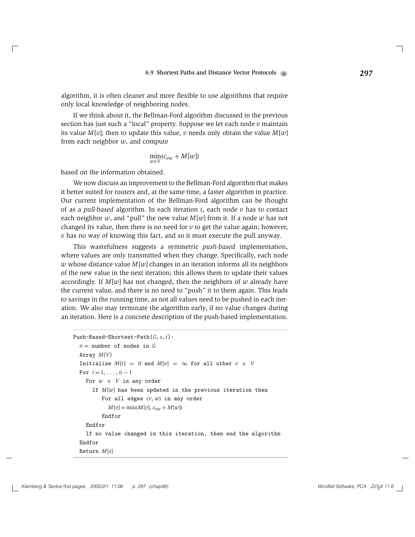algorithm, it is often cleaner and more flexible to use algorithms that require only local knowledge of neighboring nodes.

If we think about it, the Bellman-Ford algorithm discussed in the previous section has just such a "local" property. Suppose we let each node *v* maintain its value  $M[v]$ ; then to update this value, *v* needs only obtain the value  $M[w]$ from each neighbor *w*, and compute

$$
\min_{w \in V} (c_{vw} + M[w])
$$

based on the information obtained.

 $\Box$ 

We now discuss an improvement to the Bellman-Ford algorithm that makes it better suited for routers and, at the same time, a faster algorithm in practice. Our current implementation of the Bellman-Ford algorithm can be thought of as a *pull-based* algorithm. In each iteration *i*, each node *v* has to contact each neighbor *w*, and "pull" the new value *M*[*w*] from it. If a node *w* has not changed its value, then there is no need for  $v$  to get the value again; however, *v* has no way of knowing this fact, and so it must execute the pull anyway.

This wastefulness suggests a symmetric *push-based* implementation, where values are only transmitted when they change. Specifically, each node  $w$  whose distance value  $M[w]$  changes in an iteration informs all its neighbors of the new value in the next iteration; this allows them to update their values accordingly. If *M*[*w*] has not changed, then the neighbors of *w* already have the current value, and there is no need to "push" it to them again. This leads to savings in the running time, as not all values need to be pushed in each iteration. We also may terminate the algorithm early, if no value changes during an iteration. Here is a concrete description of the push-based implementation.

```
Push-Based-Shortest-Path(G, s, t):
  n = number of nodes in GArray M[V]
  Initialize M[t] = 0 and M[v] = \infty for all other v \in VFor i = 1, \ldots, n - 1For w \in V in any order
      If M[w] has been updated in the previous iteration then
         For all edges (v, w) in any order
           M[v] = \min(M[v], c_{vw} + M[w])Endfor
    Endfor
    If no value changed in this iteration, then end the algorithm
  Endfor
  Return M[s]
```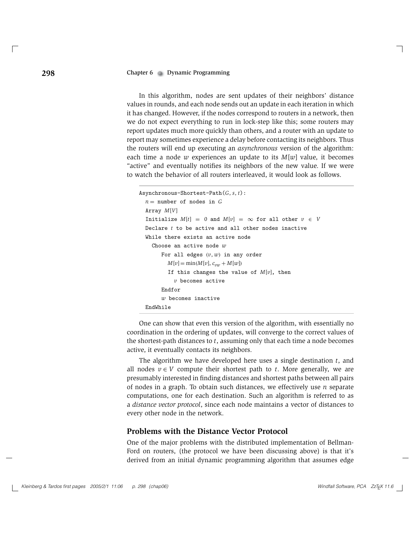In this algorithm, nodes are sent updates of their neighbors' distance values in rounds, and each node sends out an update in each iteration in which it has changed. However, if the nodes correspond to routers in a network, then we do not expect everything to run in lock-step like this; some routers may report updates much more quickly than others, and a router with an update to report may sometimes experience a delay before contacting its neighbors. Thus the routers will end up executing an *asynchronous* version of the algorithm: each time a node *w* experiences an update to its *M*[*w*] value, it becomes "active" and eventually notifies its neighbors of the new value. If we were to watch the behavior of all routers interleaved, it would look as follows.

```
Asynchronous-Shortest-Path(G, s, t):
  n = number of nodes in GArray M[V]
  Initialize M[t] = 0 and M[v] = \infty for all other v \in VDeclare t to be active and all other nodes inactive
  While there exists an active node
    Choose an active node w
       For all edges (v, w) in any order
         M[v] = \min(M[v], c_{vw} + M[w])If this changes the value of M[v], then
           v becomes active
       Endfor
       w becomes inactive
  EndWhile
```
One can show that even this version of the algorithm, with essentially no coordination in the ordering of updates, will converge to the correct values of the shortest-path distances to *t*, assuming only that each time a node becomes active, it eventually contacts its neighbors.

The algorithm we have developed here uses a single destination *t*, and all nodes  $v \in V$  compute their shortest path to *t*. More generally, we are presumably interested in finding distances and shortest paths between all pairs of nodes in a graph. To obtain such distances, we effectively use *n* separate computations, one for each destination. Such an algorithm is referred to as a *distance vector protocol*, since each node maintains a vector of distances to every other node in the network.

## **Problems with the Distance Vector Protocol**

One of the major problems with the distributed implementation of Bellman-Ford on routers, (the protocol we have been discussing above) is that it's derived from an initial dynamic programming algorithm that assumes edge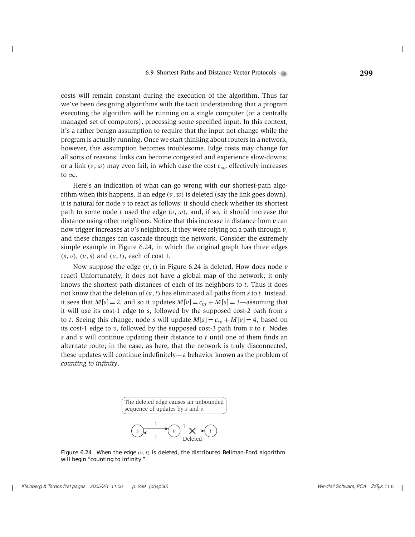costs will remain constant during the execution of the algorithm. Thus far we've been designing algorithms with the tacit understanding that a program executing the algorithm will be running on a single computer (or a centrally managed set of computers), processing some specified input. In this context, it's a rather benign assumption to require that the input not change while the program is actually running. Once we start thinking about routers in a network, however, this assumption becomes troublesome. Edge costs may change for all sorts of reasons: links can become congested and experience slow-downs; or a link  $(v, w)$  may even fail, in which case the cost  $c_{vw}$  effectively increases to ∞.

Here's an indication of what can go wrong with our shortest-path algorithm when this happens. If an edge  $(v, w)$  is deleted (say the link goes down), it is natural for node *v* to react as follows: it should check whether its shortest path to some node  $t$  used the edge  $(v, w)$ , and, if so, it should increase the distance using other neighbors. Notice that this increase in distance from *v* can now trigger increases at *v*'s neighbors, if they were relying on a path through *v*, and these changes can cascade through the network. Consider the extremely simple example in Figure 6.24, in which the original graph has three edges (*s*, *v*), (*v*, *s*) and (*v*, *t*), each of cost 1.

Now suppose the edge (*v*, *t*) in Figure 6.24 is deleted. How does node *v* react? Unfortunately, it does not have a global map of the network; it only knows the shortest-path distances of each of its neighbors to *t*. Thus it does not know that the deletion of (*v*, *t*) has eliminated all paths from *s* to *t*. Instead, it sees that  $M[s] = 2$ , and so it updates  $M[v] = c_{vs} + M[s] = 3$ —assuming that it will use its cost-1 edge to *s*, followed by the supposed cost-2 path from *s* to *t*. Seeing this change, node *s* will update  $M[s] = c_{\rm sv} + M[v] = 4$ , based on its cost-1 edge to *v*, followed by the supposed cost-3 path from *v* to *t*. Nodes *s* and *v* will continue updating their distance to *t* until one of them finds an alternate route; in the case, as here, that the network is truly disconnected, these updates will continue indefinitely—a behavior known as the problem of *counting to infinity*.

> The deleted edge causes an unbounded sequence of updates by *s* and *v*.

$$
\bigcirc \leftarrow \longrightarrow_{\text{Delta}} \bigcirc \downarrow \qquad \qquad \downarrow
$$

Figure 6.24 When the edge (*v*, *t*) is deleted, the distributed Bellman-Ford algorithm will begin "counting to infinity."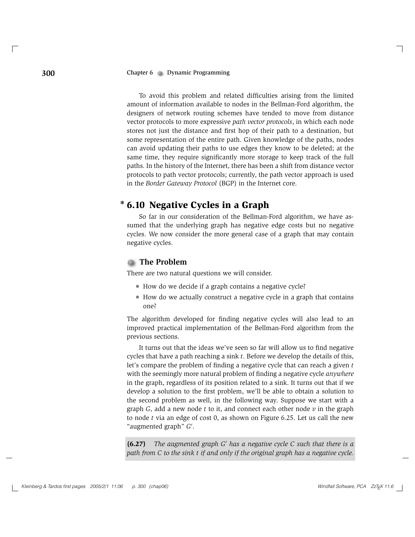To avoid this problem and related difficulties arising from the limited amount of information available to nodes in the Bellman-Ford algorithm, the designers of network routing schemes have tended to move from distance vector protocols to more expressive *path vector protocols*, in which each node stores not just the distance and first hop of their path to a destination, but some representation of the entire path. Given knowledge of the paths, nodes can avoid updating their paths to use edges they know to be deleted; at the same time, they require significantly more storage to keep track of the full paths. In the history of the Internet, there has been a shift from distance vector protocols to path vector protocols; currently, the path vector approach is used in the *Border Gateway Protocol* (BGP) in the Internet core.

# **\* 6.10 Negative Cycles in a Graph**

So far in our consideration of the Bellman-Ford algorithm, we have assumed that the underlying graph has negative edge costs but no negative cycles. We now consider the more general case of a graph that may contain negative cycles.

# **The Problem**

There are two natural questions we will consider.

- . How do we decide if a graph contains a negative cycle?
- . How do we actually construct a negative cycle in a graph that contains one?

The algorithm developed for finding negative cycles will also lead to an improved practical implementation of the Bellman-Ford algorithm from the previous sections.

It turns out that the ideas we've seen so far will allow us to find negative cycles that have a path reaching a sink *t*. Before we develop the details of this, let's compare the problem of finding a negative cycle that can reach a given *t* with the seemingly more natural problem of finding a negative cycle *anywhere* in the graph, regardless of its position related to a sink. It turns out that if we develop a solution to the first problem, we'll be able to obtain a solution to the second problem as well, in the following way. Suppose we start with a graph *G*, add a new node *t* to it, and connect each other node *v* in the graph to node *t* via an edge of cost 0, as shown on Figure 6.25. Let us call the new "augmented graph" *G* .

**(6.27)** *The augmented graph G has a negative cycle C such that there is a path from C to the sink t if and only if the original graph has a negative cycle.*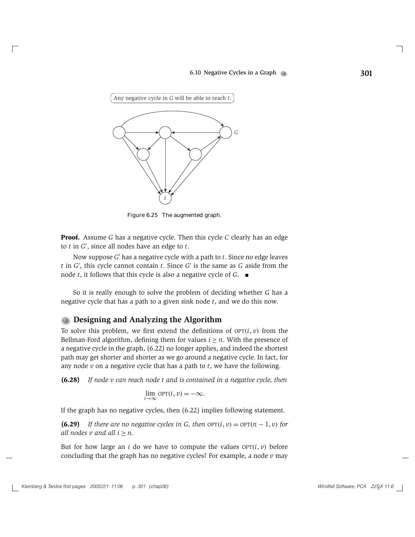

Figure 6.25 The augmented graph.

**Proof.** Assume *G* has a negative cycle. Then this cycle *C* clearly has an edge to *t* in *G* , since all nodes have an edge to *t*.

Now suppose *G* has a negative cycle with a path to *t*. Since no edge leaves *t* in *G* , this cycle cannot contain *t*. Since *G* is the same as *G* aside from the node *t*, it follows that this cycle is also a negative cycle of *G*.

So it is really enough to solve the problem of deciding whether *G* has a negative cycle that has a path to a given sink node *t*, and we do this now.

### **Designing and Analyzing the Algorithm**

To solve this problem, we first extend the definitions of  $OPT(i, v)$  from the Bellman-Ford algorithm, defining them for values  $i \geq n$ . With the presence of a negative cycle in the graph, (6.22) no longer applies, and indeed the shortest path may get shorter and shorter as we go around a negative cycle. In fact, for any node *v* on a negative cycle that has a path to *t*, we have the following.

**(6.28)** *If node v can reach node t and is contained in a negative cycle, then*

$$
\lim_{i \to \infty} \text{OPT}(i, v) = -\infty.
$$

If the graph has no negative cycles, then (6.22) implies following statement.

**(6.29)** *If there are no negative cycles in G, then*  $\text{OPT}(i, v) = \text{OPT}(n - 1, v)$  *for all nodes v and all*  $i \geq n$ *.* 

But for how large an  $i$  do we have to compute the values  $OPT(i, v)$  before concluding that the graph has no negative cycles? For example, a node *v* may

Г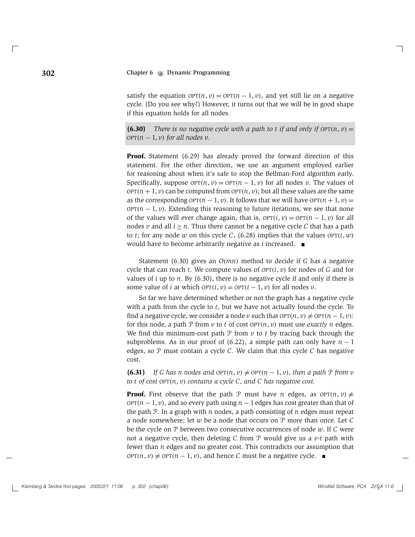satisfy the equation  $OPT(n, v) = OPT(n - 1, v)$ , and yet still lie on a negative cycle. (Do you see why?) However, it turns out that we will be in good shape if this equation holds for all nodes.

**(6.30)** *There is no negative cycle with a path to t if and only if*  $\text{OPT}(n, v) =$  $OPT(n - 1, v)$  *for all nodes v.* 

**Proof.** Statement (6.29) has already proved the forward direction of this statement. For the other direction, we use an argument employed earlier for reasoning about when it's safe to stop the Bellman-Ford algorithm early. Specifically, suppose  $OPT(n, v) = OPT(n - 1, v)$  for all nodes *v*. The values of  $OPT(n + 1, v)$  can be computed from  $OPT(n, v)$ ; but all these values are the same as the corresponding  $\varphi(T(n-1, v))$ . It follows that we will have  $\varphi(T(n+1, v)) =$  $OPT(n-1, v)$ . Extending this reasoning to future iterations, we see that none of the values will ever change again, that is,  $OPT(i, v) = OPT(n - 1, v)$  for all nodes *v* and all  $i \geq n$ . Thus there cannot be a negative cycle *C* that has a path to *t*; for any node *w* on this cycle *C*, (6.28) implies that the values  $OPT(i, w)$ would have to become arbitrarily negative as *i* increased.

Statement (6.30) gives an *O*(*mn*) method to decide if *G* has a negative cycle that can reach *t*. We compute values of  $\text{OPT}(i, v)$  for nodes of *G* and for values of *i* up to *n*. By (6.30), there is no negative cycle if and only if there is some value of *i* at which  $OPT(i, v) = OPT(i - 1, v)$  for all nodes *v*.

So far we have determined whether or not the graph has a negative cycle with a path from the cycle to *t*, but we have not actually found the cycle. To find a negative cycle, we consider a node *v* such that  $OPT(n, v) \neq OPT(n - 1, v)$ : for this node, a path  $P$  from  $v$  to  $t$  of cost  $OPT(n, v)$  must use *exactly*  $n$  edges. We find this minimum-cost path  $P$  from  $v$  to  $t$  by tracing back through the subproblems. As in our proof of (6.22), a simple path can only have  $n-1$ edges, so P must contain a cycle *C*. We claim that this cycle *C* has negative cost.

**(6.31)** *If G has n nodes and*  $\text{OPT}(n, v) \neq \text{OPT}(n - 1, v)$ *, then a path*  $\mathcal P$  *from v to t of cost* OPT(*n*, *v*) *contains a cycle C, and C has negative cost.*

**Proof.** First observe that the path  $P$  must have *n* edges, as  $OPT(n, v) \neq$  $OPT(n-1, v)$ , and so every path using  $n-1$  edges has cost greater than that of the path P. In a graph with *n* nodes, a path consisting of *n* edges must repeat a node somewhere; let *w* be a node that occurs on P more than once. Let *C* be the cycle on P between two consecutive occurrences of node *w*. If *C* were not a negative cycle, then deleting C from  $\mathcal P$  would give us a  $\nu$ -t path with fewer than *n* edges and no greater cost. This contradicts our assumption that  $OPT(n, v) ≠ OPT(n - 1, v)$ , and hence *C* must be a negative cycle.  $\blacksquare$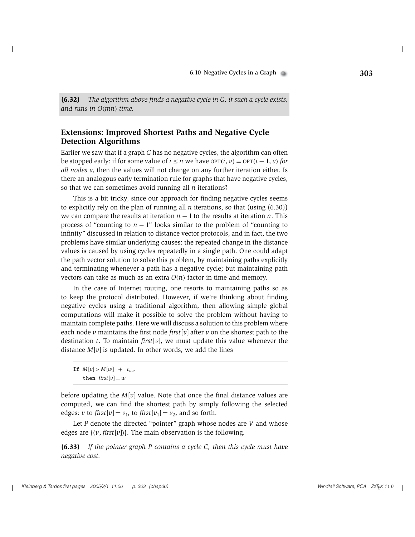**(6.32)** *The algorithm above finds a negative cycle in G, if such a cycle exists, and runs in O*(*mn*) *time.*

# **Extensions: Improved Shortest Paths and Negative Cycle Detection Algorithms**

Earlier we saw that if a graph *G* has no negative cycles, the algorithm can often be stopped early: if for some value of  $i \le n$  we have  $\text{OPT}(i, v) = \text{OPT}(i - 1, v)$  for *all nodes v*, then the values will not change on any further iteration either. Is there an analogous early termination rule for graphs that have negative cycles, so that we can sometimes avoid running all *n* iterations?

This is a bit tricky, since our approach for finding negative cycles seems to explicitly rely on the plan of running all  $n$  iterations, so that (using  $(6.30)$ ) we can compare the results at iteration  $n - 1$  to the results at iteration  $n$ . This process of "counting to  $n-1$ " looks similar to the problem of "counting to infinity" discussed in relation to distance vector protocols, and in fact, the two problems have similar underlying causes: the repeated change in the distance values is caused by using cycles repeatedly in a single path. One could adapt the path vector solution to solve this problem, by maintaining paths explicitly and terminating whenever a path has a negative cycle; but maintaining path vectors can take as much as an extra *O*(*n*) factor in time and memory.

In the case of Internet routing, one resorts to maintaining paths so as to keep the protocol distributed. However, if we're thinking about finding negative cycles using a traditional algorithm, then allowing simple global computations will make it possible to solve the problem without having to maintain complete paths. Here we will discuss a solution to this problem where each node  $\nu$  maintains the first node *first*[ $\nu$ ] after  $\nu$  on the shortest path to the destination *t*. To maintain *first*[*v*], we must update this value whenever the distance  $M[v]$  is updated. In other words, we add the lines

|  | If $M[v] > M[w] + c_{vw}$ |  |
|--|---------------------------|--|
|  | then $first[v] = w$       |  |

 $\Box$ 

before updating the  $M[v]$  value. Note that once the final distance values are computed, we can find the shortest path by simply following the selected edges: *v* to *first*[ $v$ ] =  $v_1$ , to *first*[ $v_1$ ] =  $v_2$ , and so forth.

Let *P* denote the directed "pointer" graph whose nodes are *V* and whose edges are {(*v*, *first*[*v*])}. The main observation is the following.

**(6.33)** *If the pointer graph P contains a cycle C, then this cycle must have negative cost.*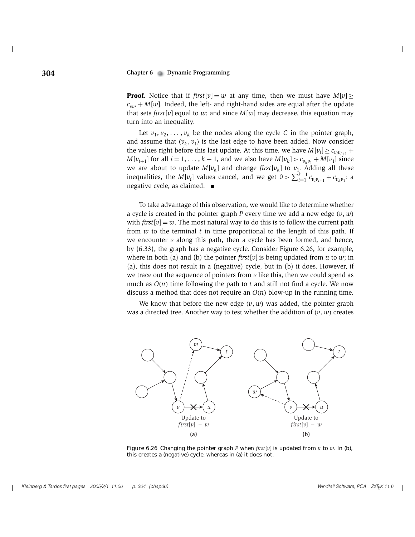**Proof.** Notice that if *first*[*v*] = *w* at any time, then we must have  $M[v] \ge$  $c_{vw}$  + *M*[*w*]. Indeed, the left- and right-hand sides are equal after the update that sets *first*[ $v$ ] equal to  $w$ ; and since  $M[w]$  may decrease, this equation may turn into an inequality.

Let  $v_1, v_2, \ldots, v_k$  be the nodes along the cycle *C* in the pointer graph, and assume that  $(v_k, v_1)$  is the last edge to have been added. Now consider the values right before this last update. At this time, we have  $M[v_i] \geq c_{v_i v_{i+1}} + c_{v_i v_{i+1}}$  $M[v_{i+1}]$  for all  $i = 1, \ldots, k-1$ , and we also have  $M[v_k] > c_{v_kv_1} + M[v_1]$  since we are about to update  $M[\nu_k]$  and change *first*[ $\nu_k$ ] to  $\nu_1$ . Adding all these inequalities, the *M*[ $v_i$ ] values cancel, and we get  $0 > \sum_{i=1}^{k-1} c_{v_i v_{i+1}} + c_{v_k v_1}$ : a negative cycle, as claimed.

To take advantage of this observation, we would like to determine whether a cycle is created in the pointer graph *P* every time we add a new edge (*v*, *w*) with  $first[v] = w$ . The most natural way to do this is to follow the current path from  $w$  to the terminal  $t$  in time proportional to the length of this path. If we encounter  $\nu$  along this path, then a cycle has been formed, and hence, by (6.33), the graph has a negative cycle. Consider Figure 6.26, for example, where in both (a) and (b) the pointer *first*[ $v$ ] is being updated from  $u$  to  $w$ ; in (a), this does not result in a (negative) cycle, but in (b) it does. However, if we trace out the sequence of pointers from *v* like this, then we could spend as much as  $O(n)$  time following the path to  $t$  and still not find a cycle. We now discuss a method that does not require an  $O(n)$  blow-up in the running time.

We know that before the new edge (*v*, *w*) was added, the pointer graph was a directed tree. Another way to test whether the addition of (*v*, *w*) creates



Figure 6.26 Changing the pointer graph *P* when *first*[*v*] is updated from *u* to *w*. In (b), this creates a (negative) cycle, whereas in (a) it does not.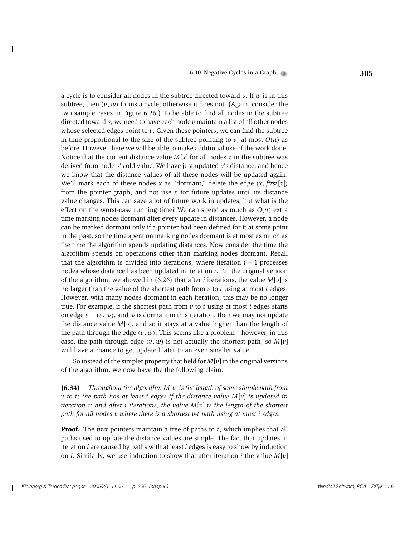a cycle is to consider all nodes in the subtree directed toward *v*. If *w* is in this subtree, then (*v*, *w*) forms a cycle; otherwise it does not. (Again, consider the two sample cases in Figure 6.26.) To be able to find all nodes in the subtree directed toward *v*, we need to have each node *v* maintain a list of all other nodes whose selected edges point to *v*. Given these pointers, we can find the subtree in time proportional to the size of the subtree pointing to  $v$ , at most  $O(n)$  as before. However, here we will be able to make additional use of the work done. Notice that the current distance value  $M[x]$  for all nodes  $x$  in the subtree was derived from node *v*'s old value. We have just updated *v*'s distance, and hence we know that the distance values of all these nodes will be updated again. We'll mark each of these nodes *x* as "dormant," delete the edge  $(x, first[x])$ from the pointer graph, and not use  $x$  for future updates until its distance value changes. This can save a lot of future work in updates, but what is the effect on the worst-case running time? We can spend as much as  $O(n)$  extra time marking nodes dormant after every update in distances. However, a node can be marked dormant only if a pointer had been defined for it at some point in the past, so the time spent on marking nodes dormant is at most as much as the time the algorithm spends updating distances. Now consider the time the algorithm spends on operations other than marking nodes dormant. Recall that the algorithm is divided into iterations, where iteration  $i + 1$  processes nodes whose distance has been updated in iteration *i*. For the original version of the algorithm, we showed in (6.26) that after  $i$  iterations, the value  $M[v]$  is no larger than the value of the shortest path from *v* to *t* using at most *i* edges. However, with many nodes dormant in each iteration, this may be no longer true. For example, if the shortest path from *v* to *t* using at most *i* edges starts on edge  $e = (v, w)$ , and w is dormant in this iteration, then we may not update the distance value  $M[v]$ , and so it stays at a value higher than the length of the path through the edge  $(v, w)$ . This seems like a problem—however, in this case, the path through edge  $(v, w)$  is not actually the shortest path, so  $M[v]$ will have a chance to get updated later to an even smaller value.

So instead of the simpler property that held for  $M[v]$  in the original versions of the algorithm, we now have the the following claim.

**(6.34)** *Throughout the algorithm M*[*v*]*is the length of some simple path from v to t; the path has at least i edges if the distance value M*[*v*] *is updated in iteration i; and after i iterations, the value M*[*v*] *is the length of the shortest path for all nodes v where there is a shortest v-t path using at most i edges.*

**Proof.** The *first* pointers maintain a tree of paths to *t*, which implies that all paths used to update the distance values are simple. The fact that updates in iteration *i* are caused by paths with at least *i* edges is easy to show by induction on *i*. Similarly, we use induction to show that after iteration *i* the value *M*[*v*]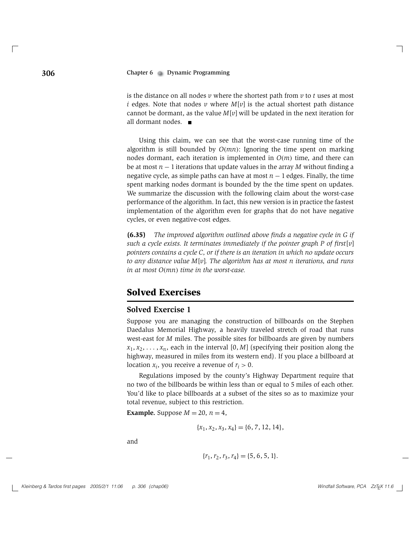is the distance on all nodes *v* where the shortest path from *v* to *t* uses at most *i* edges. Note that nodes *v* where *M*[*v*] is the actual shortest path distance cannot be dormant, as the value  $M[v]$  will be updated in the next iteration for all dormant nodes.  $\blacksquare$ 

Using this claim, we can see that the worst-case running time of the algorithm is still bounded by *O*(*mn*): Ignoring the time spent on marking nodes dormant, each iteration is implemented in  $O(m)$  time, and there can be at most *n* − 1 iterations that update values in the array *M* without finding a negative cycle, as simple paths can have at most  $n - 1$  edges. Finally, the time spent marking nodes dormant is bounded by the the time spent on updates. We summarize the discussion with the following claim about the worst-case performance of the algorithm. In fact, this new version is in practice the fastest implementation of the algorithm even for graphs that do not have negative cycles, or even negative-cost edges.

**(6.35)** *The improved algorithm outlined above finds a negative cycle in G if such a cycle exists. It terminates immediately if the pointer graph P of first*[*v*] *pointers contains a cycle C, or if there is an iteration in which no update occurs to any distance value M*[*v*]*. The algorithm has at most n iterations, and runs in at most O*(*mn*) *time in the worst-case.*

# **Solved Exercises**

### **Solved Exercise 1**

Suppose you are managing the construction of billboards on the Stephen Daedalus Memorial Highway, a heavily traveled stretch of road that runs west-east for *M* miles. The possible sites for billboards are given by numbers  $x_1, x_2, \ldots, x_n$ , each in the interval [0, *M*] (specifying their position along the highway, measured in miles from its western end). If you place a billboard at location  $x_i$ , you receive a revenue of  $r_i > 0$ .

Regulations imposed by the county's Highway Department require that no two of the billboards be within less than or equal to 5 miles of each other. You'd like to place billboards at a subset of the sites so as to maximize your total revenue, subject to this restriction.

**Example.** Suppose  $M = 20$ ,  $n = 4$ ,

$$
\{x_1, x_2, x_3, x_4\} = \{6, 7, 12, 14\},\
$$

and

$$
\{r_1, r_2, r_3, r_4\} = \{5, 6, 5, 1\}.
$$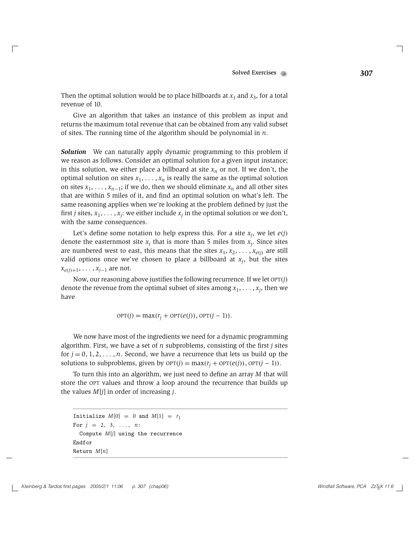Then the optimal solution would be to place billboards at  $x_1$  and  $x_3$ , for a total revenue of 10.

Give an algorithm that takes an instance of this problem as input and returns the maximum total revenue that can be obtained from any valid subset of sites. The running time of the algorithm should be polynomial in *n*.

*Solution* We can naturally apply dynamic programming to this problem if we reason as follows. Consider an optimal solution for a given input instance; in this solution, we either place a billboard at site  $x_n$  or not. If we don't, the optimal solution on sites  $x_1, \ldots, x_n$  is really the same as the optimal solution on sites  $x_1, \ldots, x_{n-1}$ ; if we do, then we should eliminate  $x_n$  and all other sites that are within 5 miles of it, and find an optimal solution on what's left. The same reasoning applies when we're looking at the problem defined by just the first *j* sites,  $x_1, \ldots, x_i$ : we either include  $x_i$  in the optimal solution or we don't, with the same consequences.

Let's define some notation to help express this. For a site  $x_j$ , we let  $e(j)$ denote the easternmost site  $x_i$  that is more than 5 miles from  $x_i$ . Since sites are numbered west to east, this means that the sites  $x_1, x_2, \ldots, x_{\ell(i)}$  are still valid options once we've chosen to place a billboard at  $x_j$ , but the sites *x*<sub>*e*(*j*)+1</sub>, ..., *x*<sub>*j*−1</sub> are not.

Now, our reasoning above justifies the following recurrence. If we let OPT(*j*) denote the revenue from the optimal subset of sites among  $x_1, \ldots, x_j$ , then we have

 $OPT(j) = max(r_j + OPT(e(j)), OPT(j - 1)).$ 

We now have most of the ingredients we need for a dynamic programming algorithm. First, we have a set of *n* subproblems, consisting of the first *j* sites for  $j = 0, 1, 2, \ldots, n$ . Second, we have a recurrence that lets us build up the solutions to subproblems, given by  $\text{OPT}(i) = \max(r_i + \text{OPT}(e(i)), \text{OPT}(i-1)).$ 

To turn this into an algorithm, we just need to define an array *M* that will store the OPT values and throw a loop around the recurrence that builds up the values *M*[*j*] in order of increasing *j*.

**Initialize**  $M[0] = 0$  and  $M[1] = r_1$ For  $j = 2, 3, ..., n$ : Compute *M*[*j*] using the recurrence Endfor Return *M*[*n*]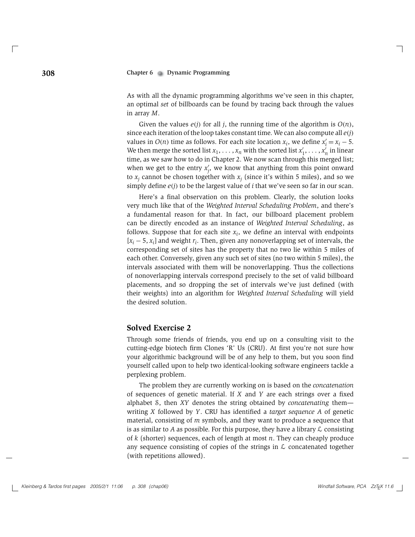As with all the dynamic programming algorithms we've seen in this chapter, an optimal *set* of billboards can be found by tracing back through the values in array *M*.

Given the values  $e(j)$  for all *j*, the running time of the algorithm is  $O(n)$ , since each iteration of the loop takes constant time. We can also compute all *e*(*j*) values in *O*(*n*) time as follows. For each site location  $x_i$ , we define  $x'_i = x_i - 5$ . We then merge the sorted list  $x_1, \ldots, x_n$  with the sorted list  $x'_1, \ldots, x'_n$  in linear time, as we saw how to do in Chapter 2. We now scan through this merged list; when we get to the entry *x j* , we know that anything from this point onward to  $x_j$  cannot be chosen together with  $x_j$  (since it's within 5 miles), and so we simply define *e*(*j*) to be the largest value of *i* that we've seen so far in our scan.

Here's a final observation on this problem. Clearly, the solution looks very much like that of the *Weighted Interval Scheduling Problem*, and there's a fundamental reason for that. In fact, our billboard placement problem can be directly encoded as an instance of *Weighted Interval Scheduling*, as follows. Suppose that for each site  $x_i$ , we define an interval with endpoints [*xi* − 5, *xi*] and weight *ri*. Then, given any nonoverlapping set of intervals, the corresponding set of sites has the property that no two lie within 5 miles of each other. Conversely, given any such set of sites (no two within 5 miles), the intervals associated with them will be nonoverlapping. Thus the collections of nonoverlapping intervals correspond precisely to the set of valid billboard placements, and so dropping the set of intervals we've just defined (with their weights) into an algorithm for *Weighted Interval Scheduling* will yield the desired solution.

# **Solved Exercise 2**

Through some friends of friends, you end up on a consulting visit to the cutting-edge biotech firm Clones 'R' Us (CRU). At first you're not sure how your algorithmic background will be of any help to them, but you soon find yourself called upon to help two identical-looking software engineers tackle a perplexing problem.

The problem they are currently working on is based on the *concatenation* of sequences of genetic material. If *X* and *Y* are each strings over a fixed alphabet S, then *XY* denotes the string obtained by *concatenating* them writing *X* followed by *Y*. CRU has identified a *target sequence A* of genetic material, consisting of *m* symbols, and they want to produce a sequence that is as similar to A as possible. For this purpose, they have a library  $\mathcal L$  consisting of *k* (shorter) sequences, each of length at most *n*. They can cheaply produce any sequence consisting of copies of the strings in  $\mathcal L$  concatenated together (with repetitions allowed).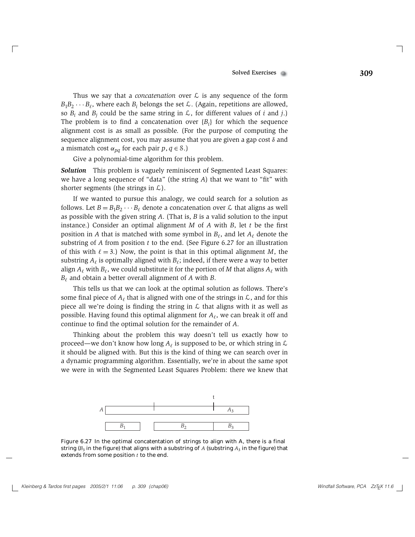Solved Exercises **309**

Thus we say that a *concatenation* over  $\mathcal L$  is any sequence of the form  $B_1B_2 \cdots B_\ell$ , where each  $B_i$  belongs the set  $\mathcal{L}$ . (Again, repetitions are allowed, so  $B_i$  and  $B_j$  could be the same string in  $\mathcal{L}$ , for different values of *i* and *j*.) The problem is to find a concatenation over  ${B_i}$  for which the sequence alignment cost is as small as possible. (For the purpose of computing the sequence alignment cost, you may assume that you are given a gap cost  $\delta$  and a mismatch cost  $\alpha_{pq}$  for each pair *p*, *q*  $\in$  8.)

Give a polynomial-time algorithm for this problem.

*Solution* This problem is vaguely reminiscent of Segmented Least Squares: we have a long sequence of "data" (the string *A*) that we want to "fit" with shorter segments (the strings in  $\mathcal{L}$ ).

If we wanted to pursue this analogy, we could search for a solution as follows. Let  $B = B_1 B_2 \cdots B_\ell$  denote a concatenation over  $\mathcal L$  that aligns as well as possible with the given string *A*. (That is, *B* is a valid solution to the input instance.) Consider an optimal alignment *M* of *A* with *B*, let *t* be the first position in *A* that is matched with some symbol in  $B_{\ell}$ , and let  $A_{\ell}$  denote the substring of *A* from position *t* to the end. (See Figure 6.27 for an illustration of this with  $\ell = 3$ .) Now, the point is that in this optimal alignment *M*, the substring  $A_{\ell}$  is optimally aligned with  $B_{\ell}$ ; indeed, if there were a way to better align  $A_\ell$  with  $B_\ell$ , we could substitute it for the portion of M that aligns  $A_\ell$  with  $B_\ell$  and obtain a better overall alignment of *A* with *B*.

This tells us that we can look at the optimal solution as follows. There's some final piece of  $A_\ell$  that is aligned with one of the strings in  $\mathcal L$ , and for this piece all we're doing is finding the string in  $\mathcal L$  that aligns with it as well as possible. Having found this optimal alignment for  $A_{\ell}$ , we can break it off and continue to find the optimal solution for the remainder of *A*.

Thinking about the problem this way doesn't tell us exactly how to proceed—we don't know how long  $A_\ell$  is supposed to be, or which string in  $\mathcal L$ it should be aligned with. But this is the kind of thing we can search over in a dynamic programming algorithm. Essentially, we're in about the same spot we were in with the Segmented Least Squares Problem: there we knew that



Figure 6.27 In the optimal concatentation of strings to align with A, there is a final string ( $B_3$  in the figure) that aligns with a substring of  $A$  (substring  $A_3$  in the figure) that extends from some position *t* to the end.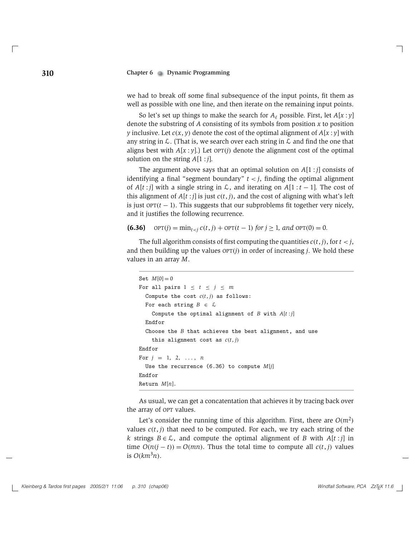we had to break off some final subsequence of the input points, fit them as well as possible with one line, and then iterate on the remaining input points.

So let's set up things to make the search for  $A_\ell$  possible. First, let  $A[x:y]$ denote the substring of *A* consisting of its symbols from position *x* to position *y* inclusive. Let  $c(x, y)$  denote the cost of the optimal alignment of  $A[x : y]$  with any string in  $\mathcal{L}$ . (That is, we search over each string in  $\mathcal{L}$  and find the one that aligns best with  $A[x : y]$ .) Let  $\text{OPT}(i)$  denote the alignment cost of the optimal solution on the string *A*[1 : *j*].

The argument above says that an optimal solution on *A*[1 : *j*] consists of identifying a final "segment boundary"  $t < j$ , finding the optimal alignment of  $A[t:j]$  with a single string in  $\mathcal{L}$ , and iterating on  $A[1:t-1]$ . The cost of this alignment of  $A[t:j]$  is just  $c(t, j)$ , and the cost of aligning with what's left is just  $OPT(t - 1)$ . This suggests that our subproblems fit together very nicely, and it justifies the following recurrence.

**(6.36)**  $\text{OPT}(i) = \min_{t < i} c(t, i) + \text{OPT}(t - 1) \text{ for } i \geq 1, \text{ and } \text{OPT}(0) = 0.$ 

The full algorithm consists of first computing the quantities  $c(t, j)$ , for  $t < j$ , and then building up the values OPT(*j*) in order of increasing *j*. We hold these values in an array *M*.

```
Set M[0]=0For all pairs 1 \le t \le j \le mCompute the cost c(t, j) as follows:
  For each string B \in \mathcal{L}Compute the optimal alignment of B with A[t : j]
  Endfor
  Choose the B that achieves the best alignment, and use
    this alignment cost as c(t, j)Endfor
For j = 1, 2, ..., nUse the recurrence (6.36) to compute M[j]
Endfor
Return M[n].
```
As usual, we can get a concatentation that achieves it by tracing back over the array of OPT values.

Let's consider the running time of this algorithm. First, there are  $O(m^2)$ values  $c(t, j)$  that need to be computed. For each, we try each string of the *k* strings  $B \in \mathcal{L}$ , and compute the optimal alignment of *B* with  $A[t:j]$  in time  $O(n(j - t)) = O(mn)$ . Thus the total time to compute all  $c(t, j)$  values is  $O(km^3n)$ .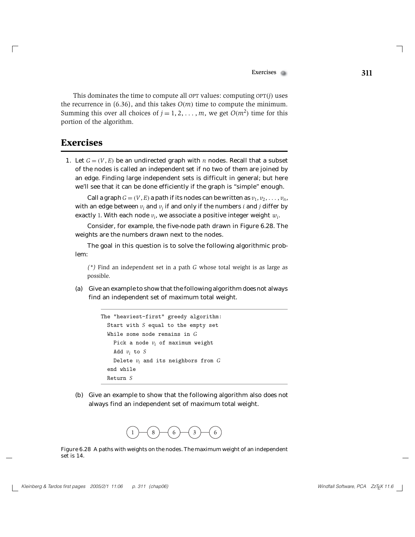This dominates the time to compute all OPT values: computing OPT(*j*) uses the recurrence in  $(6.36)$ , and this takes  $O(m)$  time to compute the minimum. Summing this over all choices of  $j = 1, 2, ..., m$ , we get  $O(m^2)$  time for this portion of the algorithm.

# **Exercises**

 $\Box$ 

1. Let  $G = (V, E)$  be an undirected graph with  $n$  nodes. Recall that a subset of the nodes is called an *independent set* if no two of them are joined by an edge. Finding large independent sets is difficult in general; but here we'll see that it can be done efficiently if the graph is "simple" enough.

Call a graph  $G = (V, E)$  a *path* if its nodes can be written as  $v_1, v_2, \ldots, v_n$ , with an edge between  $v_i$  and  $v_j$  if and only if the numbers *i* and *j* differ by exactly 1. With each node *vi*, we associate a positive integer *weight wi*.

Consider, for example, the five-node path drawn in Figure 6.28. The *weights* are the numbers drawn next to the nodes.

The goal in this question is to solve the following algorithmic problem:

*(\*)* Find an independent set in a path *G* whose total weight is as large as possible.

(a) Give an example to show that the following algorithm *does not* always find an independent set of maximum total weight.

```
The "heaviest-first" greedy algorithm:
 Start with S equal to the empty set
 While some node remains in G
   Pick a node vi of maximum weight
   Add vi to S
   Delete vi and its neighbors from G
 end while
 Return S
```
(b) Give an example to show that the following algorithm also *does not* always find an independent set of maximum total weight.



Figure 6.28 A paths with weights on the nodes. The maximum weight of an independent set is 14.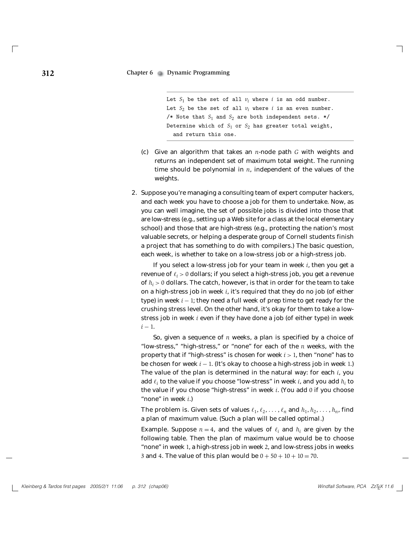Let  $S_1$  be the set of all  $v_i$  where *i* is an odd number. Let  $S_2$  be the set of all  $v_i$  where *i* is an even number. /\* Note that  $S_1$  and  $S_2$  are both independent sets. \*/ Determine which of *S*<sup>1</sup> or *S*<sup>2</sup> has greater total weight, and return this one.

- (c) Give an algorithm that takes an *n*-node path *G* with weights and returns an independent set of maximum total weight. The running time should be polynomial in *n*, independent of the values of the weights.
- 2. Suppose you're managing a consulting team of expert computer hackers, and each week you have to choose a job for them to undertake. Now, as you can well imagine, the set of possible jobs is divided into those that are *low-stress* (e.g., setting up a Web site for a class at the local elementary school) and those that are *high-stress* (e.g., protecting the nation's most valuable secrets, or helping a desperate group of Cornell students finish a project that has something to do with compilers.) The basic question, each week, is whether to take on a low-stress job or a high-stress job.

If you select a low-stress job for your team in week *i*, then you get a revenue of  $\ell_i > 0$  dollars; if you select a high-stress job, you get a revenue of  $h_i > 0$  dollars. The catch, however, is that in order for the team to take on a high-stress job in week *i*, it's required that they do no job (of either type) in week *i* − 1; they need a full week of prep time to get ready for the crushing stress level. On the other hand, it's okay for them to take a lowstress job in week *i* even if they have done a job (of either type) in week *i* − 1.

So, given a sequence of *n* weeks, a *plan* is specified by a choice of "low-stress," "high-stress," or "none" for each of the *n* weeks, with the property that if "high-stress" is chosen for week *i* > 1, then "none" has to be chosen for week *i* − 1. (It's okay to choose a high-stress job in week 1.) The *value* of the plan is determined in the natural way: for each *i*, you add  $l_i$  to the value if you choose "low-stress" in week  $i$ , and you add  $h_i$  to the value if you choose "high-stress" in week *i*. (You add 0 if you choose "none" in week *i*.)

The problem is. Given sets of values  $\ell_1, \ell_2, \ldots, \ell_n$  and  $h_1, h_2, \ldots, h_n$ , find a plan of maximum value. (Such a plan will be called *optimal*.)

**Example.** Suppose  $n = 4$ , and the values of  $\ell_i$  and  $h_i$  are given by the following table. Then the plan of maximum value would be to choose "none" in week 1, a high-stress job in week 2, and low-stress jobs in weeks 3 and 4. The value of this plan would be  $0 + 50 + 10 + 10 = 70$ .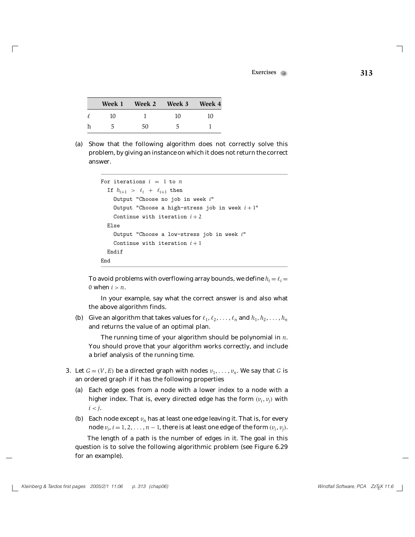Exercises **313**

| Week 1 | Week 2 | Week 3 | Week 4 |
|--------|--------|--------|--------|
| 10     |        | 10     | 10     |
| ч      | 50     |        |        |

Г

(a) Show that the following algorithm does not correctly solve this problem, by giving an instance on which it does not return the correct answer.

```
For iterations i = 1 to nIf h_{i+1} > \ell_i + \ell_{i+1} then
    Output "Choose no job in week i"
    Output "Choose a high-stress job in week i + 1"
    Continue with iteration i + 2Else
    Output "Choose a low-stress job in week i"
    Continue with iteration i+1Endif
End
```
To avoid problems with overflowing array bounds, we define  $h_i = \ell_i =$ 0 when  $i > n$ .

In your example, say what the correct answer is and also what the above algorithm finds.

(b) Give an algorithm that takes values for  $\ell_1, \ell_2, \ldots, \ell_n$  and  $h_1, h_2, \ldots, h_n$ and returns the *value* of an optimal plan.

The running time of your algorithm should be polynomial in *n*. You should prove that your algorithm works correctly, and include a brief analysis of the running time.

- 3. Let  $G = (V, E)$  be a directed graph with nodes  $v_1, \ldots, v_n$ . We say that G is an *ordered graph* if it has the following properties
	- (a) Each edge goes from a node with a lower index to a node with a higher index. That is, every directed edge has the form (*vi*, *vj*) with  $i < j$ .
	- (b) Each node except  $v_n$  has at least one edge leaving it. That is, for every node  $v_i$ ,  $i = 1, 2, \ldots, n - 1$ , there is at least one edge of the form  $(v_i, v_j)$ .

The length of a path is the number of edges in it. The goal in this question is to solve the following algorithmic problem (see Figure 6.29 for an example).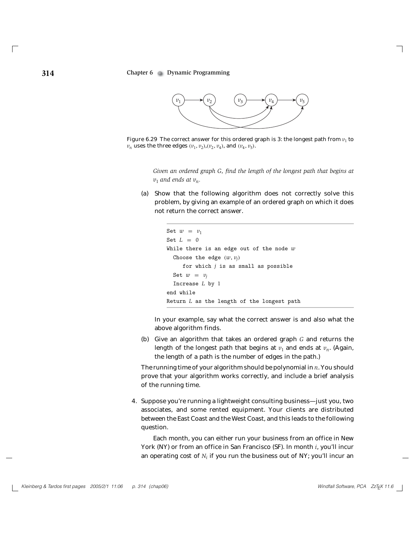

Figure 6.29 The correct answer for this ordered graph is 3: the longest path from  $v_1$  to  $v_n$  uses the three edges  $(v_1, v_2)$ ,  $(v_2, v_4)$ , and  $(v_4, v_5)$ .

*Given an ordered graph G, find the length of the longest path that begins at*  $v_1$  *and ends at*  $v_n$ .

(a) Show that the following algorithm does not correctly solve this problem, by giving an example of an ordered graph on which it does not return the correct answer.

```
Set w = v_1Set L = 0While there is an edge out of the node w
  Choose the edge (w, v_i)for which j is as small as possible
  Set w = v_iIncrease L by 1
end while
Return L as the length of the longest path
```
In your example, say what the correct answer is and also what the above algorithm finds.

(b) Give an algorithm that takes an ordered graph *G* and returns the *length* of the longest path that begins at  $v_1$  and ends at  $v_n$ . (Again, the *length* of a path is the number of edges in the path.)

The running time of your algorithm should be polynomial in *n*. You should prove that your algorithm works correctly, and include a brief analysis of the running time.

4. Suppose you're running a lightweight consulting business—just you, two associates, and some rented equipment. Your clients are distributed between the East Coast and the West Coast, and this leads to the following question.

Each month, you can either run your business from an office in New York (NY) or from an office in San Francisco (SF). In month *i*, you'll incur an *operating cost* of *Ni* if you run the business out of NY; you'll incur an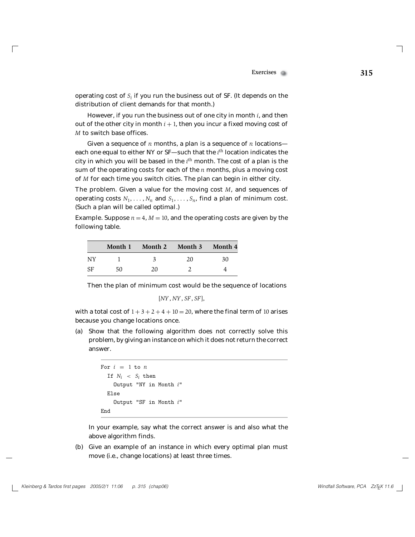operating cost of *Si* if you run the business out of SF. (It depends on the distribution of client demands for that month.)

Г

However, if you run the business out of one city in month *i*, and then out of the other city in month  $i + 1$ , then you incur a fixed *moving cost* of *M* to switch base offices.

Given a sequence of *n* months, a *plan* is a sequence of *n* locations each one equal to either NY or SF—such that the *i*<sup>th</sup> location indicates the city in which you will be based in the *i* th month. The *cost* of a plan is the sum of the operating costs for each of the *n* months, plus a moving cost of *M* for each time you switch cities. The plan can begin in either city.

The problem. Given a value for the moving cost *M*, and sequences of operating costs  $N_1, \ldots, N_n$  and  $S_1, \ldots, S_n$ , find a plan of minimum cost. (Such a plan will be called *optimal*.)

**Example.** Suppose  $n = 4$ ,  $M = 10$ , and the operating costs are given by the following table.

|           |    | Month 1 Month 2 Month 3 Month 4 |    |    |
|-----------|----|---------------------------------|----|----|
| NV        |    |                                 | 20 | 30 |
| <b>SF</b> | 50 | 20                              |    |    |

Then the plan of minimum cost would be the sequence of locations

[*NY*, *NY*, *SF* , *SF*],

with a total cost of  $1+3+2+4+10=20$ , where the final term of 10 arises because you change locations once.

(a) Show that the following algorithm does not correctly solve this problem, by giving an instance on which it does not return the correct answer.

```
For i = 1 to nIf N_i < S_i then
    Output "NY in Month i"
  Else
    Output "SF in Month i"
End
```
In your example, say what the correct answer is and also what the above algorithm finds.

(b) Give an example of an instance in which every optimal plan must move (i.e., change locations) at least three times.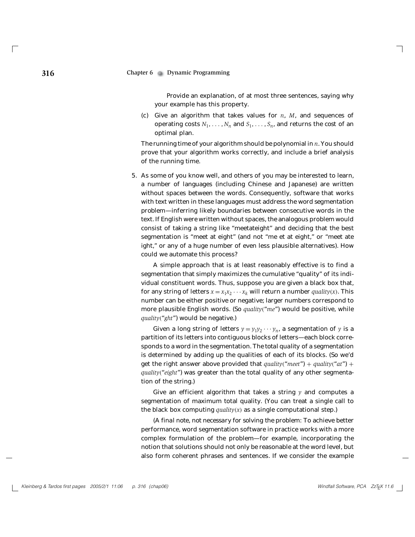Provide an explanation, of at most three sentences, saying why your example has this property.

(c) Give an algorithm that takes values for *n*, *M*, and sequences of operating costs  $N_1, \ldots, N_n$  and  $S_1, \ldots, S_n$ , and returns the *cost* of an optimal plan.

The running time of your algorithm should be polynomial in *n*. You should prove that your algorithm works correctly, and include a brief analysis of the running time.

5. As some of you know well, and others of you may be interested to learn, a number of languages (including Chinese and Japanese) are written without spaces between the words. Consequently, software that works with text written in these languages must address the *word segmentation problem*—inferring likely boundaries between consecutive words in the text. If English were written without spaces, the analogous problem would consist of taking a string like "meetateight" and deciding that the best segmentation is "meet at eight" (and not "me et at eight," or "meet ate ight," or any of a huge number of even less plausible alternatives). How could we automate this process?

A simple approach that is at least reasonably effective is to find a segmentation that simply maximizes the cumulative "quality" of its individual constituent words. Thus, suppose you are given a black box that, for any string of letters  $x = x_1x_2 \cdots x_k$  will return a number *quality*(*x*). This number can be either positive or negative; larger numbers correspond to more plausible English words. (So *quality*("*me*") would be positive, while *quality*("*ght*") would be negative.)

Given a long string of letters  $y = y_1y_2 \cdots y_n$ , a segmentation of y is a partition of its letters into contiguous blocks of letters—each block corresponds to a word in the segmentation. The *total quality* of a segmentation is determined by adding up the qualities of each of its blocks. (So we'd get the right answer above provided that *quality*("*meet*") + *quality*("*at*") + *quality*("*eight*") was greater than the total quality of any other segmentation of the string.)

Give an efficient algorithm that takes a string *y* and computes a segmentation of maximum total quality. (You can treat a single call to the black box computing *quality*(*x*) as a single computational step.)

(*A final note, not necessary for solving the problem:* To achieve better performance, word segmentation software in practice works with a more complex formulation of the problem—for example, incorporating the notion that solutions should not only be reasonable at the word level, but also form coherent phrases and sentences. If we consider the example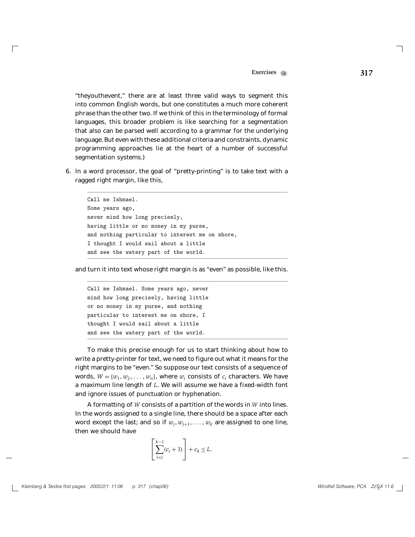"theyouthevent," there are at least three valid ways to segment this into common English words, but one constitutes a much more coherent phrase than the other two. If we think of this in the terminology of formal languages, this broader problem is like searching for a segmentation that also can be parsed well according to a grammar for the underlying language. But even with these additional criteria and constraints, dynamic programming approaches lie at the heart of a number of successful segmentation systems.)

6. In a word processor, the goal of "pretty-printing" is to take text with a ragged right margin, like this,

```
Call me Ishmael.
Some years ago,
never mind how long precisely,
having little or no money in my purse,
and nothing particular to interest me on shore,
I thought I would sail about a little
and see the watery part of the world.
```
and turn it into text whose right margin is as "even" as possible, like this.

```
Call me Ishmael. Some years ago, never
mind how long precisely, having little
or no money in my purse, and nothing
particular to interest me on shore, I
thought I would sail about a little
and see the watery part of the world.
```
To make this precise enough for us to start thinking about how to write a pretty-printer for text, we need to figure out what it means for the right margins to be "even." So suppose our text consists of a sequence of *words*,  $W = \{w_1, w_2, \ldots, w_n\}$ , where  $w_i$  consists of  $c_i$  characters. We have a maximum line length of *L*. We will assume we have a fixed-width font and ignore issues of punctuation or hyphenation.

A *formatting* of *W* consists of a partition of the words in *W* into *lines*. In the words assigned to a single line, there should be a space after each word except the last; and so if  $w_i, w_{i+1}, \ldots, w_k$  are assigned to one line, then we should have

$$
\left[\sum_{i=j}^{k-1} (c_i + 1)\right] + c_k \le L.
$$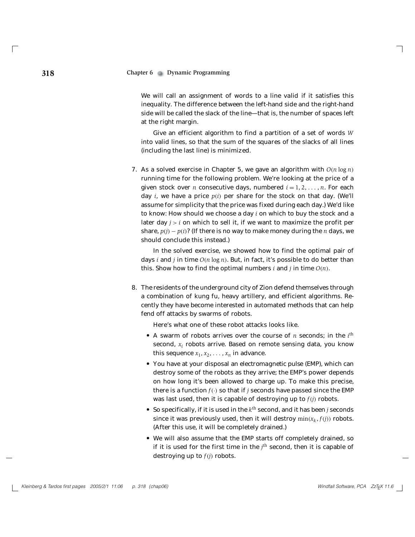We will call an assignment of words to a line *valid* if it satisfies this inequality. The difference between the left-hand side and the right-hand side will be called the *slack* of the line—that is, the number of spaces left at the right margin.

Give an efficient algorithm to find a partition of a set of words *W* into valid lines, so that the sum of the *squares* of the slacks of all lines (including the last line) is minimized.

7. As a solved exercise in Chapter 5, we gave an algorithm with  $O(n \log n)$ running time for the following problem. We're looking at the price of a given stock over *n* consecutive days, numbered  $i = 1, 2, ..., n$ . For each day *i*, we have a price *p*(*i*) per share for the stock on that day. (We'll assume for simplicity that the price was fixed during each day.) We'd like to know: How should we choose a day *i* on which to buy the stock and a later day  $j > i$  on which to sell it, if we want to maximize the profit per share,  $p(j) - p(i)$ ? (If there is no way to make money during the *n* days, we should conclude this instead.)

In the solved exercise, we showed how to find the optimal pair of days *i* and *j* in time *O*(*n* log *n*). But, in fact, it's possible to do better than this. Show how to find the optimal numbers *i* and *j* in time *O*(*n*).

8. The residents of the underground city of Zion defend themselves through a combination of kung fu, heavy artillery, and efficient algorithms. Recently they have become interested in automated methods that can help fend off attacks by swarms of robots.

Here's what one of these robot attacks looks like.

- $\bullet$  A swarm of robots arrives over the course of  $n$  seconds; in the  $i^{\text{th}}$ second, *xi* robots arrive. Based on remote sensing data, you know this sequence  $x_1, x_2, \ldots, x_n$  in advance.
- . You have at your disposal an *electromagnetic pulse* (EMP), which can destroy some of the robots as they arrive; the EMP's power depends on how long it's been allowed to charge up. To make this precise, there is a function  $f(.)$  so that if *j* seconds have passed since the EMP was last used, then it is capable of destroying up to *f*(*j*) robots.
- . So specifically, if it is used in the *k*th second, and it has been *j* seconds since it was previously used, then it will destroy  $min(x_k, f(i))$  robots. (After this use, it will be completely drained.)
- . We will also assume that the EMP starts off completely drained, so if it is used for the first time in the *j*<sup>th</sup> second, then it is capable of destroying up to *f*(*j*) robots.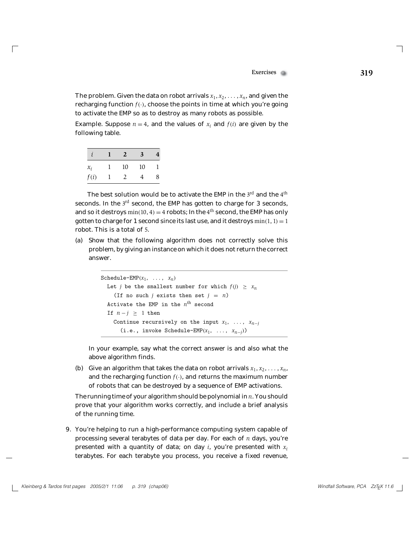The problem. Given the data on robot arrivals  $x_1, x_2, \ldots, x_n$ , and given the recharging function *f*(·), choose the points in time at which you're going to activate the EMP so as to destroy as many robots as possible.

**Example.** Suppose  $n = 4$ , and the values of  $x_i$  and  $f(i)$  are given by the following table.

|       | 2  | 3  | 4 |
|-------|----|----|---|
| $x_i$ | 10 | 10 |   |
| f(i)  | 2  | 4  | 8 |

The best solution would be to activate the EMP in the  $3<sup>rd</sup>$  and the  $4<sup>th</sup>$ seconds. In the 3<sup>rd</sup> second, the EMP has gotten to charge for 3 seconds, and so it destroys  $min(10, 4) = 4$  robots; In the 4<sup>th</sup> second, the EMP has only gotten to charge for 1 second since its last use, and it destroys  $min(1, 1) = 1$ robot. This is a total of 5.

(a) Show that the following algorithm does not correctly solve this problem, by giving an instance on which it does not return the correct answer.

```
Schedule-EMP(x_1, \ldots, x_n)Let j be the smallest number for which f(i) \geq x_n(If no such j exists then set j = n)
 Activate the EMP in the nth second
 If n - j \ge 1 then
    Continue recursively on the input x_1, \ldots, x_{n-i}(i.e., invoke Schedule-EMP(x_1, \ldots, x_{n-i}))
```
In your example, say what the correct answer is and also what the above algorithm finds.

(b) Give an algorithm that takes the data on robot arrivals  $x_1, x_2, \ldots, x_n$ , and the recharging function  $f(.)$ , and returns the maximum number of robots that can be destroyed by a sequence of EMP activations.

The running time of your algorithm should be polynomial in *n*. You should prove that your algorithm works correctly, and include a brief analysis of the running time.

9. You're helping to run a high-performance computing system capable of processing several terabytes of data per day. For each of *n* days, you're presented with a quantity of data; on day *i*, you're presented with *xi* terabytes. For each terabyte you process, you receive a fixed revenue,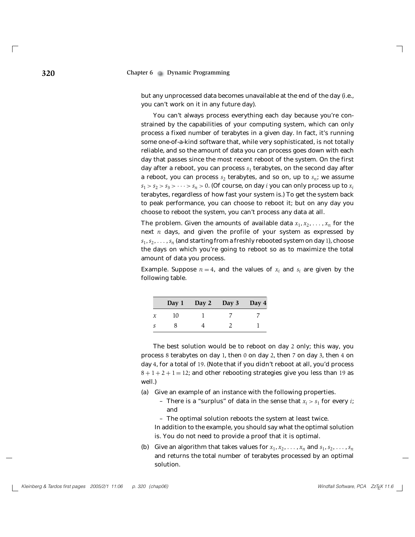but any unprocessed data becomes unavailable at the end of the day (i.e., you can't work on it in any future day).

You can't always process everything each day because you're constrained by the capabilities of your computing system, which can only process a fixed number of terabytes in a given day. In fact, it's running some one-of-a-kind software that, while very sophisticated, is not totally reliable, and so the amount of data you can process goes down with each day that passes since the most recent reboot of the system. On the first day after a reboot, you can process  $s<sub>1</sub>$  terabytes, on the second day after a reboot, you can process  $s_2$  terabytes, and so on, up to  $s_n$ ; we assume  $s_1 > s_2 > s_3 > \cdots > s_n > 0$ . (Of course, on day *i* you can only process up to  $x_i$ terabytes, regardless of how fast your system is.) To get the system back to peak performance, you can choose to reboot it; but on any day you choose to reboot the system, you can't process any data at all.

The problem. Given the amounts of available data  $x_1, x_2, \ldots, x_n$  for the next *n* days, and given the profile of your system as expressed by  $s_1, s_2, \ldots, s_n$  (and starting from a freshly rebooted system on day 1), choose the days on which you're going to reboot so as to maximize the total amount of data you process.

**Example.** Suppose  $n = 4$ , and the values of  $x_i$  and  $s_i$  are given by the following table.

|               |    | Day 1 Day 2 Day 3 Day 4 |  |
|---------------|----|-------------------------|--|
| $\mathcal{X}$ | 10 |                         |  |
| S             | 8  |                         |  |

The best solution would be to reboot on day 2 only; this way, you process 8 terabytes on day 1, then 0 on day 2, then 7 on day 3, then 4 on day 4, for a total of 19. (Note that if you didn't reboot at all, you'd process  $8 + 1 + 2 + 1 = 12$ ; and other rebooting strategies give you less than 19 as well.)

- (a) Give an example of an instance with the following properties.
	- There is a "surplus" of data in the sense that  $x_i > s_1$  for every *i*; and
	- The optimal solution reboots the system at least twice. In addition to the example, you should say what the optimal solution is. You do not need to provide a proof that it is optimal.
- (b) Give an algorithm that takes values for  $x_1, x_2, \ldots, x_n$  and  $s_1, s_2, \ldots, s_n$ and returns the total *number* of terabytes processed by an optimal solution.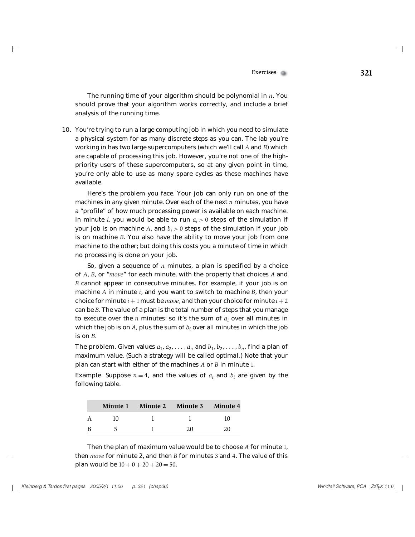The running time of your algorithm should be polynomial in *n*. You should prove that your algorithm works correctly, and include a brief analysis of the running time.

10. You're trying to run a large computing job in which you need to simulate a physical system for as many discrete *steps* as you can. The lab you're working in has two large supercomputers (which we'll call *A* and *B*) which are capable of processing this job. However, you're not one of the highpriority users of these supercomputers, so at any given point in time, you're only able to use as many spare cycles as these machines have available.

Here's the problem you face. Your job can only run on one of the machines in any given minute. Over each of the next *n* minutes, you have a "profile" of how much processing power is available on each machine. In minute  $i$ , you would be able to run  $a_i > 0$  steps of the simulation if your job is on machine  $A_i$ , and  $b_i > 0$  steps of the simulation if your job is on machine *B*. You also have the ability to move your job from one machine to the other; but doing this costs you a minute of time in which no processing is done on your job.

So, given a sequence of *n* minutes, a *plan* is specified by a choice of *A*, *B*, or "*move*" for each minute, with the property that choices *A* and *B* cannot appear in consecutive minutes. For example, if your job is on machine *A* in minute *i*, and you want to switch to machine *B*, then your choice for minute  $i + 1$  must be *move*, and then your choice for minute  $i + 2$ can be *B*. The *value* of a plan is the total number of steps that you manage to execute over the *n* minutes: so it's the sum of *ai* over all minutes in which the job is on  $A$ , plus the sum of  $b_i$  over all minutes in which the job is on *B*.

The problem. Given values  $a_1, a_2, \ldots, a_n$  and  $b_1, b_2, \ldots, b_n$ , find a plan of maximum value. (Such a strategy will be called *optimal*.) Note that your plan can start with either of the machines *A* or *B* in minute 1.

**Example.** Suppose  $n = 4$ , and the values of  $a_i$  and  $b_i$  are given by the following table.

|    | Minute 1 Minute 2 Minute 3 Minute 4 |    |
|----|-------------------------------------|----|
| 10 |                                     | 10 |
|    | 2Ω                                  |    |

Then the plan of maximum value would be to choose *A* for minute 1, then *move* for minute 2, and then *B* for minutes 3 and 4. The value of this plan would be  $10 + 0 + 20 + 20 = 50$ .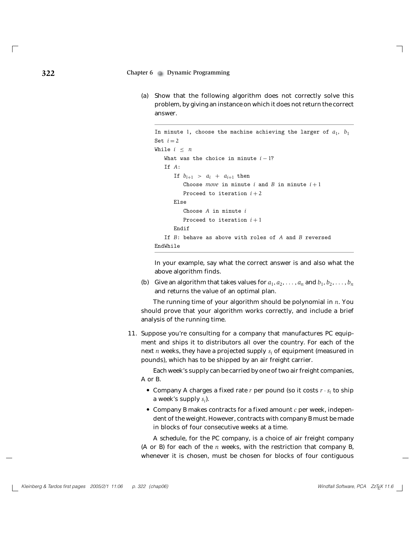(a) Show that the following algorithm does not correctly solve this problem, by giving an instance on which it does not return the correct answer.

```
In minute 1, choose the machine achieving the larger of a_1, b_1Set i=2While i \leq nWhat was the choice in minute i - 1?
   If A:
      If b_{i+1} > a_i + a_{i+1} then
         Choose move in minute i and B in minute i + 1Proceed to iteration i + 2Else
         Choose A in minute i
         Proceed to iteration i+1Endif
   If B: behave as above with roles of A and B reversed
EndWhile
```
In your example, say what the correct answer is and also what the above algorithm finds.

(b) Give an algorithm that takes values for  $a_1, a_2, \ldots, a_n$  and  $b_1, b_2, \ldots, b_n$ and returns the *value* of an optimal plan.

The running time of your algorithm should be polynomial in *n*. You should prove that your algorithm works correctly, and include a brief analysis of the running time.

11. Suppose you're consulting for a company that manufactures PC equipment and ships it to distributors all over the country. For each of the next *n* weeks, they have a projected *supply si* of equipment (measured in pounds), which has to be shipped by an air freight carrier.

Each week's supply can be carried by one of two air freight companies, A or B.

- . Company A charges a fixed rate *r* per pound (so it costs *r* · *si* to ship a week's supply *si*).
- . Company B makes contracts for a fixed amount *c* per week, independent of the weight. However, contracts with company B must be made in blocks of four consecutive weeks at a time.

A *schedule*, for the PC company, is a choice of air freight company (A or B) for each of the *n* weeks, with the restriction that company B, whenever it is chosen, must be chosen for blocks of four contiguous

Г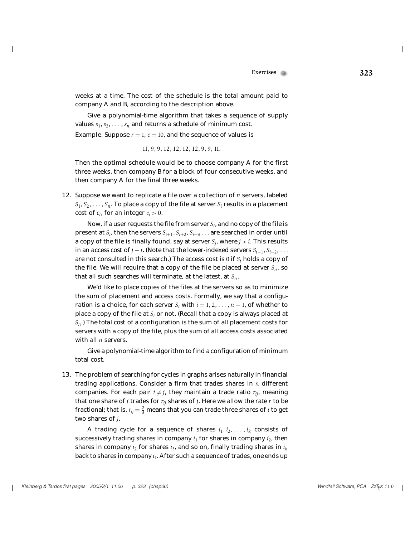weeks at a time. The *cost* of the schedule is the total amount paid to company A and B, according to the description above.

Give a polynomial-time algorithm that takes a sequence of supply values  $s_1, s_2, \ldots, s_n$  and returns a *schedule* of minimum cost.

**Example.** Suppose  $r = 1$ ,  $c = 10$ , and the sequence of values is

11, 9, 9, 12, 12, 12, 12, 9, 9, 11.

Then the optimal schedule would be to choose company A for the first three weeks, then company B for a block of four consecutive weeks, and then company A for the final three weeks.

12. Suppose we want to replicate a file over a collection of *n* servers, labeled  $S_1, S_2, \ldots, S_n$ . To place a copy of the file at server  $S_i$  results in a *placement cost* of  $c_i$ , for an integer  $c_i > 0$ .

Now, if a user requests the file from server *Si*, and no copy of the file is present at  $S_i$ , then the servers  $S_{i+1}, S_{i+2}, S_{i+3}$ ... are searched in order until a copy of the file is finally found, say at server  $S_i$ , where  $j > i$ . This results in an *access cost* of *j* − *i*. (Note that the lower-indexed servers  $S_{i-1}, S_{i-2}, \ldots$ are not consulted in this search.) The access cost is 0 if *Si* holds a copy of the file. We will require that a copy of the file be placed at server  $S_n$ , so that all such searches will terminate, at the latest, at *Sn*.

We'd like to place copies of the files at the servers so as to minimize the sum of placement and access costs. Formally, we say that a *configuration* is a choice, for each server  $S_i$  with  $i = 1, 2, ..., n - 1$ , of whether to place a copy of the file at *Si* or not. (Recall that a copy is always placed at *Sn*.) The *total cost* of a configuration is the sum of all placement costs for servers with a copy of the file, plus the sum of all access costs associated with all *n* servers.

Give a polynomial-time algorithm to find a configuration of minimum total cost.

13. The problem of searching for cycles in graphs arises naturally in financial trading applications. Consider a firm that trades shares in *n* different companies. For each pair  $i \neq j$ , they maintain a trade ratio  $r_{ij}$ , meaning that one share of  $i$  trades for  $r_{ij}$  shares of  $j$ . Here we allow the rate  $r$  to be fractional; that is,  $r_{ij}$   $=$   $\frac{2}{3}$  means that you can trade three shares of  $i$  to get two shares of *j*.

A *trading cycle* for a sequence of shares  $i_1, i_2, \ldots, i_k$  consists of successively trading shares in company  $i_1$  for shares in company  $i_2$ , then shares in company  $i_2$  for shares  $i_3$ , and so on, finally trading shares in  $i_k$ back to shares in company  $i<sub>1</sub>$ . After such a sequence of trades, one ends up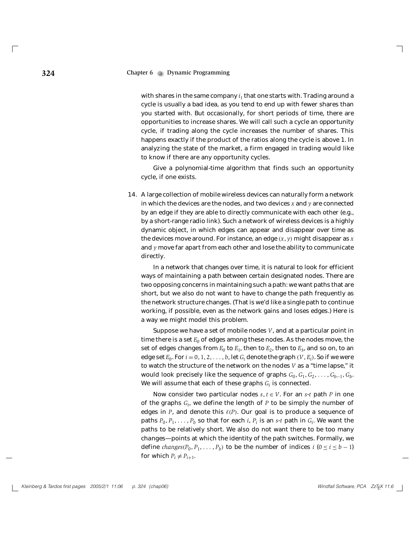with shares in the same company  $i_1$  that one starts with. Trading around a cycle is usually a bad idea, as you tend to end up with fewer shares than you started with. But occasionally, for short periods of time, there are opportunities to increase shares. We will call such a cycle an *opportunity cycle*, if trading along the cycle increases the number of shares. This happens exactly if the product of the ratios along the cycle is above 1. In analyzing the state of the market, a firm engaged in trading would like to know if there are any opportunity cycles.

Give a polynomial-time algorithm that finds such an opportunity cycle, if one exists.

14. A large collection of mobile wireless devices can naturally form a network in which the devices are the nodes, and two devices *x* and *y* are connected by an edge if they are able to directly communicate with each other (e.g., by a short-range radio link). Such a network of wireless devices is a highly dynamic object, in which edges can appear and disappear over time as the devices move around. For instance, an edge (*x*, *y*) might disappear as *x* and *y* move far apart from each other and lose the ability to communicate directly.

In a network that changes over time, it is natural to look for efficient ways of *maintaining* a path between certain designated nodes. There are two opposing concerns in maintaining such a path: we want paths that are short, but we also do not want to have to change the path frequently as the network structure changes. (That is we'd like a single path to continue working, if possible, even as the network gains and loses edges.) Here is a way we might model this problem.

Suppose we have a set of mobile nodes *V*, and at a particular point in time there is a set  $E_0$  of edges among these nodes. As the nodes move, the set of edges changes from  $E_0$  to  $E_1$ , then to  $E_2$ , then to  $E_3$ , and so on, to an edge set  $E_b$ . For  $i = 0, 1, 2, \ldots, b$ , let  $G_i$  denote the graph  $(V, E_i)$ . So if we were to watch the structure of the network on the nodes *V* as a "time lapse," it would look precisely like the sequence of graphs  $G_0, G_1, G_2, \ldots, G_{b-1}, G_b$ . We will assume that each of these graphs  $G_i$  is connected.

Now consider two particular nodes  $s, t \in V$ . For an  $s$ -*t* path  $P$  in one of the graphs *Gi*, we define the *length* of *P* to be simply the number of edges in  $P$ , and denote this  $\ell(P)$ . Our goal is to produce a sequence of paths  $P_0, P_1, \ldots, P_b$  so that for each *i*,  $P_i$  is an *s*-*t* path in  $G_i$ . We want the paths to be relatively short. We also do not want there to be too many *changes*—points at which the identity of the path switches. Formally, we define *changes*( $P_0, P_1, \ldots, P_b$ ) to be the number of indices *i* ( $0 \le i \le b - 1$ ) for which  $P_i \neq P_{i+1}$ .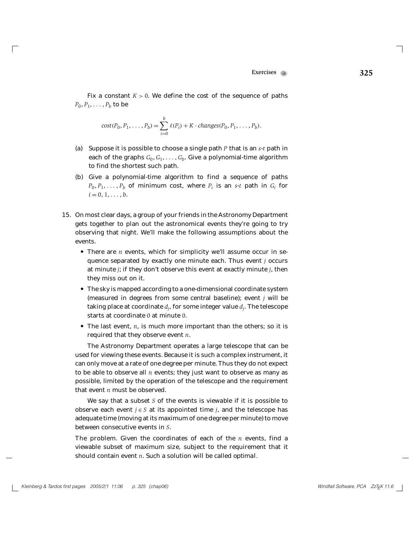Fix a constant  $K > 0$ . We define the *cost* of the sequence of paths  $P_0, P_1, \ldots, P_h$  to be

cost
$$
(P_0, P_1, ..., P_b) = \sum_{i=0}^{b} \ell(P_i) + K \cdot changes(P_0, P_1, ..., P_b).
$$

- (a) Suppose it is possible to choose a single path *P* that is an *s*-*t* path in each of the graphs  $G_0, G_1, \ldots, G_h$ . Give a polynomial-time algorithm to find the shortest such path.
- (b) Give a polynomial-time algorithm to find a sequence of paths  $P_0, P_1, \ldots, P_b$  of minimum cost, where  $P_i$  is an *s*-*t* path in  $G_i$  for  $i = 0, 1, \ldots, b$ .
- 15. On most clear days, a group of your friends in the Astronomy Department gets together to plan out the astronomical events they're going to try observing that night. We'll make the following assumptions about the events.
	- . There are *n* events, which for simplicity we'll assume occur in sequence separated by exactly one minute each. Thus event *j* occurs at minute *j*; if they don't observe this event at exactly minute *j*, then they miss out on it.
	- . The sky is mapped according to a one-dimensional coordinate system (measured in degrees from some central baseline); event *j* will be taking place at coordinate *dj*, for some integer value *dj*. The telescope starts at coordinate 0 at minute 0.
	- . The last event, *n*, is much more important than the others; so it is required that they observe event *n*.

The Astronomy Department operates a large telescope that can be used for viewing these events. Because it is such a complex instrument, it can only move at a rate of one degree per minute. Thus they do not expect to be able to observe all *n* events; they just want to observe as many as possible, limited by the operation of the telescope and the requirement that event *n* must be observed.

We say that a subset *S* of the events is *viewable* if it is possible to observe each event  $j \in S$  at its appointed time  $j$ , and the telescope has adequate time (moving at its maximum of one degree per minute) to move between consecutive events in *S*.

The problem. Given the coordinates of each of the *n* events, find a viewable subset of maximum size, subject to the requirement that it should contain event *n*. Such a solution will be called *optimal*.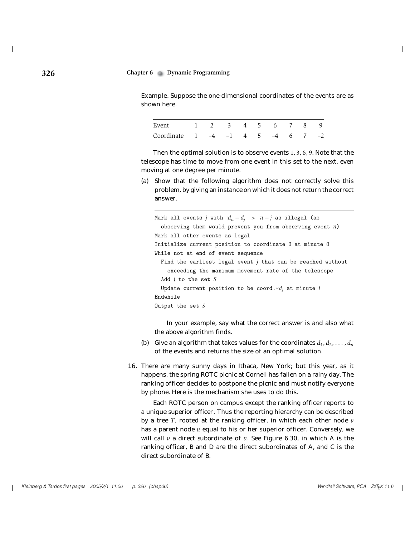Example. Suppose the one-dimensional coordinates of the events are as shown here.

| Event 1 2 3 4 5 6 7 8 9                                    |  |  |  |  |  |
|------------------------------------------------------------|--|--|--|--|--|
| Coordinate $1 \t -4 \t -1 \t 4 \t 5 \t -4 \t 6 \t 7 \t -2$ |  |  |  |  |  |

Then the optimal solution is to observe events 1, 3, 6, 9. Note that the telescope has time to move from one event in this set to the next, even moving at one degree per minute.

(a) Show that the following algorithm does not correctly solve this problem, by giving an instance on which it does not return the correct answer.

```
Mark all events j with |d_n - d_i| > n - j as illegal (as
  observing them would prevent you from observing event n)
Mark all other events as legal
Initialize current position to coordinate 0 at minute 0
While not at end of event sequence
  Find the earliest legal event j that can be reached without
    exceeding the maximum movement rate of the telescope
  Add j to the set S
  Update current position to be coord.~dj at minute j
Endwhile
Output the set S
```
In your example, say what the correct answer is and also what the above algorithm finds.

- (b) Give an algorithm that takes values for the coordinates  $d_1, d_2, \ldots, d_n$ of the events and returns the *size* of an optimal solution.
- 16. There are many sunny days in Ithaca, New York; but this year, as it happens, the spring ROTC picnic at Cornell has fallen on a rainy day. The ranking officer decides to postpone the picnic and must notify everyone by phone. Here is the mechanism she uses to do this.

Each ROTC person on campus except the ranking officer reports to a unique *superior officer*. Thus the reporting hierarchy can be described by a tree *T*, rooted at the ranking officer, in which each other node *v* has a parent node *u* equal to his or her superior officer. Conversely, we will call *v* a *direct subordinate* of *u*. See Figure 6.30, in which A is the ranking officer, B and D are the direct subordinates of A, and C is the direct subordinate of B.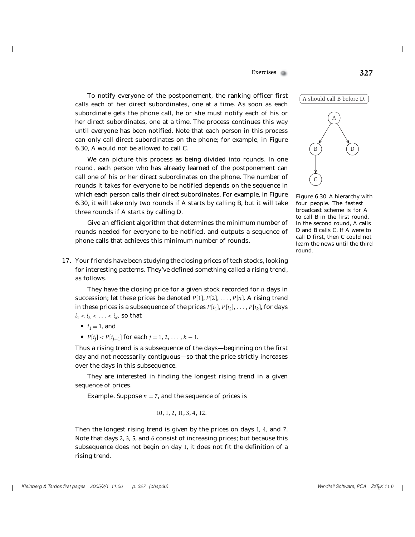To notify everyone of the postponement, the ranking officer first calls each of her direct subordinates, one at a time. As soon as each subordinate gets the phone call, he or she must notify each of his or her direct subordinates, one at a time. The process continues this way until everyone has been notified. Note that each person in this process can only call direct subordinates on the phone; for example, in Figure 6.30, A would not be allowed to call C.

We can picture this process as being divided into *rounds*. In one *round*, each person who has already learned of the postponement can call one of his or her direct subordinates on the phone. The number of rounds it takes for everyone to be notified depends on the sequence in which each person calls their direct subordinates. For example, in Figure 6.30, it will take only two rounds if A starts by calling B, but it will take three rounds if A starts by calling D.

Give an efficient algorithm that determines the minimum number of rounds needed for everyone to be notified, and outputs a sequence of phone calls that achieves this minimum number of rounds.

17. Your friends have been studying the closing prices of tech stocks, looking for interesting patterns. They've defined something called a *rising trend*, as follows.

They have the closing price for a given stock recorded for *n* days in succession; let these prices be denoted *P*[1], *P*[2], . . . , *P*[*n*]. A *rising trend* in these prices is a subsequence of the prices  $P[i_1], P[i_2], \ldots, P[i_k]$ , for days  $i_1 < i_2 < \ldots < i_k$ , so that

- $i_1 = 1$ , and
- $P[i_j] < P[i_{j+1}]$  for each  $j = 1, 2, ..., k 1$ .

Thus a rising trend is a subsequence of the days—beginning on the first day and not necessarily contiguous—so that the price strictly increases over the days in this subsequence.

They are interested in finding the longest rising trend in a given sequence of prices.

**Example.** Suppose  $n = 7$ , and the sequence of prices is

$$
10, 1, 2, 11, 3, 4, 12.
$$

Then the longest rising trend is given by the prices on days 1, 4, and 7. Note that days 2, 3, 5, and 6 consist of increasing prices; but because this subsequence does not begin on day 1, it does not fit the definition of a rising trend.

A B C D A should call B before D.

Figure 6.30 A hierarchy with four people. The fastest broadcast scheme is for A to call B in the first round. In the second round, A calls D and B calls C. If A were to call D first, then C could not learn the news until the third round.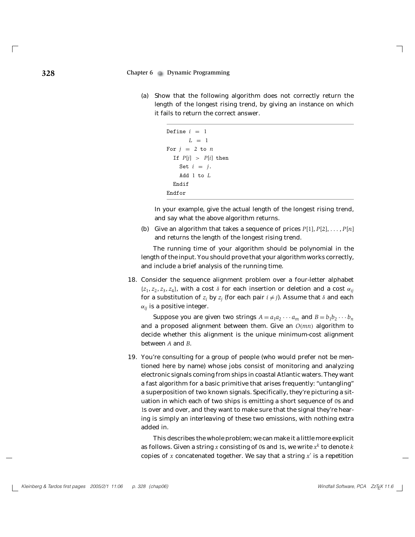(a) Show that the following algorithm does not correctly return the *length* of the longest rising trend, by giving an instance on which it fails to return the correct answer.

```
Define i = 1L = 1For j = 2 to nIf P[i] > P[i] then
   Set i = j.
    Add 1 to L
  Endif
Endfor
```
In your example, give the actual length of the longest rising trend, and say what the above algorithm returns.

(b) Give an algorithm that takes a sequence of prices *P*[1], *P*[2], . . . , *P*[*n*] and returns the *length* of the longest rising trend.

The running time of your algorithm should be polynomial in the length of the input. You should prove that your algorithm works correctly, and include a brief analysis of the running time.

18. Consider the sequence alignment problem over a four-letter alphabet  $\{z_1, z_2, z_3, z_4\}$ , with a cost  $\delta$  for each insertion or deletion and a cost  $\alpha_{ii}$ for a substitution of  $z_i$  by  $z_j$  (for each pair  $i \neq j$ ). Assume that  $\delta$  and each  $\alpha_{ii}$  is a positive integer.

Suppose you are given two strings  $A = a_1 a_2 \cdots a_m$  and  $B = b_1 b_2 \cdots b_n$ and a proposed alignment between them. Give an *O*(*mn*) algorithm to decide whether this alignment is the *unique* minimum-cost alignment between *A* and *B*.

19. You're consulting for a group of people (who would prefer not be mentioned here by name) whose jobs consist of monitoring and analyzing electronic signals coming from ships in coastal Atlantic waters. They want a fast algorithm for a basic primitive that arises frequently: "untangling" a superposition of two known signals. Specifically, they're picturing a situation in which each of two ships is emitting a short sequence of 0s and 1s over and over, and they want to make sure that the signal they're hearing is simply an *interleaving* of these two emissions, with nothing extra added in.

This describes the whole problem; we can make it a little more explicit as follows. Given a string *x* consisting of 0s and 1s, we write *x<sup>k</sup>* to denote *k* copies of *x* concatenated together. We say that a string *x* is a *repetition*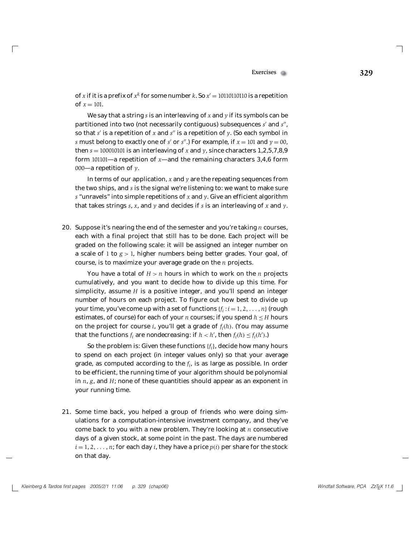of x if it is a prefix of  $x^k$  for some number k. So  $x' = 10110110110$  is a repetition of  $x = 101$ .

We say that a string *s* is an *interleaving* of *x* and *y* if its symbols can be partitioned into two (not necessarily contiguous) subsequences *s'* and *s''*, so that  $s'$  is a repetition of  $x$  and  $s''$  is a repetition of  $y$ . (So each symbol in *s* must belong to exactly one of *s'* or *s''*.) For example, if  $x = 101$  and  $y = 00$ , then  $s = 100010101$  is an interleaving of x and y, since characters 1,2,5,7,8,9 form 101101—a repetition of *x*—and the remaining characters 3,4,6 form 000—a repetition of *y*.

In terms of our application, *x* and *y* are the repeating sequences from the two ships, and *s* is the signal we're listening to: we want to make sure *s* "unravels" into simple repetitions of *x* and *y*. Give an efficient algorithm that takes strings *s*, *x*, and *y* and decides if *s* is an interleaving of *x* and *y*.

20. Suppose it's nearing the end of the semester and you're taking *n* courses, each with a final project that still has to be done. Each project will be graded on the following scale: it will be assigned an integer number on a scale of 1 to *g* > 1, higher numbers being better grades. Your goal, of course, is to maximize your average grade on the *n* projects.

You have a total of *H* > *n* hours in which to work on the *n* projects cumulatively, and you want to decide how to divide up this time. For simplicity, assume *H* is a positive integer, and you'll spend an integer number of hours on each project. To figure out how best to divide up your time, you've come up with a set of functions  $\{f_i : i = 1, 2, \ldots, n\}$  (rough estimates, of course) for each of your *n* courses; if you spend  $h \leq H$  hours on the project for course *i*, you'll get a grade of *fi*(*h*). (You may assume that the functions  $f_i$  are *nondecreasing*: if  $h < h'$ , then  $f_i(h) \leq f_i(h')$ .)

So the problem is: Given these functions {*fi*}, decide how many hours to spend on each project (in integer values only) so that your average grade, as computed according to the *fi*, is as large as possible. In order to be efficient, the running time of your algorithm should be polynomial in *n*, *g*, and *H*; none of these quantities should appear as an exponent in your running time.

21. Some time back, you helped a group of friends who were doing simulations for a computation-intensive investment company, and they've come back to you with a new problem. They're looking at *n* consecutive days of a given stock, at some point in the past. The days are numbered  $i = 1, 2, \ldots, n$ ; for each day  $i$ , they have a price  $p(i)$  per share for the stock on that day.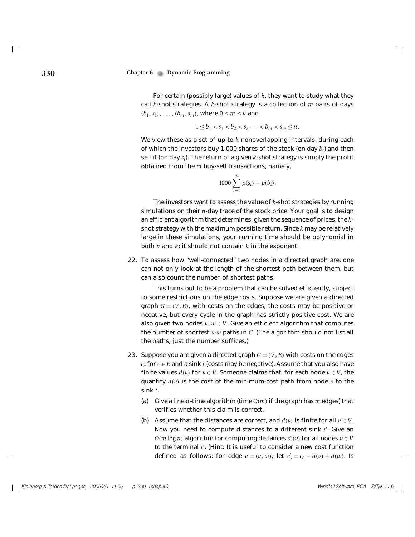For certain (possibly large) values of *k*, they want to study what they call *k-shot strategies*. A *k*-shot strategy is a collection of *m* pairs of days  $(b_1, s_1), \ldots, (b_m, s_m)$ , where  $0 \le m \le k$  and

$$
1 \le b_1 < s_1 < b_2 < s_2 \cdots < b_m < s_m \le n.
$$

We view these as a set of up to *k* nonoverlapping intervals, during each of which the investors buy 1,000 shares of the stock (on day *bi*) and then sell it (on day *si*). The *return* of a given *k*-shot strategy is simply the profit obtained from the *m* buy-sell transactions, namely,

$$
1000\sum_{i=1}^m p(s_i) - p(b_i).
$$

The investors want to assess the value of *k*-shot strategies by running simulations on their *n*-day trace of the stock price. Your goal is to design an efficient algorithm that determines, given the sequence of prices, the *k*shot strategy with the maximum possible return. Since *k* may be relatively large in these simulations, your running time should be polynomial in both *n* and *k*; it should not contain *k* in the exponent.

22. To assess how "well-connected" two nodes in a directed graph are, one can not only look at the length of the shortest path between them, but can also count the *number* of shortest paths.

This turns out to be a problem that can be solved efficiently, subject to some restrictions on the edge costs. Suppose we are given a directed graph  $G = (V, E)$ , with costs on the edges; the costs may be positive or negative, but every cycle in the graph has strictly positive cost. We are also given two nodes  $v, w \in V$ . Give an efficient algorithm that computes the number of shortest *v*-*w* paths in *G*. (The algorithm should not list all the paths; just the number suffices.)

- 23. Suppose you are given a directed graph  $G = (V, E)$  with costs on the edges *ce* for *e* ∈ *E* and a sink *t* (costs may be negative). Assume that you also have finite values  $d(v)$  for  $v \in V$ . Someone claims that, for each node  $v \in V$ , the quantity  $d(v)$  is the cost of the minimum-cost path from node  $v$  to the sink *t*.
	- (a) Give a linear-time algorithm (time *O*(*m*) if the graph has *m* edges) that verifies whether this claim is correct.
	- (b) Assume that the distances are correct, and  $d(v)$  is finite for all  $v \in V$ . Now you need to compute distances to a different sink t'. Give an  $O(m \log n)$  algorithm for computing distances  $d'(v)$  for all nodes  $v \in V$ to the terminal *t'*. (*Hint:* It is useful to consider a new cost function defined as follows: for edge  $e = (v, w)$ , let  $c'_e = c_e - d(v) + d(w)$ . Is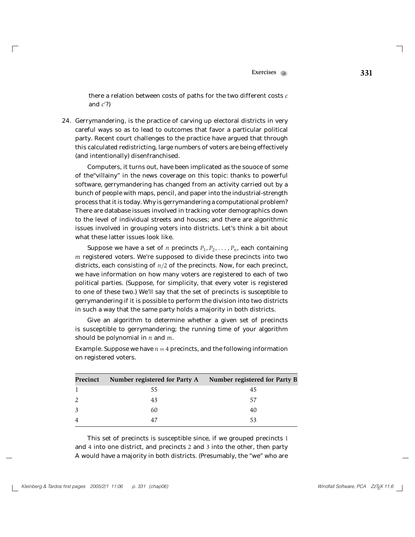there a relation between costs of paths for the two different costs *c* and *c* ?)

24. *Gerrymandering*, is the practice of carving up electoral districts in very careful ways so as to lead to outcomes that favor a particular political party. Recent court challenges to the practice have argued that through this calculated redistricting, large numbers of voters are being effectively (and intentionally) disenfranchised.

Computers, it turns out, have been implicated as the souoce of some of the"villainy" in the news coverage on this topic: thanks to powerful software, gerrymandering has changed from an activity carried out by a bunch of people with maps, pencil, and paper into the industrial-strength process that it is today. Why is gerrymandering a computational problem? There are database issues involved in tracking voter demographics down to the level of individual streets and houses; and there are algorithmic issues involved in grouping voters into districts. Let's think a bit about what these latter issues look like.

Suppose we have a set of *n precincts*  $P_1, P_2, \ldots, P_n$ , each containing *m* registered voters. We're supposed to divide these precincts into two *districts*, each consisting of  $n/2$  of the precincts. Now, for each precinct, we have information on how many voters are registered to each of two political parties. (Suppose, for simplicity, that every voter is registered to one of these two.) We'll say that the set of precincts is *susceptible* to gerrymandering if it is possible to perform the division into two districts in such a way that the same party holds a majority in both districts.

Give an algorithm to determine whether a given set of precincts is susceptible to gerrymandering; the running time of your algorithm should be polynomial in *n* and *m*.

| Precinct | Number registered for Party A Number registered for Party B |    |
|----------|-------------------------------------------------------------|----|
|          | 55                                                          |    |
| 2        | 43                                                          | 57 |
| 3        | 60                                                          |    |

**Example.** Suppose we have  $n = 4$  precincts, and the following information on registered voters.

This set of precincts is susceptible since, if we grouped precincts 1 and 4 into one district, and precincts 2 and 3 into the other, then party A would have a majority in both districts. (Presumably, the "we" who are

4 47 53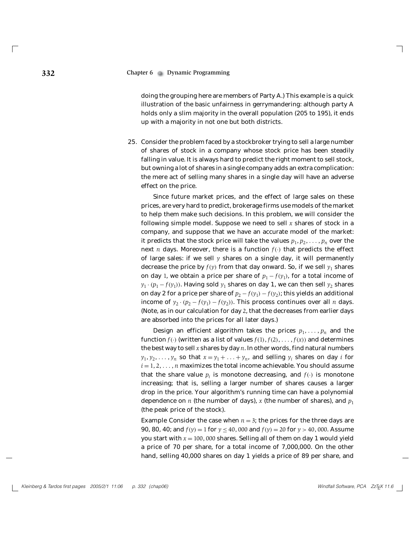doing the grouping here are members of Party A.) This example is a quick illustration of the basic unfairness in gerrymandering: although party A holds only a slim majority in the overall population (205 to 195), it ends up with a majority in not one but both districts.

25. Consider the problem faced by a stockbroker trying to sell a large number of shares of stock in a company whose stock price has been steadily falling in value. It is always hard to predict the right moment to sell stock, but owning a lot of shares in a single company adds an extra complication: the mere act of selling many shares in a single day will have an adverse effect on the price.

Since future market prices, and the effect of large sales on these prices, are very hard to predict, brokerage firms use models of the market to help them make such decisions. In this problem, we will consider the following simple model. Suppose we need to sell *x* shares of stock in a company, and suppose that we have an accurate model of the market: it predicts that the stock price will take the values  $p_1, p_2, \ldots, p_n$  over the next *n* days. Moreover, there is a function  $f(.)$  that predicts the effect of large sales: if we sell *y* shares on a single day, it will permanently decrease the price by  $f(y)$  from that day onward. So, if we sell  $y_1$  shares on day 1, we obtain a price per share of  $p_1 - f(y_1)$ , for a total income of  $y_1 \cdot (p_1 - f(y_1))$ . Having sold  $y_1$  shares on day 1, we can then sell  $y_2$  shares on day 2 for a price per share of  $p_2 - f(y_1) - f(y_2)$ ; this yields an additional income of  $y_2 \cdot (p_2 - f(y_1) - f(y_2))$ . This process continues over all *n* days. (Note, as in our calculation for day 2, that the decreases from earlier days are absorbed into the prices for all later days.)

Design an efficient algorithm takes the prices  $p_1, \ldots, p_n$  and the function  $f(\cdot)$  (written as a list of values  $f(1), f(2), \ldots, f(x)$ ) and determines the best way to sell *x* shares by day *n*. In other words, find natural numbers  $y_1, y_2, \ldots, y_n$  so that  $x = y_1 + \ldots + y_n$ , and selling  $y_i$  shares on day *i* for  $i = 1, 2, \ldots, n$  maximizes the total income achievable. You should assume that the share value  $p_i$  is monotone decreasing, and  $f(\cdot)$  is monotone increasing; that is, selling a larger number of shares causes a larger drop in the price. Your algorithm's running time can have a polynomial dependence on  $n$  (the number of days),  $x$  (the number of shares), and  $p_1$ (the peak price of the stock).

**Example** Consider the case when  $n = 3$ ; the prices for the three days are 90, 80, 40; and  $f(y) = 1$  for  $y \le 40$ , 000 and  $f(y) = 20$  for  $y > 40$ , 000. Assume you start with  $x = 100,000$  shares. Selling all of them on day 1 would yield a price of 70 per share, for a total income of 7,000,000. On the other hand, selling 40,000 shares on day 1 yields a price of 89 per share, and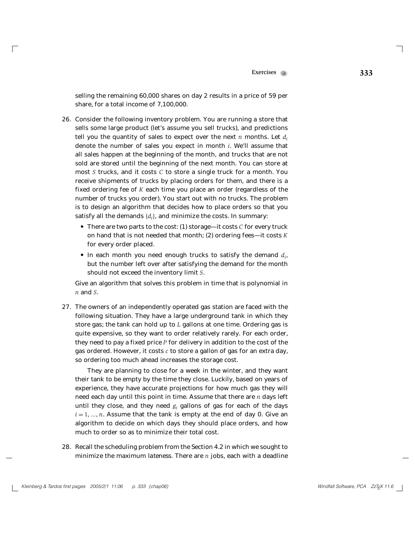selling the remaining 60,000 shares on day 2 results in a price of 59 per share, for a total income of 7,100,000.

- 26. Consider the following inventory problem. You are running a store that sells some large product (let's assume you sell trucks), and predictions tell you the quantity of sales to expect over the next *n* months. Let *di* denote the number of sales you expect in month *i*. We'll assume that all sales happen at the beginning of the month, and trucks that are not sold are *stored* until the beginning of the next month. You can store at most *S* trucks, and it costs *C* to store a single truck for a month. You receive shipments of trucks by placing orders for them, and there is a fixed ordering fee of *K* each time you place an order (regardless of the number of trucks you order). You start out with no trucks. The problem is to design an algorithm that decides how to place orders so that you satisfy all the demands {*di*}, and minimize the costs. In summary:
	- . There are two parts to the cost: (1) storage—it costs *C* for every truck on hand that is not needed that month; (2) ordering fees—it costs *K* for every order placed.
	- $\bullet$  In each month you need enough trucks to satisfy the demand  $d_{i,j}$ but the number left over after satisfying the demand for the month should not exceed the inventory limit *S*.

Give an algorithm that solves this problem in time that is polynomial in *n* and *S*.

27. The owners of an independently operated gas station are faced with the following situation. They have a large underground tank in which they store gas; the tank can hold up to *L* gallons at one time. Ordering gas is quite expensive, so they want to order relatively rarely. For each order, they need to pay a fixed price *P* for delivery in addition to the cost of the gas ordered. However, it costs *c* to store a gallon of gas for an extra day, so ordering too much ahead increases the storage cost.

They are planning to close for a week in the winter, and they want their tank to be empty by the time they close. Luckily, based on years of experience, they have accurate projections for how much gas they will need each day until this point in time. Assume that there are *n* days left until they close, and they need *gi* gallons of gas for each of the days  $i = 1, ..., n$ . Assume that the tank is empty at the end of day 0. Give an algorithm to decide on which days they should place orders, and how much to order so as to minimize their total cost.

28. Recall the scheduling problem from the Section 4.2 in which we sought to minimize the maximum *lateness*. There are *n* jobs, each with a deadline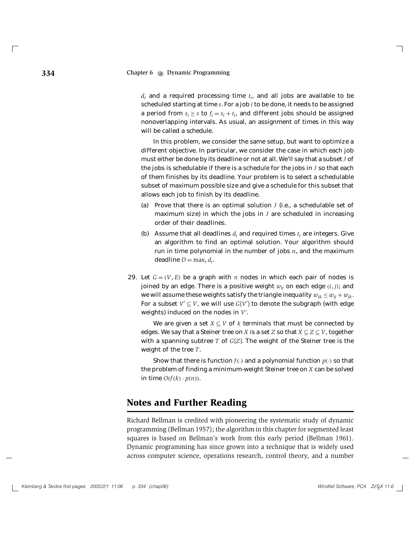$d_i$  and a required processing time  $t_i$ , and all jobs are available to be scheduled starting at time *s*. For a job *i* to be done, it needs to be assigned a period from  $s_i \geq s$  to  $f_i = s_i + t_i$ , and different jobs should be assigned nonoverlapping intervals. As usual, an assignment of times in this way will be called a *schedule*.

In this problem, we consider the same setup, but want to optimize a different objective. In particular, we consider the case in which each job must either be done by its deadline or not at all. We'll say that a subset *J* of the jobs is *schedulable* if there is a schedule for the jobs in *J* so that each of them finishes by its deadline. Your problem is to select a schedulable subset of maximum possible size and give a schedule for this subset that allows each job to finish by its deadline.

- (a) Prove that there is an optimal solution *J* (i.e., a schedulable set of maximum size) in which the jobs in *J* are scheduled in increasing order of their deadlines.
- (b) Assume that all deadlines  $d_i$  and required times  $t_i$  are integers. Give an algorithm to find an optimal solution. Your algorithm should run in time polynomial in the number of jobs *n*, and the maximum deadline  $D = \max_i d_i$ .
- 29. Let  $G = (V, E)$  be a graph with *n* nodes in which each pair of nodes is joined by an edge. There is a positive weight  $w_{ii}$  on each edge  $(i, j)$ ; and we will assume these weights satisfy the *triangle inequality*  $w_{ik} \leq w_{ij} + w_{ik}$ . For a subset *V* ⊆ *V*, we will use *G*[*V* ] to denote the subgraph (with edge weights) induced on the nodes in *V* .

We are given a set *X* ⊆ *V* of *k terminals* that must be connected by edges. We say that a *Steiner tree* on *X* is a set *Z* so that  $X \subseteq Z \subseteq V$ , together with a spanning subtree *T* of *G*[*Z*]. The *weight* of the Steiner tree is the weight of the tree *T*.

Show that there is function  $f(\cdot)$  and a *polynomial function*  $p(\cdot)$  so that the problem of finding a minimum-weight Steiner tree on *X* can be solved in time  $O(f(k) \cdot p(n))$ .

# **Notes and Further Reading**

Richard Bellman is credited with pioneering the systematic study of dynamic programming (Bellman 1957); the algorithm in this chapter for segmented least squares is based on Bellman's work from this early period (Bellman 1961). Dynamic programming has since grown into a technique that is widely used across computer science, operations research, control theory, and a number